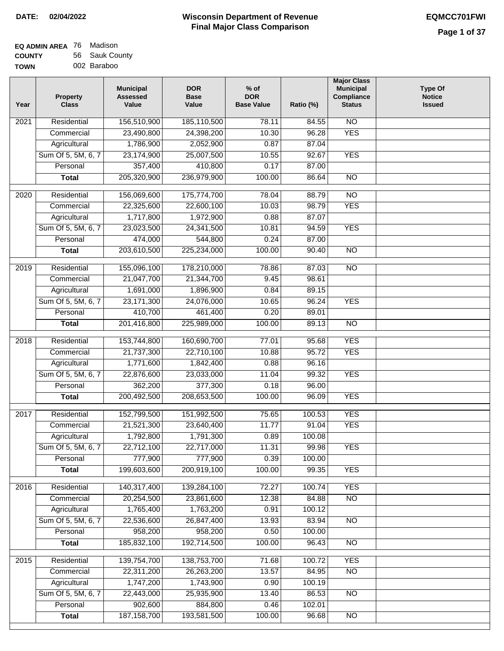| EQ ADMIN AREA 76 | Madison        |
|------------------|----------------|
| <b>COUNTY</b>    | 56 Sauk County |
| <b>TOWN</b>      | 002 Baraboo    |

| Year | <b>Property</b><br><b>Class</b> | <b>Municipal</b><br><b>Assessed</b><br>Value | <b>DOR</b><br><b>Base</b><br>Value | $%$ of<br><b>DOR</b><br><b>Base Value</b> | Ratio (%) | <b>Major Class</b><br><b>Municipal</b><br>Compliance<br><b>Status</b> | <b>Type Of</b><br><b>Notice</b><br><b>Issued</b> |
|------|---------------------------------|----------------------------------------------|------------------------------------|-------------------------------------------|-----------|-----------------------------------------------------------------------|--------------------------------------------------|
| 2021 | Residential                     | 156,510,900                                  | 185,110,500                        | 78.11                                     | 84.55     | N <sub>O</sub>                                                        |                                                  |
|      | Commercial                      | 23,490,800                                   | 24,398,200                         | 10.30                                     | 96.28     | <b>YES</b>                                                            |                                                  |
|      | Agricultural                    | 1,786,900                                    | 2,052,900                          | 0.87                                      | 87.04     |                                                                       |                                                  |
|      | Sum Of 5, 5M, 6, 7              | 23,174,900                                   | 25,007,500                         | 10.55                                     | 92.67     | <b>YES</b>                                                            |                                                  |
|      | Personal                        | 357,400                                      | 410,800                            | 0.17                                      | 87.00     |                                                                       |                                                  |
|      | <b>Total</b>                    | 205,320,900                                  | 236,979,900                        | 100.00                                    | 86.64     | $\overline{NO}$                                                       |                                                  |
| 2020 | Residential                     | 156,069,600                                  | 175,774,700                        | 78.04                                     | 88.79     | $\overline{NO}$                                                       |                                                  |
|      | Commercial                      | 22,325,600                                   | 22,600,100                         | 10.03                                     | 98.79     | <b>YES</b>                                                            |                                                  |
|      | Agricultural                    | 1,717,800                                    | 1,972,900                          | 0.88                                      | 87.07     |                                                                       |                                                  |
|      | Sum Of 5, 5M, 6, 7              | 23,023,500                                   | 24,341,500                         | 10.81                                     | 94.59     | <b>YES</b>                                                            |                                                  |
|      | Personal                        | 474,000                                      | 544,800                            | 0.24                                      | 87.00     |                                                                       |                                                  |
|      | Total                           | 203,610,500                                  | 225,234,000                        | 100.00                                    | 90.40     | $\overline{NO}$                                                       |                                                  |
|      |                                 |                                              |                                    |                                           |           |                                                                       |                                                  |
| 2019 | Residential                     | 155,096,100                                  | 178,210,000                        | 78.86                                     | 87.03     | $\overline{NO}$                                                       |                                                  |
|      | Commercial                      | 21,047,700                                   | 21,344,700                         | 9.45                                      | 98.61     |                                                                       |                                                  |
|      | Agricultural                    | 1,691,000                                    | 1,896,900                          | 0.84                                      | 89.15     |                                                                       |                                                  |
|      | Sum Of 5, 5M, 6, 7              | 23, 171, 300                                 | 24,076,000                         | 10.65                                     | 96.24     | <b>YES</b>                                                            |                                                  |
|      | Personal                        | 410,700                                      | 461,400                            | 0.20                                      | 89.01     |                                                                       |                                                  |
|      | <b>Total</b>                    | 201,416,800                                  | 225,989,000                        | 100.00                                    | 89.13     | $\overline{NO}$                                                       |                                                  |
| 2018 | Residential                     | 153,744,800                                  | 160,690,700                        | 77.01                                     | 95.68     | <b>YES</b>                                                            |                                                  |
|      | Commercial                      | 21,737,300                                   | 22,710,100                         | 10.88                                     | 95.72     | <b>YES</b>                                                            |                                                  |
|      | Agricultural                    | 1,771,600                                    | 1,842,400                          | 0.88                                      | 96.16     |                                                                       |                                                  |
|      | Sum Of 5, 5M, 6, 7              | 22,876,600                                   | 23,033,000                         | 11.04                                     | 99.32     | <b>YES</b>                                                            |                                                  |
|      | Personal                        | 362,200                                      | 377,300                            | 0.18                                      | 96.00     |                                                                       |                                                  |
|      | <b>Total</b>                    | 200,492,500                                  | 208,653,500                        | 100.00                                    | 96.09     | <b>YES</b>                                                            |                                                  |
| 2017 | Residential                     | 152,799,500                                  | 151,992,500                        | 75.65                                     | 100.53    | <b>YES</b>                                                            |                                                  |
|      | Commercial                      | 21,521,300                                   | 23,640,400                         | 11.77                                     | 91.04     | <b>YES</b>                                                            |                                                  |
|      | Agricultural                    | 1,792,800                                    | 1,791,300                          | 0.89                                      | 100.08    |                                                                       |                                                  |
|      | Sum Of 5, 5M, 6, 7              | 22,712,100                                   | 22,717,000                         | 11.31                                     | 99.98     | <b>YES</b>                                                            |                                                  |
|      | Personal                        | 777,900                                      | 777,900                            | 0.39                                      | 100.00    |                                                                       |                                                  |
|      | <b>Total</b>                    | 199,603,600                                  | 200,919,100                        | 100.00                                    | 99.35     | <b>YES</b>                                                            |                                                  |
| 2016 | Residential                     | 140,317,400                                  | 139,284,100                        | 72.27                                     | 100.74    | <b>YES</b>                                                            |                                                  |
|      | Commercial                      | 20,254,500                                   | 23,861,600                         | 12.38                                     | 84.88     | $\overline{NO}$                                                       |                                                  |
|      | Agricultural                    | 1,765,400                                    | 1,763,200                          | 0.91                                      | 100.12    |                                                                       |                                                  |
|      | Sum Of 5, 5M, 6, 7              | 22,536,600                                   | 26,847,400                         | 13.93                                     | 83.94     | <b>NO</b>                                                             |                                                  |
|      | Personal                        | 958,200                                      | 958,200                            | 0.50                                      | 100.00    |                                                                       |                                                  |
|      | <b>Total</b>                    | 185,832,100                                  | 192,714,500                        | 100.00                                    | 96.43     | N <sub>O</sub>                                                        |                                                  |
| 2015 | Residential                     | 139,754,700                                  | 138,753,700                        | 71.68                                     | 100.72    | <b>YES</b>                                                            |                                                  |
|      | Commercial                      | 22,311,200                                   | 26,263,200                         | 13.57                                     | 84.95     | $\overline{NO}$                                                       |                                                  |
|      | Agricultural                    | 1,747,200                                    | 1,743,900                          | 0.90                                      | 100.19    |                                                                       |                                                  |
|      | Sum Of 5, 5M, 6, 7              | 22,443,000                                   | 25,935,900                         | 13.40                                     | 86.53     | <b>NO</b>                                                             |                                                  |
|      | Personal                        | 902,600                                      | 884,800                            | 0.46                                      | 102.01    |                                                                       |                                                  |
|      | <b>Total</b>                    | 187, 158, 700                                | 193,581,500                        | 100.00                                    | 96.68     | $\overline{NO}$                                                       |                                                  |
|      |                                 |                                              |                                    |                                           |           |                                                                       |                                                  |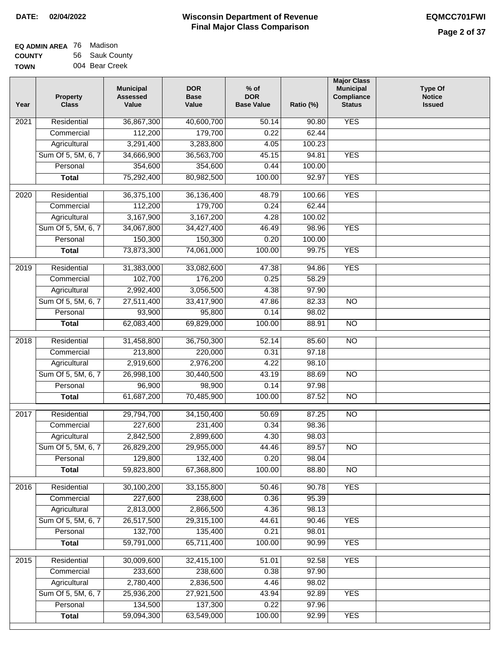| <b>EQ ADMIN AREA</b> 76 Madison |                |
|---------------------------------|----------------|
| <b>COUNTY</b>                   | 56 Sauk County |
| <b>TOWN</b>                     | 004 Bear Creek |

| Year              | <b>Property</b><br><b>Class</b> | <b>Municipal</b><br><b>Assessed</b><br>Value | <b>DOR</b><br><b>Base</b><br>Value | % of<br><b>DOR</b><br><b>Base Value</b> | Ratio (%) | <b>Major Class</b><br><b>Municipal</b><br>Compliance<br><b>Status</b> | <b>Type Of</b><br><b>Notice</b><br><b>Issued</b> |
|-------------------|---------------------------------|----------------------------------------------|------------------------------------|-----------------------------------------|-----------|-----------------------------------------------------------------------|--------------------------------------------------|
| $\overline{202}1$ | Residential                     | 36,867,300                                   | 40,600,700                         | 50.14                                   | 90.80     | <b>YES</b>                                                            |                                                  |
|                   | Commercial                      | 112,200                                      | 179,700                            | 0.22                                    | 62.44     |                                                                       |                                                  |
|                   | Agricultural                    | 3,291,400                                    | 3,283,800                          | 4.05                                    | 100.23    |                                                                       |                                                  |
|                   | Sum Of 5, 5M, 6, 7              | 34,666,900                                   | 36,563,700                         | 45.15                                   | 94.81     | <b>YES</b>                                                            |                                                  |
|                   | Personal                        | 354,600                                      | 354,600                            | 0.44                                    | 100.00    |                                                                       |                                                  |
|                   | <b>Total</b>                    | 75,292,400                                   | 80,982,500                         | 100.00                                  | 92.97     | <b>YES</b>                                                            |                                                  |
| $\overline{2020}$ | Residential                     | 36,375,100                                   | 36,136,400                         | 48.79                                   | 100.66    | <b>YES</b>                                                            |                                                  |
|                   | Commercial                      | 112,200                                      | 179,700                            | 0.24                                    | 62.44     |                                                                       |                                                  |
|                   | Agricultural                    | 3,167,900                                    | 3,167,200                          | 4.28                                    | 100.02    |                                                                       |                                                  |
|                   | Sum Of 5, 5M, 6, 7              | 34,067,800                                   | 34,427,400                         | 46.49                                   | 98.96     | <b>YES</b>                                                            |                                                  |
|                   | Personal                        | 150,300                                      | 150,300                            | 0.20                                    | 100.00    |                                                                       |                                                  |
|                   | <b>Total</b>                    | 73,873,300                                   | 74,061,000                         | 100.00                                  | 99.75     | <b>YES</b>                                                            |                                                  |
| $\frac{1}{2019}$  | Residential                     | 31,383,000                                   | 33,082,600                         | 47.38                                   | 94.86     | <b>YES</b>                                                            |                                                  |
|                   | Commercial                      | 102,700                                      | 176,200                            | 0.25                                    | 58.29     |                                                                       |                                                  |
|                   | Agricultural                    | 2,992,400                                    | 3,056,500                          | 4.38                                    | 97.90     |                                                                       |                                                  |
|                   | Sum Of 5, 5M, 6, 7              | 27,511,400                                   | 33,417,900                         | 47.86                                   | 82.33     | $\overline{NO}$                                                       |                                                  |
|                   | Personal                        | 93,900                                       | 95,800                             | 0.14                                    | 98.02     |                                                                       |                                                  |
|                   | <b>Total</b>                    | 62,083,400                                   | 69,829,000                         | 100.00                                  | 88.91     | $\overline{NO}$                                                       |                                                  |
| 2018              | Residential                     | 31,458,800                                   | 36,750,300                         | 52.14                                   | 85.60     | $\overline{10}$                                                       |                                                  |
|                   | Commercial                      | 213,800                                      | 220,000                            | 0.31                                    | 97.18     |                                                                       |                                                  |
|                   | Agricultural                    | 2,919,600                                    | 2,976,200                          | 4.22                                    | 98.10     |                                                                       |                                                  |
|                   | Sum Of 5, 5M, 6, 7              | 26,998,100                                   | 30,440,500                         | 43.19                                   | 88.69     | $\overline{3}$                                                        |                                                  |
|                   | Personal                        | 96,900                                       | 98,900                             | 0.14                                    | 97.98     |                                                                       |                                                  |
|                   | <b>Total</b>                    | 61,687,200                                   | 70,485,900                         | 100.00                                  | 87.52     | <b>NO</b>                                                             |                                                  |
| $\overline{2017}$ | Residential                     | 29,794,700                                   | 34,150,400                         | 50.69                                   | 87.25     | <b>NO</b>                                                             |                                                  |
|                   | Commercial                      | 227,600                                      | 231,400                            | 0.34                                    | 98.36     |                                                                       |                                                  |
|                   | Agricultural                    | 2,842,500                                    | 2,899,600                          | 4.30                                    | 98.03     |                                                                       |                                                  |
|                   | Sum Of 5, 5M, 6, 7              | 26,829,200                                   | 29,955,000                         | 44.46                                   | 89.57     | <b>NO</b>                                                             |                                                  |
|                   | Personal                        | 129,800                                      | 132,400                            | 0.20                                    | 98.04     |                                                                       |                                                  |
|                   | <b>Total</b>                    | 59,823,800                                   | 67,368,800                         | 100.00                                  | 88.80     | <b>NO</b>                                                             |                                                  |
| 2016              | Residential                     | 30,100,200                                   | 33,155,800                         | 50.46                                   | 90.78     | <b>YES</b>                                                            |                                                  |
|                   | Commercial                      | 227,600                                      | 238,600                            | 0.36                                    | 95.39     |                                                                       |                                                  |
|                   | Agricultural                    | 2,813,000                                    | 2,866,500                          | 4.36                                    | 98.13     |                                                                       |                                                  |
|                   | Sum Of 5, 5M, 6, 7              | 26,517,500                                   | 29,315,100                         | 44.61                                   | 90.46     | <b>YES</b>                                                            |                                                  |
|                   | Personal                        | 132,700                                      | 135,400                            | 0.21                                    | 98.01     |                                                                       |                                                  |
|                   | <b>Total</b>                    | 59,791,000                                   | 65,711,400                         | 100.00                                  | 90.99     | <b>YES</b>                                                            |                                                  |
| 2015              | Residential                     | 30,009,600                                   | 32,415,100                         | 51.01                                   | 92.58     | <b>YES</b>                                                            |                                                  |
|                   | Commercial                      | 233,600                                      | 238,600                            | 0.38                                    | 97.90     |                                                                       |                                                  |
|                   | Agricultural                    | 2,780,400                                    | 2,836,500                          | 4.46                                    | 98.02     |                                                                       |                                                  |
|                   | Sum Of 5, 5M, 6, 7              | 25,936,200                                   | 27,921,500                         | 43.94                                   | 92.89     | <b>YES</b>                                                            |                                                  |
|                   | Personal                        | 134,500                                      | 137,300                            | 0.22                                    | 97.96     |                                                                       |                                                  |
|                   | <b>Total</b>                    | 59,094,300                                   | 63,549,000                         | 100.00                                  | 92.99     | <b>YES</b>                                                            |                                                  |
|                   |                                 |                                              |                                    |                                         |           |                                                                       |                                                  |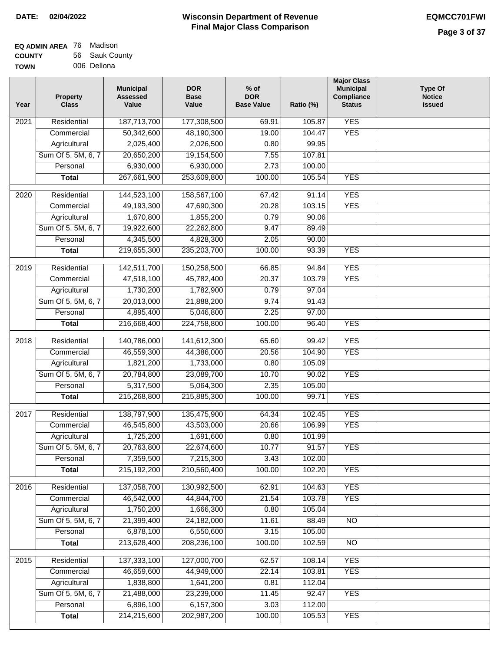# **Wisconsin Department of Revenue DATE: 02/04/2022 EQMCC701FWI Final Major Class Comparison**

| EQ ADMIN AREA 76 | Madison        |
|------------------|----------------|
| <b>COUNTY</b>    | 56 Sauk County |
| <b>TOWN</b>      | 006 Dellona    |

| Year | <b>Property</b><br><b>Class</b> | <b>Municipal</b><br><b>Assessed</b><br>Value | <b>DOR</b><br><b>Base</b><br>Value | $%$ of<br><b>DOR</b><br><b>Base Value</b> | Ratio (%) | <b>Major Class</b><br><b>Municipal</b><br>Compliance<br><b>Status</b> | <b>Type Of</b><br><b>Notice</b><br><b>Issued</b> |
|------|---------------------------------|----------------------------------------------|------------------------------------|-------------------------------------------|-----------|-----------------------------------------------------------------------|--------------------------------------------------|
| 2021 | Residential                     | 187,713,700                                  | 177,308,500                        | 69.91                                     | 105.87    | <b>YES</b>                                                            |                                                  |
|      | Commercial                      | 50,342,600                                   | 48,190,300                         | 19.00                                     | 104.47    | <b>YES</b>                                                            |                                                  |
|      | Agricultural                    | 2,025,400                                    | 2,026,500                          | 0.80                                      | 99.95     |                                                                       |                                                  |
|      | Sum Of 5, 5M, 6, 7              | 20,650,200                                   | 19,154,500                         | 7.55                                      | 107.81    |                                                                       |                                                  |
|      | Personal                        | 6,930,000                                    | 6,930,000                          | 2.73                                      | 100.00    |                                                                       |                                                  |
|      | <b>Total</b>                    | 267,661,900                                  | 253,609,800                        | 100.00                                    | 105.54    | <b>YES</b>                                                            |                                                  |
| 2020 | Residential                     | 144,523,100                                  | 158,567,100                        | 67.42                                     | 91.14     | <b>YES</b>                                                            |                                                  |
|      | Commercial                      | 49,193,300                                   | 47,690,300                         | 20.28                                     | 103.15    | <b>YES</b>                                                            |                                                  |
|      | Agricultural                    | 1,670,800                                    | 1,855,200                          | 0.79                                      | 90.06     |                                                                       |                                                  |
|      | Sum Of 5, 5M, 6, 7              | 19,922,600                                   | 22,262,800                         | 9.47                                      | 89.49     |                                                                       |                                                  |
|      | Personal                        | 4,345,500                                    | 4,828,300                          | 2.05                                      | 90.00     |                                                                       |                                                  |
|      | <b>Total</b>                    | 219,655,300                                  | 235,203,700                        | 100.00                                    | 93.39     | <b>YES</b>                                                            |                                                  |
|      |                                 |                                              |                                    |                                           |           |                                                                       |                                                  |
| 2019 | Residential                     | 142,511,700                                  | 150,258,500                        | 66.85                                     | 94.84     | <b>YES</b>                                                            |                                                  |
|      | Commercial                      | 47,518,100                                   | 45,782,400                         | 20.37                                     | 103.79    | <b>YES</b>                                                            |                                                  |
|      | Agricultural                    | 1,730,200                                    | 1,782,900                          | 0.79                                      | 97.04     |                                                                       |                                                  |
|      | Sum Of 5, 5M, 6, 7              | 20,013,000                                   | 21,888,200                         | 9.74                                      | 91.43     |                                                                       |                                                  |
|      | Personal                        | 4,895,400                                    | 5,046,800                          | 2.25                                      | 97.00     |                                                                       |                                                  |
|      | <b>Total</b>                    | 216,668,400                                  | 224,758,800                        | 100.00                                    | 96.40     | <b>YES</b>                                                            |                                                  |
| 2018 | Residential                     | 140,786,000                                  | 141,612,300                        | 65.60                                     | 99.42     | <b>YES</b>                                                            |                                                  |
|      | Commercial                      | 46,559,300                                   | 44,386,000                         | 20.56                                     | 104.90    | <b>YES</b>                                                            |                                                  |
|      | Agricultural                    | 1,821,200                                    | 1,733,000                          | 0.80                                      | 105.09    |                                                                       |                                                  |
|      | Sum Of 5, 5M, 6, 7              | 20,784,800                                   | 23,089,700                         | 10.70                                     | 90.02     | <b>YES</b>                                                            |                                                  |
|      | Personal                        | 5,317,500                                    | 5,064,300                          | 2.35                                      | 105.00    |                                                                       |                                                  |
|      | <b>Total</b>                    | 215,268,800                                  | 215,885,300                        | 100.00                                    | 99.71     | <b>YES</b>                                                            |                                                  |
| 2017 | Residential                     | 138,797,900                                  | 135,475,900                        | 64.34                                     | 102.45    | <b>YES</b>                                                            |                                                  |
|      | Commercial                      | 46,545,800                                   | 43,503,000                         | 20.66                                     | 106.99    | <b>YES</b>                                                            |                                                  |
|      | Agricultural                    | 1,725,200                                    | 1,691,600                          | 0.80                                      | 101.99    |                                                                       |                                                  |
|      | Sum Of 5, 5M, 6, 7              | 20,763,800                                   | 22,674,600                         | 10.77                                     | 91.57     | <b>YES</b>                                                            |                                                  |
|      | Personal                        | 7,359,500                                    | 7,215,300                          | 3.43                                      | 102.00    |                                                                       |                                                  |
|      | <b>Total</b>                    | 215, 192, 200                                | 210,560,400                        | 100.00                                    | 102.20    | <b>YES</b>                                                            |                                                  |
|      |                                 |                                              |                                    |                                           |           |                                                                       |                                                  |
| 2016 | Residential                     | 137,058,700                                  | 130,992,500                        | 62.91                                     | 104.63    | <b>YES</b>                                                            |                                                  |
|      | Commercial                      | 46,542,000                                   | 44,844,700                         | 21.54                                     | 103.78    | <b>YES</b>                                                            |                                                  |
|      | Agricultural                    | 1,750,200                                    | 1,666,300                          | 0.80                                      | 105.04    |                                                                       |                                                  |
|      | Sum Of 5, 5M, 6, 7              | 21,399,400                                   | 24,182,000                         | 11.61                                     | 88.49     | N <sub>O</sub>                                                        |                                                  |
|      | Personal                        | 6,878,100                                    | 6,550,600                          | 3.15                                      | 105.00    |                                                                       |                                                  |
|      | <b>Total</b>                    | 213,628,400                                  | 208,236,100                        | 100.00                                    | 102.59    | N <sub>O</sub>                                                        |                                                  |
| 2015 | Residential                     | 137,333,100                                  | 127,000,700                        | 62.57                                     | 108.14    | <b>YES</b>                                                            |                                                  |
|      | Commercial                      | 46,659,600                                   | 44,949,000                         | 22.14                                     | 103.81    | <b>YES</b>                                                            |                                                  |
|      | Agricultural                    | 1,838,800                                    | 1,641,200                          | 0.81                                      | 112.04    |                                                                       |                                                  |
|      | Sum Of 5, 5M, 6, 7              | 21,488,000                                   | 23,239,000                         | 11.45                                     | 92.47     | <b>YES</b>                                                            |                                                  |
|      | Personal                        | 6,896,100                                    | 6,157,300                          | 3.03                                      | 112.00    |                                                                       |                                                  |
|      | <b>Total</b>                    | 214,215,600                                  | 202,987,200                        | 100.00                                    | 105.53    | <b>YES</b>                                                            |                                                  |
|      |                                 |                                              |                                    |                                           |           |                                                                       |                                                  |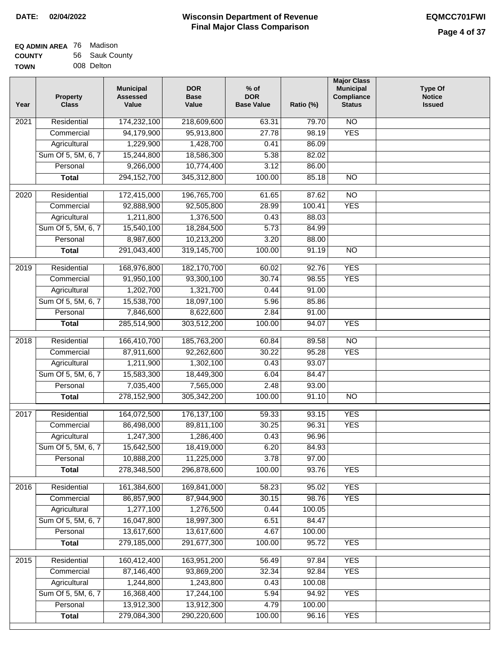| EQ ADMIN AREA 76 | Madison        |
|------------------|----------------|
| <b>COUNTY</b>    | 56 Sauk County |
| <b>TOWN</b>      | 008 Delton     |

| Year             | <b>Property</b><br><b>Class</b> | <b>Municipal</b><br><b>Assessed</b><br>Value | <b>DOR</b><br><b>Base</b><br>Value | $%$ of<br><b>DOR</b><br><b>Base Value</b> | Ratio (%)       | <b>Major Class</b><br><b>Municipal</b><br>Compliance<br><b>Status</b> | <b>Type Of</b><br><b>Notice</b><br><b>Issued</b> |
|------------------|---------------------------------|----------------------------------------------|------------------------------------|-------------------------------------------|-----------------|-----------------------------------------------------------------------|--------------------------------------------------|
| 2021             | Residential                     | 174,232,100                                  | 218,609,600                        | 63.31                                     | 79.70           | $\overline{NO}$                                                       |                                                  |
|                  | Commercial                      | 94,179,900                                   | 95,913,800                         | 27.78                                     | 98.19           | <b>YES</b>                                                            |                                                  |
|                  | Agricultural                    | 1,229,900                                    | 1,428,700                          | 0.41                                      | 86.09           |                                                                       |                                                  |
|                  | Sum Of 5, 5M, 6, 7              | 15,244,800                                   | 18,586,300                         | 5.38                                      | 82.02           |                                                                       |                                                  |
|                  | Personal                        | 9,266,000                                    | 10,774,400                         | 3.12                                      | 86.00           |                                                                       |                                                  |
|                  | <b>Total</b>                    | 294, 152, 700                                | 345,312,800                        | 100.00                                    | 85.18           | <b>NO</b>                                                             |                                                  |
| 2020             | Residential                     | 172,415,000                                  | 196,765,700                        | 61.65                                     | 87.62           | $\overline{NO}$                                                       |                                                  |
|                  | Commercial                      | 92,888,900                                   | 92,505,800                         | 28.99                                     | 100.41          | <b>YES</b>                                                            |                                                  |
|                  | Agricultural                    | 1,211,800                                    | 1,376,500                          | 0.43                                      | 88.03           |                                                                       |                                                  |
|                  | Sum Of 5, 5M, 6, 7              | 15,540,100                                   | 18,284,500                         | 5.73                                      | 84.99           |                                                                       |                                                  |
|                  | Personal                        | 8,987,600                                    | 10,213,200                         | 3.20                                      | 88.00           |                                                                       |                                                  |
|                  | <b>Total</b>                    | 291,043,400                                  | 319,145,700                        | 100.00                                    | 91.19           | $\overline{NO}$                                                       |                                                  |
|                  |                                 |                                              |                                    |                                           |                 |                                                                       |                                                  |
| $\frac{1}{2019}$ | Residential                     | 168,976,800                                  | 182,170,700                        | 60.02                                     | 92.76           | <b>YES</b>                                                            |                                                  |
|                  | Commercial                      | 91,950,100                                   | 93,300,100                         | 30.74                                     | 98.55           | <b>YES</b>                                                            |                                                  |
|                  | Agricultural                    | 1,202,700                                    | 1,321,700                          | 0.44                                      | 91.00           |                                                                       |                                                  |
|                  | Sum Of 5, 5M, 6, 7              | 15,538,700                                   | 18,097,100                         | 5.96                                      | 85.86           |                                                                       |                                                  |
|                  | Personal                        | 7,846,600                                    | 8,622,600                          | 2.84                                      | 91.00           |                                                                       |                                                  |
|                  | <b>Total</b>                    | 285,514,900                                  | 303,512,200                        | 100.00                                    | 94.07           | <b>YES</b>                                                            |                                                  |
| 2018             | Residential                     | 166,410,700                                  | 185,763,200                        | 60.84                                     | 89.58           | $\overline{NO}$                                                       |                                                  |
|                  | Commercial                      | 87,911,600                                   | 92,262,600                         | 30.22                                     | 95.28           | <b>YES</b>                                                            |                                                  |
|                  | Agricultural                    | 1,211,900                                    | 1,302,100                          | 0.43                                      | 93.07           |                                                                       |                                                  |
|                  | Sum Of 5, 5M, 6, 7              | 15,583,300                                   | 18,449,300                         | 6.04                                      | 84.47           |                                                                       |                                                  |
|                  | Personal                        | 7,035,400                                    | 7,565,000                          | 2.48                                      | 93.00           |                                                                       |                                                  |
|                  | <b>Total</b>                    | 278,152,900                                  | 305,342,200                        | 100.00                                    | 91.10           | <b>NO</b>                                                             |                                                  |
|                  |                                 |                                              |                                    |                                           |                 |                                                                       |                                                  |
| 2017             | Residential                     | 164,072,500                                  | 176, 137, 100                      | 59.33                                     | 93.15           | <b>YES</b>                                                            |                                                  |
|                  | Commercial                      | 86,498,000                                   | 89,811,100                         | 30.25                                     | 96.31           | <b>YES</b>                                                            |                                                  |
|                  | Agricultural                    | 1,247,300                                    | 1,286,400                          | 0.43                                      | 96.96           |                                                                       |                                                  |
|                  | Sum Of 5, 5M, 6, 7              | 15,642,500                                   | 18,419,000                         | 6.20                                      | 84.93           |                                                                       |                                                  |
|                  | Personal                        | 10,888,200                                   | 11,225,000                         | 3.78                                      | 97.00           |                                                                       |                                                  |
|                  | <b>Total</b>                    | 278,348,500                                  | 296,878,600                        | 100.00                                    | 93.76           | <b>YES</b>                                                            |                                                  |
| 2016             | Residential                     | 161,384,600                                  | 169,841,000                        | 58.23                                     | 95.02           | <b>YES</b>                                                            |                                                  |
|                  | Commercial                      | 86,857,900                                   | 87,944,900                         | 30.15                                     | 98.76           | <b>YES</b>                                                            |                                                  |
|                  | Agricultural                    | 1,277,100                                    | 1,276,500                          | 0.44                                      | 100.05          |                                                                       |                                                  |
|                  | Sum Of 5, 5M, 6, 7              | 16,047,800                                   | 18,997,300                         | 6.51                                      | 84.47           |                                                                       |                                                  |
|                  | Personal                        | 13,617,600                                   | 13,617,600                         | 4.67                                      | 100.00          |                                                                       |                                                  |
|                  | <b>Total</b>                    | 279,185,000                                  | 291,677,300                        | 100.00                                    | 95.72           | <b>YES</b>                                                            |                                                  |
|                  |                                 |                                              |                                    |                                           |                 |                                                                       |                                                  |
| 2015             | Residential                     | 160,412,400                                  | 163,951,200                        | 56.49                                     | 97.84           | <b>YES</b>                                                            |                                                  |
|                  | Commercial                      | 87,146,400                                   | 93,869,200                         | 32.34                                     | 92.84           | <b>YES</b>                                                            |                                                  |
|                  | Agricultural                    | 1,244,800                                    | 1,243,800                          | 0.43                                      | 100.08          |                                                                       |                                                  |
|                  | Sum Of 5, 5M, 6, 7              | 16,368,400                                   | 17,244,100                         | 5.94                                      | 94.92           | <b>YES</b>                                                            |                                                  |
|                  | Personal                        | 13,912,300<br>279,084,300                    | 13,912,300<br>290,220,600          | 4.79<br>100.00                            | 100.00<br>96.16 | <b>YES</b>                                                            |                                                  |
|                  | <b>Total</b>                    |                                              |                                    |                                           |                 |                                                                       |                                                  |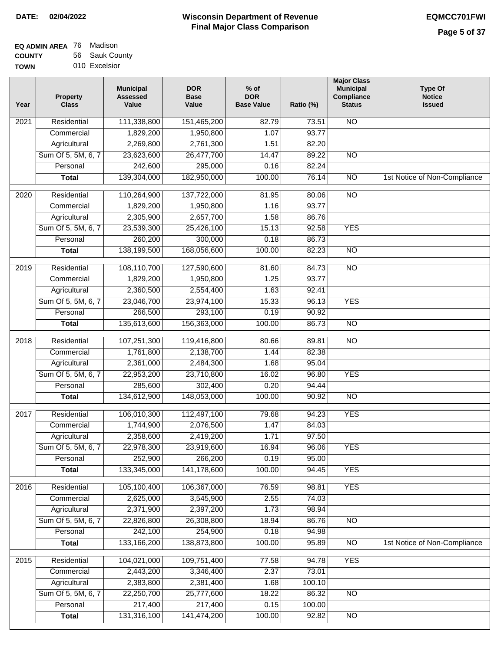| EQ ADMIN AREA 76 Madison |                |
|--------------------------|----------------|
| <b>COUNTY</b>            | 56 Sauk County |

**TOWN** 010 Excelsior

| Year              | <b>Property</b><br><b>Class</b> | <b>Municipal</b><br><b>Assessed</b><br>Value | <b>DOR</b><br><b>Base</b><br>Value | % of<br><b>DOR</b><br><b>Base Value</b> | Ratio (%) | <b>Major Class</b><br><b>Municipal</b><br>Compliance<br><b>Status</b> | <b>Type Of</b><br><b>Notice</b><br><b>Issued</b> |
|-------------------|---------------------------------|----------------------------------------------|------------------------------------|-----------------------------------------|-----------|-----------------------------------------------------------------------|--------------------------------------------------|
| $\overline{202}1$ | Residential                     | 111,338,800                                  | 151,465,200                        | 82.79                                   | 73.51     | N <sub>O</sub>                                                        |                                                  |
|                   | Commercial                      | 1,829,200                                    | 1,950,800                          | 1.07                                    | 93.77     |                                                                       |                                                  |
|                   | Agricultural                    | 2,269,800                                    | 2,761,300                          | 1.51                                    | 82.20     |                                                                       |                                                  |
|                   | Sum Of 5, 5M, 6, 7              | 23,623,600                                   | 26,477,700                         | 14.47                                   | 89.22     | $\overline{NO}$                                                       |                                                  |
|                   | Personal                        | 242,600                                      | 295,000                            | 0.16                                    | 82.24     |                                                                       |                                                  |
|                   | <b>Total</b>                    | 139,304,000                                  | 182,950,000                        | 100.00                                  | 76.14     | $\overline{NO}$                                                       | 1st Notice of Non-Compliance                     |
| $\overline{2020}$ | Residential                     | 110,264,900                                  | 137,722,000                        | 81.95                                   | 80.06     | $\overline{NO}$                                                       |                                                  |
|                   | Commercial                      | 1,829,200                                    | 1,950,800                          | 1.16                                    | 93.77     |                                                                       |                                                  |
|                   | Agricultural                    | 2,305,900                                    | 2,657,700                          | 1.58                                    | 86.76     |                                                                       |                                                  |
|                   | Sum Of 5, 5M, 6, 7              | 23,539,300                                   | 25,426,100                         | 15.13                                   | 92.58     | <b>YES</b>                                                            |                                                  |
|                   | Personal                        | 260,200                                      | 300,000                            | 0.18                                    | 86.73     |                                                                       |                                                  |
|                   | <b>Total</b>                    | 138,199,500                                  | 168,056,600                        | 100.00                                  | 82.23     | $\overline{NO}$                                                       |                                                  |
| 2019              | Residential                     | 108,110,700                                  | 127,590,600                        | 81.60                                   | 84.73     | $\overline{3}$                                                        |                                                  |
|                   | Commercial                      | 1,829,200                                    | 1,950,800                          | 1.25                                    | 93.77     |                                                                       |                                                  |
|                   | Agricultural                    | 2,360,500                                    | 2,554,400                          | 1.63                                    | 92.41     |                                                                       |                                                  |
|                   | Sum Of 5, 5M, 6, 7              | 23,046,700                                   | 23,974,100                         | 15.33                                   | 96.13     | <b>YES</b>                                                            |                                                  |
|                   | Personal                        | 266,500                                      | 293,100                            | 0.19                                    | 90.92     |                                                                       |                                                  |
|                   | <b>Total</b>                    | 135,613,600                                  | 156,363,000                        | 100.00                                  | 86.73     | $\overline{NO}$                                                       |                                                  |
| 2018              | Residential                     | 107,251,300                                  | 119,416,800                        | 80.66                                   | 89.81     | $\overline{10}$                                                       |                                                  |
|                   | Commercial                      | 1,761,800                                    | 2,138,700                          | 1.44                                    | 82.38     |                                                                       |                                                  |
|                   | Agricultural                    | 2,361,000                                    | 2,484,300                          | 1.68                                    | 95.04     |                                                                       |                                                  |
|                   | Sum Of 5, 5M, 6, 7              | 22,953,200                                   | 23,710,800                         | 16.02                                   | 96.80     | <b>YES</b>                                                            |                                                  |
|                   | Personal                        | 285,600                                      | 302,400                            | 0.20                                    | 94.44     |                                                                       |                                                  |
|                   | <b>Total</b>                    | 134,612,900                                  | 148,053,000                        | 100.00                                  | 90.92     | <b>NO</b>                                                             |                                                  |
| 2017              | Residential                     | 106,010,300                                  | 112,497,100                        | 79.68                                   | 94.23     | <b>YES</b>                                                            |                                                  |
|                   | Commercial                      | 1,744,900                                    | 2,076,500                          | 1.47                                    | 84.03     |                                                                       |                                                  |
|                   | Agricultural                    | 2,358,600                                    | 2,419,200                          | 1.71                                    | 97.50     |                                                                       |                                                  |
|                   | Sum Of 5, 5M, 6, 7              | 22,978,300                                   | 23,919,600                         | 16.94                                   | 96.06     | <b>YES</b>                                                            |                                                  |
|                   | Personal                        | 252,900                                      | 266,200                            | 0.19                                    | 95.00     |                                                                       |                                                  |
|                   | <b>Total</b>                    | 133,345,000                                  | 141,178,600                        | 100.00                                  | 94.45     | <b>YES</b>                                                            |                                                  |
| 2016              | Residential                     | 105,100,400                                  | 106,367,000                        | 76.59                                   | 98.81     | <b>YES</b>                                                            |                                                  |
|                   | Commercial                      | 2,625,000                                    | 3,545,900                          | 2.55                                    | 74.03     |                                                                       |                                                  |
|                   | Agricultural                    | 2,371,900                                    | 2,397,200                          | 1.73                                    | 98.94     |                                                                       |                                                  |
|                   | Sum Of 5, 5M, 6, 7              | 22,826,800                                   | 26,308,800                         | 18.94                                   | 86.76     | $\overline{NO}$                                                       |                                                  |
|                   | Personal                        | 242,100                                      | 254,900                            | 0.18                                    | 94.98     |                                                                       |                                                  |
|                   | <b>Total</b>                    | 133,166,200                                  | 138,873,800                        | 100.00                                  | 95.89     | $\overline{NO}$                                                       | 1st Notice of Non-Compliance                     |
| 2015              | Residential                     | 104,021,000                                  | 109,751,400                        | 77.58                                   | 94.78     | <b>YES</b>                                                            |                                                  |
|                   | Commercial                      | 2,443,200                                    | 3,346,400                          | 2.37                                    | 73.01     |                                                                       |                                                  |
|                   | Agricultural                    | 2,383,800                                    | 2,381,400                          | 1.68                                    | 100.10    |                                                                       |                                                  |
|                   | Sum Of 5, 5M, 6, 7              | 22,250,700                                   | 25,777,600                         | 18.22                                   | 86.32     | <b>NO</b>                                                             |                                                  |
|                   | Personal                        | 217,400                                      | 217,400                            | 0.15                                    | 100.00    |                                                                       |                                                  |
|                   | <b>Total</b>                    | 131,316,100                                  | 141,474,200                        | 100.00                                  | 92.82     | N <sub>O</sub>                                                        |                                                  |
|                   |                                 |                                              |                                    |                                         |           |                                                                       |                                                  |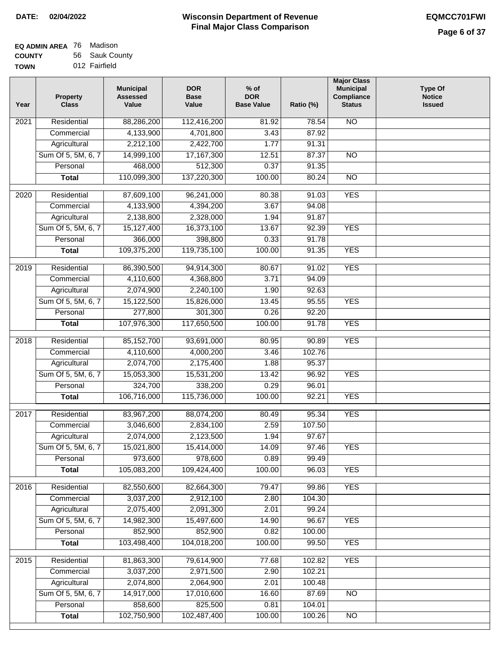# **Wisconsin Department of Revenue DATE: 02/04/2022 EQMCC701FWI Final Major Class Comparison**

**Type Of Notice Issued**

| EQ ADMIN AREA 76 | Madison        |
|------------------|----------------|
| <b>COUNTY</b>    | 56 Sauk County |
| <b>TOWN</b>      | 012 Fairfield  |

| <b>TOWN</b>       | 012 Fairfield                   |                                              |                                    |                                           |           |                                                                              |
|-------------------|---------------------------------|----------------------------------------------|------------------------------------|-------------------------------------------|-----------|------------------------------------------------------------------------------|
| Year              | <b>Property</b><br><b>Class</b> | <b>Municipal</b><br><b>Assessed</b><br>Value | <b>DOR</b><br><b>Base</b><br>Value | $%$ of<br><b>DOR</b><br><b>Base Value</b> | Ratio (%) | <b>Major Class</b><br><b>Municipal</b><br><b>Compliance</b><br><b>Status</b> |
| $\overline{202}1$ | Residential                     | 88,286,200                                   | 112,416,200                        | 81.92                                     | 78.54     | <b>NO</b>                                                                    |
|                   | Commercial                      | 4,133,900                                    | 4,701,800                          | 3.43                                      | 87.92     |                                                                              |
|                   | Agricultural                    | 2,212,100                                    | 2,422,700                          | 1.77                                      | 91.31     |                                                                              |
|                   | Sum Of 5, 5M, 6, 7              | 14,999,100                                   | 17,167,300                         | 12.51                                     | 87.37     | N <sub>O</sub>                                                               |
|                   | Personal                        | 468,000                                      | 512,300                            | 0.37                                      | 91.35     |                                                                              |
|                   | <b>Total</b>                    | 110,099,300                                  | 137,220,300                        | 100.00                                    | 80.24     | $\overline{NO}$                                                              |
| 2020              | Residential                     | 87,609,100                                   | 96,241,000                         | 80.38                                     | 91.03     | <b>YES</b>                                                                   |
|                   | Commercial                      | 4,133,900                                    | 4,394,200                          | 3.67                                      | 94.08     |                                                                              |
|                   | Agricultural                    | 2,138,800                                    | 2,328,000                          | 1.94                                      | 91.87     |                                                                              |
|                   | Sum Of 5, 5M, 6, 7              | 15,127,400                                   | 16,373,100                         | 13.67                                     | 92.39     | <b>YES</b>                                                                   |
|                   | Personal                        | 366,000                                      | 398,800                            | 0.33                                      | 91.78     |                                                                              |
|                   | <b>Total</b>                    | 109,375,200                                  | 119,735,100                        | 100.00                                    | 91.35     | <b>YES</b>                                                                   |
| 2019              | Residential                     | 86,390,500                                   | 94,914,300                         | 80.67                                     | 91.02     | <b>YES</b>                                                                   |
|                   | Commercial                      | 4,110,600                                    | 4,368,800                          | 3.71                                      | 94.09     |                                                                              |
|                   | Agricultural                    | 2,074,900                                    | 2,240,100                          | 1.90                                      | 92.63     |                                                                              |
|                   | Sum Of 5, 5M, 6, 7              | 15,122,500                                   | 15,826,000                         | 13.45                                     | 95.55     | <b>YES</b>                                                                   |
|                   | Personal                        | 277,800                                      | 301,300                            | 0.26                                      | 92.20     |                                                                              |
|                   | <b>Total</b>                    | 107,976,300                                  | 117,650,500                        | 100.00                                    | 91.78     | <b>YES</b>                                                                   |
|                   |                                 |                                              |                                    |                                           |           |                                                                              |
| 2018              | Residential                     | 85,152,700                                   | 93,691,000                         | 80.95                                     | 90.89     | <b>YES</b>                                                                   |
|                   | Commercial                      | 4,110,600                                    | 4,000,200                          | $\overline{3.46}$                         | 102.76    |                                                                              |
|                   | Agricultural                    | 2,074,700                                    | 2,175,400                          | 1.88                                      | 95.37     |                                                                              |

|      | Sum Of 5, 5M, 6, 7 | 15,127,400   | 16,373,100  | 13.67  | 92.39  | <b>YES</b>      |  |
|------|--------------------|--------------|-------------|--------|--------|-----------------|--|
|      | Personal           | 366,000      | 398,800     | 0.33   | 91.78  |                 |  |
|      | <b>Total</b>       | 109,375,200  | 119,735,100 | 100.00 | 91.35  | <b>YES</b>      |  |
| 2019 | Residential        | 86,390,500   | 94,914,300  | 80.67  | 91.02  | <b>YES</b>      |  |
|      | Commercial         | 4,110,600    | 4,368,800   | 3.71   | 94.09  |                 |  |
|      | Agricultural       | 2,074,900    | 2,240,100   | 1.90   | 92.63  |                 |  |
|      | Sum Of 5, 5M, 6, 7 | 15,122,500   | 15,826,000  | 13.45  | 95.55  | <b>YES</b>      |  |
|      | Personal           | 277,800      | 301,300     | 0.26   | 92.20  |                 |  |
|      | <b>Total</b>       | 107,976,300  | 117,650,500 | 100.00 | 91.78  | <b>YES</b>      |  |
| 2018 | Residential        | 85, 152, 700 | 93,691,000  | 80.95  | 90.89  | <b>YES</b>      |  |
|      | Commercial         | 4,110,600    | 4,000,200   | 3.46   | 102.76 |                 |  |
|      | Agricultural       | 2,074,700    | 2,175,400   | 1.88   | 95.37  |                 |  |
|      | Sum Of 5, 5M, 6, 7 | 15,053,300   | 15,531,200  | 13.42  | 96.92  | <b>YES</b>      |  |
|      | Personal           | 324,700      | 338,200     | 0.29   | 96.01  |                 |  |
|      | <b>Total</b>       | 106,716,000  | 115,736,000 | 100.00 | 92.21  | <b>YES</b>      |  |
| 2017 | Residential        | 83,967,200   | 88,074,200  | 80.49  | 95.34  | <b>YES</b>      |  |
|      | Commercial         | 3,046,600    | 2,834,100   | 2.59   | 107.50 |                 |  |
|      | Agricultural       | 2,074,000    | 2,123,500   | 1.94   | 97.67  |                 |  |
|      | Sum Of 5, 5M, 6, 7 | 15,021,800   | 15,414,000  | 14.09  | 97.46  | <b>YES</b>      |  |
|      | Personal           | 973,600      | 978,600     | 0.89   | 99.49  |                 |  |
|      | <b>Total</b>       | 105,083,200  | 109,424,400 | 100.00 | 96.03  | <b>YES</b>      |  |
|      |                    |              |             |        |        |                 |  |
| 2016 | Residential        | 82,550,600   | 82,664,300  | 79.47  | 99.86  | <b>YES</b>      |  |
|      | Commercial         | 3,037,200    | 2,912,100   | 2.80   | 104.30 |                 |  |
|      | Agricultural       | 2,075,400    | 2,091,300   | 2.01   | 99.24  |                 |  |
|      | Sum Of 5, 5M, 6, 7 | 14,982,300   | 15,497,600  | 14.90  | 96.67  | <b>YES</b>      |  |
|      | Personal           | 852,900      | 852,900     | 0.82   | 100.00 |                 |  |
|      | <b>Total</b>       | 103,498,400  | 104,018,200 | 100.00 | 99.50  | <b>YES</b>      |  |
| 2015 | Residential        | 81,863,300   | 79,614,900  | 77.68  | 102.82 | <b>YES</b>      |  |
|      | Commercial         | 3,037,200    | 2,971,500   | 2.90   | 102.21 |                 |  |
|      | Agricultural       | 2,074,800    | 2,064,900   | 2.01   | 100.48 |                 |  |
|      | Sum Of 5, 5M, 6, 7 | 14,917,000   | 17,010,600  | 16.60  | 87.69  | $\overline{NO}$ |  |
|      | Personal           | 858,600      | 825,500     | 0.81   | 104.01 |                 |  |
|      | <b>Total</b>       | 102,750,900  | 102,487,400 | 100.00 | 100.26 | $\overline{NO}$ |  |
|      |                    |              |             |        |        |                 |  |
|      |                    |              |             |        |        |                 |  |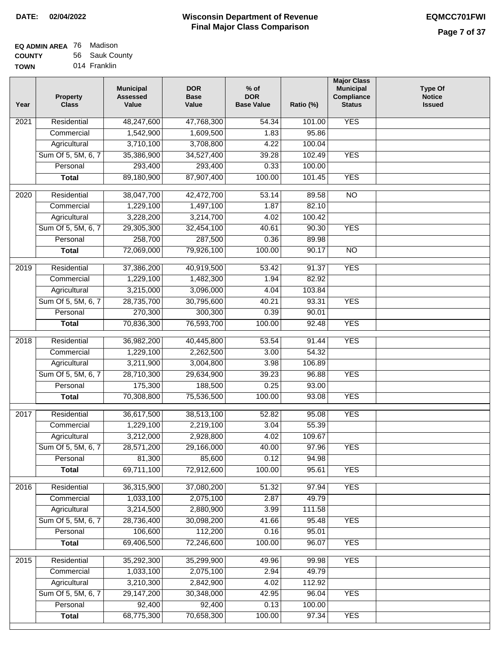| EQ ADMIN AREA 76 | Madison        |
|------------------|----------------|
| <b>COUNTY</b>    | 56 Sauk County |
| <b>TOWN</b>      | 014 Franklin   |

014 Franklin

| Year              | <b>Property</b><br><b>Class</b> | <b>Municipal</b><br><b>Assessed</b><br>Value | <b>DOR</b><br><b>Base</b><br>Value | $%$ of<br><b>DOR</b><br><b>Base Value</b> | Ratio (%)      | <b>Major Class</b><br><b>Municipal</b><br>Compliance<br><b>Status</b> | <b>Type Of</b><br><b>Notice</b><br><b>Issued</b> |
|-------------------|---------------------------------|----------------------------------------------|------------------------------------|-------------------------------------------|----------------|-----------------------------------------------------------------------|--------------------------------------------------|
| $\overline{202}1$ | Residential                     | 48,247,600                                   | 47,768,300                         | $\frac{1}{54.34}$                         | 101.00         | <b>YES</b>                                                            |                                                  |
|                   | Commercial                      | 1,542,900                                    | 1,609,500                          | 1.83                                      | 95.86          |                                                                       |                                                  |
|                   | Agricultural                    | 3,710,100                                    | 3,708,800                          | 4.22                                      | 100.04         |                                                                       |                                                  |
|                   | Sum Of 5, 5M, 6, 7              | 35,386,900                                   | 34,527,400                         | 39.28                                     | 102.49         | <b>YES</b>                                                            |                                                  |
|                   | Personal                        | 293,400                                      | 293,400                            | 0.33                                      | 100.00         |                                                                       |                                                  |
|                   | <b>Total</b>                    | 89,180,900                                   | 87,907,400                         | 100.00                                    | 101.45         | <b>YES</b>                                                            |                                                  |
| $\overline{2020}$ | Residential                     | 38,047,700                                   | 42,472,700                         | 53.14                                     | 89.58          | $\overline{10}$                                                       |                                                  |
|                   | Commercial                      | 1,229,100                                    | 1,497,100                          | 1.87                                      | 82.10          |                                                                       |                                                  |
|                   | Agricultural                    | 3,228,200                                    | 3,214,700                          | 4.02                                      | 100.42         |                                                                       |                                                  |
|                   | Sum Of 5, 5M, 6, 7              | 29,305,300                                   | 32,454,100                         | 40.61                                     | 90.30          | <b>YES</b>                                                            |                                                  |
|                   | Personal                        | 258,700                                      | 287,500                            | 0.36                                      | 89.98          |                                                                       |                                                  |
|                   | <b>Total</b>                    | 72,069,000                                   | 79,926,100                         | 100.00                                    | 90.17          | $\overline{NO}$                                                       |                                                  |
|                   |                                 |                                              |                                    |                                           |                |                                                                       |                                                  |
| 2019              | Residential                     | 37,386,200                                   | 40,919,500                         | 53.42                                     | 91.37          | <b>YES</b>                                                            |                                                  |
|                   | Commercial                      | 1,229,100                                    | 1,482,300                          | 1.94                                      | 82.92          |                                                                       |                                                  |
|                   | Agricultural                    | 3,215,000                                    | 3,096,000                          | 4.04                                      | 103.84         |                                                                       |                                                  |
|                   | Sum Of 5, 5M, 6, 7              | 28,735,700                                   | 30,795,600                         | 40.21                                     | 93.31          | <b>YES</b>                                                            |                                                  |
|                   | Personal                        | 270,300                                      | 300,300                            | 0.39<br>100.00                            | 90.01<br>92.48 | <b>YES</b>                                                            |                                                  |
|                   | <b>Total</b>                    | 70,836,300                                   | 76,593,700                         |                                           |                |                                                                       |                                                  |
| 2018              | Residential                     | 36,982,200                                   | 40,445,800                         | 53.54                                     | 91.44          | <b>YES</b>                                                            |                                                  |
|                   | Commercial                      | 1,229,100                                    | 2,262,500                          | 3.00                                      | 54.32          |                                                                       |                                                  |
|                   | Agricultural                    | 3,211,900                                    | 3,004,800                          | 3.98                                      | 106.89         |                                                                       |                                                  |
|                   | Sum Of 5, 5M, 6, 7              | 28,710,300                                   | 29,634,900                         | 39.23                                     | 96.88          | <b>YES</b>                                                            |                                                  |
|                   | Personal                        | 175,300                                      | 188,500                            | 0.25                                      | 93.00          |                                                                       |                                                  |
|                   | <b>Total</b>                    | 70,308,800                                   | 75,536,500                         | 100.00                                    | 93.08          | <b>YES</b>                                                            |                                                  |
| $\overline{2017}$ | Residential                     | 36,617,500                                   | 38,513,100                         | 52.82                                     | 95.08          | <b>YES</b>                                                            |                                                  |
|                   | Commercial                      | 1,229,100                                    | 2,219,100                          | 3.04                                      | 55.39          |                                                                       |                                                  |
|                   | Agricultural                    | 3,212,000                                    | 2,928,800                          | 4.02                                      | 109.67         |                                                                       |                                                  |
|                   | Sum Of 5, 5M, 6, 7              | 28,571,200                                   | 29,166,000                         | 40.00                                     | 97.96          | <b>YES</b>                                                            |                                                  |
|                   | Personal                        | 81,300                                       | 85,600                             | 0.12                                      | 94.98          |                                                                       |                                                  |
|                   | <b>Total</b>                    | 69,711,100                                   | 72,912,600                         | 100.00                                    | 95.61          | <b>YES</b>                                                            |                                                  |
| 2016              | Residential                     | 36,315,900                                   | 37,080,200                         | 51.32                                     | 97.94          | <b>YES</b>                                                            |                                                  |
|                   | Commercial                      | 1,033,100                                    | 2,075,100                          | 2.87                                      | 49.79          |                                                                       |                                                  |
|                   | Agricultural                    | 3,214,500                                    | 2,880,900                          | 3.99                                      | 111.58         |                                                                       |                                                  |
|                   | Sum Of 5, 5M, 6, 7              | 28,736,400                                   | 30,098,200                         | 41.66                                     | 95.48          | <b>YES</b>                                                            |                                                  |
|                   | Personal                        | 106,600                                      | 112,200                            | 0.16                                      | 95.01          |                                                                       |                                                  |
|                   | <b>Total</b>                    | 69,406,500                                   | 72,246,600                         | 100.00                                    | 96.07          | <b>YES</b>                                                            |                                                  |
| 2015              | Residential                     | 35,292,300                                   | 35,299,900                         | 49.96                                     | 99.98          | <b>YES</b>                                                            |                                                  |
|                   | Commercial                      | 1,033,100                                    | 2,075,100                          | 2.94                                      | 49.79          |                                                                       |                                                  |
|                   | Agricultural                    | 3,210,300                                    | 2,842,900                          | 4.02                                      | 112.92         |                                                                       |                                                  |
|                   | Sum Of 5, 5M, 6, 7              | 29,147,200                                   | 30,348,000                         | 42.95                                     | 96.04          | <b>YES</b>                                                            |                                                  |
|                   | Personal                        | 92,400                                       | 92,400                             | 0.13                                      | 100.00         |                                                                       |                                                  |
|                   | <b>Total</b>                    | 68,775,300                                   | 70,658,300                         | 100.00                                    | 97.34          | <b>YES</b>                                                            |                                                  |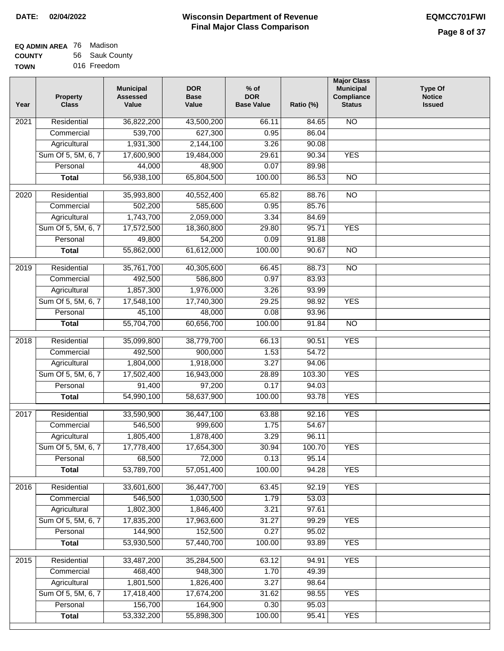| EQ ADMIN AREA 76 | Madison        |
|------------------|----------------|
| <b>COUNTY</b>    | 56 Sauk County |
| <b>TOWN</b>      | 016 Freedom    |

016 Freedom

| Year              | <b>Property</b><br><b>Class</b> | <b>Municipal</b><br><b>Assessed</b><br>Value | <b>DOR</b><br><b>Base</b><br>Value | % of<br><b>DOR</b><br><b>Base Value</b> | Ratio (%) | <b>Major Class</b><br><b>Municipal</b><br>Compliance<br><b>Status</b> | <b>Type Of</b><br><b>Notice</b><br><b>Issued</b> |
|-------------------|---------------------------------|----------------------------------------------|------------------------------------|-----------------------------------------|-----------|-----------------------------------------------------------------------|--------------------------------------------------|
| $\overline{202}1$ | Residential                     | 36,822,200                                   | 43,500,200                         | 66.11                                   | 84.65     | <b>NO</b>                                                             |                                                  |
|                   | Commercial                      | 539,700                                      | 627,300                            | 0.95                                    | 86.04     |                                                                       |                                                  |
|                   | Agricultural                    | 1,931,300                                    | 2,144,100                          | 3.26                                    | 90.08     |                                                                       |                                                  |
|                   | Sum Of 5, 5M, 6, 7              | 17,600,900                                   | 19,484,000                         | 29.61                                   | 90.34     | <b>YES</b>                                                            |                                                  |
|                   | Personal                        | 44,000                                       | 48,900                             | 0.07                                    | 89.98     |                                                                       |                                                  |
|                   | <b>Total</b>                    | 56,938,100                                   | 65,804,500                         | 100.00                                  | 86.53     | $\overline{NO}$                                                       |                                                  |
| $\overline{2020}$ | Residential                     | 35,993,800                                   | 40,552,400                         | 65.82                                   | 88.76     | $\overline{NO}$                                                       |                                                  |
|                   | Commercial                      | 502,200                                      | 585,600                            | 0.95                                    | 85.76     |                                                                       |                                                  |
|                   | Agricultural                    | 1,743,700                                    | 2,059,000                          | 3.34                                    | 84.69     |                                                                       |                                                  |
|                   | Sum Of 5, 5M, 6, 7              | 17,572,500                                   | 18,360,800                         | 29.80                                   | 95.71     | <b>YES</b>                                                            |                                                  |
|                   | Personal                        | 49,800                                       | 54,200                             | 0.09                                    | 91.88     |                                                                       |                                                  |
|                   | <b>Total</b>                    | 55,862,000                                   | 61,612,000                         | 100.00                                  | 90.67     | $\overline{NO}$                                                       |                                                  |
| $\frac{1}{2019}$  | Residential                     | 35,761,700                                   | 40,305,600                         | 66.45                                   | 88.73     | $\overline{3}$                                                        |                                                  |
|                   | Commercial                      | 492,500                                      | 586,800                            | 0.97                                    | 83.93     |                                                                       |                                                  |
|                   | Agricultural                    | 1,857,300                                    | 1,976,000                          | 3.26                                    | 93.99     |                                                                       |                                                  |
|                   | Sum Of 5, 5M, 6, 7              | 17,548,100                                   | 17,740,300                         | 29.25                                   | 98.92     | <b>YES</b>                                                            |                                                  |
|                   | Personal                        | 45,100                                       | 48,000                             | 0.08                                    | 93.96     |                                                                       |                                                  |
|                   | <b>Total</b>                    | 55,704,700                                   | 60,656,700                         | 100.00                                  | 91.84     | $\overline{NO}$                                                       |                                                  |
| 2018              | Residential                     | 35,099,800                                   | 38,779,700                         | 66.13                                   | 90.51     | <b>YES</b>                                                            |                                                  |
|                   | Commercial                      | 492,500                                      | 900,000                            | 1.53                                    | 54.72     |                                                                       |                                                  |
|                   | Agricultural                    | 1,804,000                                    | 1,918,000                          | 3.27                                    | 94.06     |                                                                       |                                                  |
|                   | Sum Of 5, 5M, 6, 7              | 17,502,400                                   | 16,943,000                         | 28.89                                   | 103.30    | <b>YES</b>                                                            |                                                  |
|                   | Personal                        | 91,400                                       | 97,200                             | 0.17                                    | 94.03     |                                                                       |                                                  |
|                   | <b>Total</b>                    | 54,990,100                                   | 58,637,900                         | 100.00                                  | 93.78     | <b>YES</b>                                                            |                                                  |
| $\overline{2017}$ | Residential                     | 33,590,900                                   | 36,447,100                         | 63.88                                   | 92.16     | <b>YES</b>                                                            |                                                  |
|                   | Commercial                      | 546,500                                      | 999,600                            | 1.75                                    | 54.67     |                                                                       |                                                  |
|                   | Agricultural                    | 1,805,400                                    | 1,878,400                          | 3.29                                    | 96.11     |                                                                       |                                                  |
|                   | Sum Of 5, 5M, 6, 7              | 17,778,400                                   | 17,654,300                         | 30.94                                   | 100.70    | <b>YES</b>                                                            |                                                  |
|                   | Personal                        | 68,500                                       | 72,000                             | 0.13                                    | 95.14     |                                                                       |                                                  |
|                   | <b>Total</b>                    | 53,789,700                                   | 57,051,400                         | 100.00                                  | 94.28     | <b>YES</b>                                                            |                                                  |
| 2016              | Residential                     | 33,601,600                                   | 36,447,700                         | 63.45                                   | 92.19     | <b>YES</b>                                                            |                                                  |
|                   | Commercial                      | 546,500                                      | 1,030,500                          | 1.79                                    | 53.03     |                                                                       |                                                  |
|                   | Agricultural                    | 1,802,300                                    | 1,846,400                          | 3.21                                    | 97.61     |                                                                       |                                                  |
|                   | Sum Of 5, 5M, 6, 7              | 17,835,200                                   | 17,963,600                         | 31.27                                   | 99.29     | <b>YES</b>                                                            |                                                  |
|                   | Personal                        | 144,900                                      | 152,500                            | 0.27                                    | 95.02     |                                                                       |                                                  |
|                   | <b>Total</b>                    | 53,930,500                                   | 57,440,700                         | 100.00                                  | 93.89     | <b>YES</b>                                                            |                                                  |
| 2015              | Residential                     | 33,487,200                                   | 35,284,500                         | 63.12                                   | 94.91     | <b>YES</b>                                                            |                                                  |
|                   | Commercial                      | 468,400                                      | 948,300                            | 1.70                                    | 49.39     |                                                                       |                                                  |
|                   | Agricultural                    | 1,801,500                                    | 1,826,400                          | 3.27                                    | 98.64     |                                                                       |                                                  |
|                   | Sum Of 5, 5M, 6, 7              | 17,418,400                                   | 17,674,200                         | 31.62                                   | 98.55     | <b>YES</b>                                                            |                                                  |
|                   | Personal                        | 156,700                                      | 164,900                            | 0.30                                    | 95.03     |                                                                       |                                                  |
|                   | <b>Total</b>                    | 53,332,200                                   | 55,898,300                         | 100.00                                  | 95.41     | <b>YES</b>                                                            |                                                  |
|                   |                                 |                                              |                                    |                                         |           |                                                                       |                                                  |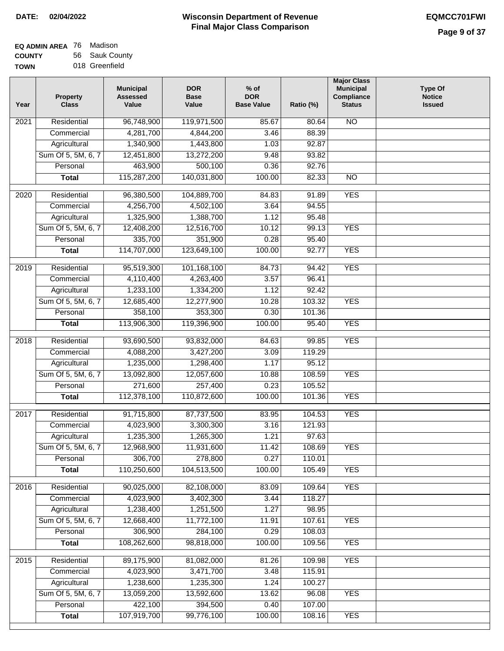| EQ ADMIN AREA 76 Madison |                |
|--------------------------|----------------|
| <b>COUNTY</b>            | 56 Sauk County |

**TOWN** 018 Greenfield

| Year              | <b>Property</b><br><b>Class</b> | <b>Municipal</b><br><b>Assessed</b><br>Value | <b>DOR</b><br><b>Base</b><br>Value | $%$ of<br><b>DOR</b><br><b>Base Value</b> | Ratio (%) | <b>Major Class</b><br><b>Municipal</b><br>Compliance<br><b>Status</b> | Type Of<br><b>Notice</b><br><b>Issued</b> |
|-------------------|---------------------------------|----------------------------------------------|------------------------------------|-------------------------------------------|-----------|-----------------------------------------------------------------------|-------------------------------------------|
| $\overline{202}1$ | Residential                     | 96,748,900                                   | 119,971,500                        | 85.67                                     | 80.64     | <b>NO</b>                                                             |                                           |
|                   | Commercial                      | 4,281,700                                    | 4,844,200                          | 3.46                                      | 88.39     |                                                                       |                                           |
|                   | Agricultural                    | 1,340,900                                    | 1,443,800                          | 1.03                                      | 92.87     |                                                                       |                                           |
|                   | Sum Of 5, 5M, 6, 7              | 12,451,800                                   | 13,272,200                         | 9.48                                      | 93.82     |                                                                       |                                           |
|                   | Personal                        | 463,900                                      | 500,100                            | 0.36                                      | 92.76     |                                                                       |                                           |
|                   | <b>Total</b>                    | 115,287,200                                  | 140,031,800                        | 100.00                                    | 82.33     | $\overline{NO}$                                                       |                                           |
| $\overline{2020}$ | Residential                     | 96,380,500                                   | 104,889,700                        | 84.83                                     | 91.89     | <b>YES</b>                                                            |                                           |
|                   | Commercial                      | 4,256,700                                    | 4,502,100                          | 3.64                                      | 94.55     |                                                                       |                                           |
|                   | Agricultural                    | 1,325,900                                    | 1,388,700                          | 1.12                                      | 95.48     |                                                                       |                                           |
|                   | Sum Of 5, 5M, 6, 7              | 12,408,200                                   | 12,516,700                         | 10.12                                     | 99.13     | <b>YES</b>                                                            |                                           |
|                   | Personal                        | 335,700                                      | 351,900                            | 0.28                                      | 95.40     |                                                                       |                                           |
|                   | <b>Total</b>                    | 114,707,000                                  | 123,649,100                        | 100.00                                    | 92.77     | <b>YES</b>                                                            |                                           |
| 2019              | Residential                     | 95,519,300                                   | 101,168,100                        | 84.73                                     | 94.42     | <b>YES</b>                                                            |                                           |
|                   | Commercial                      | 4,110,400                                    | 4,263,400                          | 3.57                                      | 96.41     |                                                                       |                                           |
|                   | Agricultural                    | 1,233,100                                    | 1,334,200                          | 1.12                                      | 92.42     |                                                                       |                                           |
|                   | Sum Of 5, 5M, 6, 7              | 12,685,400                                   | 12,277,900                         | 10.28                                     | 103.32    | <b>YES</b>                                                            |                                           |
|                   | Personal                        | 358,100                                      | 353,300                            | 0.30                                      | 101.36    |                                                                       |                                           |
|                   | <b>Total</b>                    | 113,906,300                                  | 119,396,900                        | 100.00                                    | 95.40     | <b>YES</b>                                                            |                                           |
|                   |                                 |                                              |                                    |                                           |           |                                                                       |                                           |
| 2018              | Residential                     | 93,690,500                                   | 93,832,000                         | 84.63                                     | 99.85     | <b>YES</b>                                                            |                                           |
|                   | Commercial                      | 4,088,200                                    | 3,427,200                          | 3.09                                      | 119.29    |                                                                       |                                           |
|                   | Agricultural                    | 1,235,000                                    | 1,298,400                          | 1.17                                      | 95.12     |                                                                       |                                           |
|                   | Sum Of 5, 5M, 6, 7              | 13,092,800                                   | 12,057,600                         | 10.88                                     | 108.59    | <b>YES</b>                                                            |                                           |
|                   | Personal                        | 271,600                                      | 257,400                            | 0.23                                      | 105.52    |                                                                       |                                           |
|                   | <b>Total</b>                    | 112,378,100                                  | 110,872,600                        | 100.00                                    | 101.36    | <b>YES</b>                                                            |                                           |
| 2017              | Residential                     | 91,715,800                                   | 87,737,500                         | 83.95                                     | 104.53    | <b>YES</b>                                                            |                                           |
|                   | Commercial                      | 4,023,900                                    | 3,300,300                          | 3.16                                      | 121.93    |                                                                       |                                           |
|                   | Agricultural                    | 1,235,300                                    | 1,265,300                          | 1.21                                      | 97.63     |                                                                       |                                           |
|                   | Sum Of 5, 5M, 6, 7              | 12,968,900                                   | 11,931,600                         | 11.42                                     | 108.69    | <b>YES</b>                                                            |                                           |
|                   | Personal                        | 306,700                                      | 278,800                            | 0.27                                      | 110.01    |                                                                       |                                           |
|                   | <b>Total</b>                    | 110,250,600                                  | 104,513,500                        | 100.00                                    | 105.49    | <b>YES</b>                                                            |                                           |
| 2016              | Residential                     | 90,025,000                                   | 82,108,000                         | 83.09                                     | 109.64    | <b>YES</b>                                                            |                                           |
|                   | Commercial                      | 4,023,900                                    | 3,402,300                          | 3.44                                      | 118.27    |                                                                       |                                           |
|                   | Agricultural                    | 1,238,400                                    | 1,251,500                          | 1.27                                      | 98.95     |                                                                       |                                           |
|                   | Sum Of 5, 5M, 6, 7              | 12,668,400                                   | 11,772,100                         | 11.91                                     | 107.61    | <b>YES</b>                                                            |                                           |
|                   | Personal                        | 306,900                                      | 284,100                            | 0.29                                      | 108.03    |                                                                       |                                           |
|                   | <b>Total</b>                    | 108,262,600                                  | 98,818,000                         | 100.00                                    | 109.56    | <b>YES</b>                                                            |                                           |
|                   |                                 |                                              |                                    |                                           |           |                                                                       |                                           |
| 2015              | Residential                     | 89,175,900                                   | 81,082,000                         | 81.26                                     | 109.98    | <b>YES</b>                                                            |                                           |
|                   | Commercial                      | 4,023,900                                    | 3,471,700                          | 3.48                                      | 115.91    |                                                                       |                                           |
|                   | Agricultural                    | 1,238,600                                    | 1,235,300                          | 1.24                                      | 100.27    |                                                                       |                                           |
|                   | Sum Of 5, 5M, 6, 7              | 13,059,200                                   | 13,592,600                         | 13.62                                     | 96.08     | <b>YES</b>                                                            |                                           |
|                   | Personal                        | 422,100                                      | 394,500                            | 0.40                                      | 107.00    |                                                                       |                                           |
|                   | <b>Total</b>                    | 107,919,700                                  | 99,776,100                         | 100.00                                    | 108.16    | <b>YES</b>                                                            |                                           |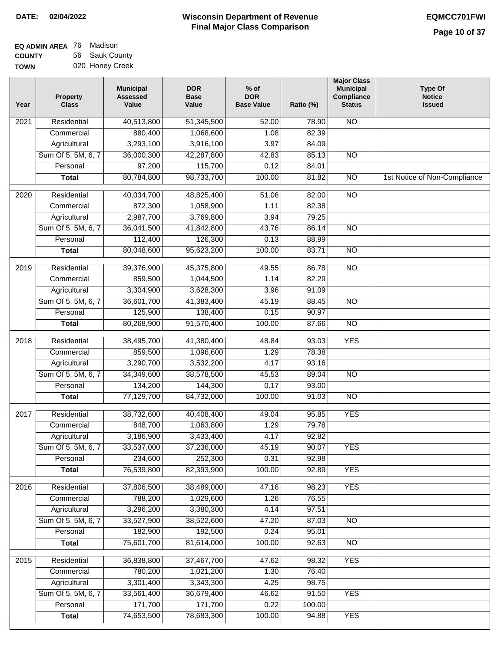| <b>EQ ADMIN AREA</b> 76 Madison |                 |
|---------------------------------|-----------------|
| <b>COUNTY</b>                   | 56 Sauk County  |
| <b>TOWN</b>                     | 020 Honey Creek |

| Year | <b>Property</b><br><b>Class</b> | <b>Municipal</b><br><b>Assessed</b><br>Value | <b>DOR</b><br><b>Base</b><br>Value | $%$ of<br><b>DOR</b><br><b>Base Value</b> | Ratio (%) | <b>Major Class</b><br><b>Municipal</b><br><b>Compliance</b><br><b>Status</b> | <b>Type Of</b><br><b>Notice</b><br><b>Issued</b> |
|------|---------------------------------|----------------------------------------------|------------------------------------|-------------------------------------------|-----------|------------------------------------------------------------------------------|--------------------------------------------------|
| 2021 | Residential                     | 40,513,800                                   | 51,345,500                         | 52.00                                     | 78.90     | $\overline{NO}$                                                              |                                                  |
|      | Commercial                      | 880,400                                      | 1,068,600                          | 1.08                                      | 82.39     |                                                                              |                                                  |
|      | Agricultural                    | 3,293,100                                    | 3,916,100                          | 3.97                                      | 84.09     |                                                                              |                                                  |
|      | Sum Of 5, 5M, 6, 7              | 36,000,300                                   | 42,287,800                         | 42.83                                     | 85.13     | $\overline{NO}$                                                              |                                                  |
|      | Personal                        | 97,200                                       | 115,700                            | 0.12                                      | 84.01     |                                                                              |                                                  |
|      | <b>Total</b>                    | 80,784,800                                   | 98,733,700                         | 100.00                                    | 81.82     | $\overline{NO}$                                                              | 1st Notice of Non-Compliance                     |
| 2020 | Residential                     | 40,034,700                                   | 48,825,400                         | 51.06                                     | 82.00     | $\overline{NO}$                                                              |                                                  |
|      | Commercial                      | 872,300                                      | 1,058,900                          | 1.11                                      | 82.38     |                                                                              |                                                  |
|      | Agricultural                    | 2,987,700                                    | 3,769,800                          | 3.94                                      | 79.25     |                                                                              |                                                  |
|      | Sum Of 5, 5M, 6, 7              | 36,041,500                                   | 41,842,800                         | 43.76                                     | 86.14     | $\overline{NO}$                                                              |                                                  |
|      | Personal                        | 112,400                                      | 126,300                            | 0.13                                      | 88.99     |                                                                              |                                                  |
|      | <b>Total</b>                    | 80,048,600                                   | 95,623,200                         | 100.00                                    | 83.71     | $\overline{NO}$                                                              |                                                  |
| 2019 | Residential                     | 39,376,900                                   | 45,375,800                         | 49.55                                     | 86.78     | <b>NO</b>                                                                    |                                                  |
|      | Commercial                      | 859,500                                      | 1,044,500                          | 1.14                                      | 82.29     |                                                                              |                                                  |
|      | Agricultural                    | 3,304,900                                    | 3,628,300                          | 3.96                                      | 91.09     |                                                                              |                                                  |
|      | Sum Of 5, 5M, 6, 7              | 36,601,700                                   | 41,383,400                         | 45.19                                     | 88.45     | $\overline{NO}$                                                              |                                                  |
|      | Personal                        | 125,900                                      | 138,400                            | 0.15                                      | 90.97     |                                                                              |                                                  |
|      | <b>Total</b>                    | 80,268,900                                   | 91,570,400                         | 100.00                                    | 87.66     | $\overline{NO}$                                                              |                                                  |
| 2018 | Residential                     | 38,495,700                                   | 41,380,400                         | 48.84                                     | 93.03     | <b>YES</b>                                                                   |                                                  |
|      | Commercial                      | 859,500                                      | 1,096,600                          | 1.29                                      | 78.38     |                                                                              |                                                  |
|      | Agricultural                    | 3,290,700                                    | 3,532,200                          | 4.17                                      | 93.16     |                                                                              |                                                  |
|      | Sum Of 5, 5M, 6, 7              | 34,349,600                                   | 38,578,500                         | 45.53                                     | 89.04     | $\overline{NO}$                                                              |                                                  |
|      | Personal                        | 134,200                                      | 144,300                            | 0.17                                      | 93.00     |                                                                              |                                                  |
|      | <b>Total</b>                    | 77,129,700                                   | 84,732,000                         | 100.00                                    | 91.03     | <b>NO</b>                                                                    |                                                  |
| 2017 | Residential                     | 38,732,600                                   | 40,408,400                         | 49.04                                     | 95.85     | <b>YES</b>                                                                   |                                                  |
|      | Commercial                      | 848,700                                      | 1,063,800                          | 1.29                                      | 79.78     |                                                                              |                                                  |
|      | Agricultural                    | 3,186,900                                    | 3,433,400                          | 4.17                                      | 92.82     |                                                                              |                                                  |
|      | Sum Of 5, 5M, 6, 7              | 33,537,000                                   | 37,236,000                         | 45.19                                     | 90.07     | <b>YES</b>                                                                   |                                                  |
|      | Personal                        | 234,600                                      | 252,300                            | 0.31                                      | 92.98     |                                                                              |                                                  |
|      | <b>Total</b>                    | 76,539,800                                   | 82,393,900                         | 100.00                                    | 92.89     | <b>YES</b>                                                                   |                                                  |
| 2016 | Residential                     | 37,806,500                                   | 38,489,000                         | 47.16                                     | 98.23     | <b>YES</b>                                                                   |                                                  |
|      | Commercial                      | 788,200                                      | 1,029,600                          | 1.26                                      | 76.55     |                                                                              |                                                  |
|      | Agricultural                    | 3,296,200                                    | 3,380,300                          | 4.14                                      | 97.51     |                                                                              |                                                  |
|      | Sum Of 5, 5M, 6, 7              | 33,527,900                                   | 38,522,600                         | 47.20                                     | 87.03     | N <sub>O</sub>                                                               |                                                  |
|      | Personal                        | 182,900                                      | 192,500                            | 0.24                                      | 95.01     |                                                                              |                                                  |
|      | <b>Total</b>                    | 75,601,700                                   | 81,614,000                         | 100.00                                    | 92.63     | N <sub>O</sub>                                                               |                                                  |
| 2015 | Residential                     | 36,838,800                                   | 37,467,700                         | 47.62                                     | 98.32     | <b>YES</b>                                                                   |                                                  |
|      | Commercial                      | 780,200                                      | 1,021,200                          | 1.30                                      | 76.40     |                                                                              |                                                  |
|      | Agricultural                    | 3,301,400                                    | 3,343,300                          | 4.25                                      | 98.75     |                                                                              |                                                  |
|      | Sum Of 5, 5M, 6, 7              | 33,561,400                                   | 36,679,400                         | 46.62                                     | 91.50     | <b>YES</b>                                                                   |                                                  |
|      | Personal                        | 171,700                                      | 171,700                            | 0.22                                      | 100.00    |                                                                              |                                                  |
|      | <b>Total</b>                    | 74,653,500                                   | 78,683,300                         | 100.00                                    | 94.88     | <b>YES</b>                                                                   |                                                  |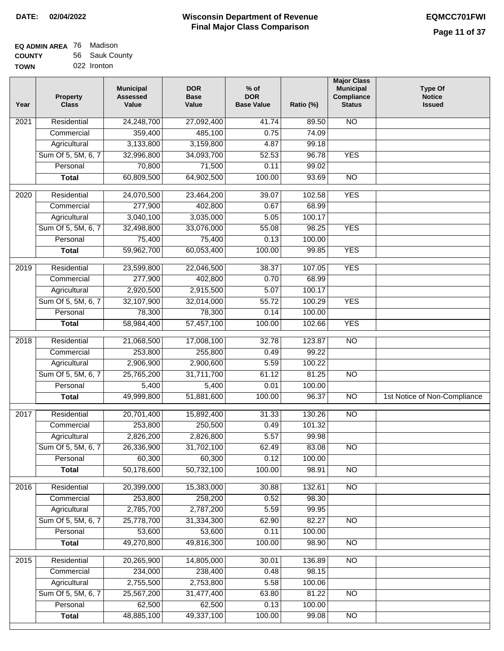| <b>EQ ADMIN AREA</b> 76 Madison |                |
|---------------------------------|----------------|
| <b>COUNTY</b>                   | 56 Sauk County |
| <b>TOWN</b>                     | 022 Ironton    |

| Year              | <b>Property</b><br><b>Class</b> | <b>Municipal</b><br><b>Assessed</b><br>Value | <b>DOR</b><br><b>Base</b><br>Value | $%$ of<br><b>DOR</b><br><b>Base Value</b> | Ratio (%) | <b>Major Class</b><br><b>Municipal</b><br>Compliance<br><b>Status</b> | <b>Type Of</b><br><b>Notice</b><br><b>Issued</b> |
|-------------------|---------------------------------|----------------------------------------------|------------------------------------|-------------------------------------------|-----------|-----------------------------------------------------------------------|--------------------------------------------------|
| $\overline{202}1$ | Residential                     | 24,248,700                                   | 27,092,400                         | 41.74                                     | 89.50     | N <sub>O</sub>                                                        |                                                  |
|                   | Commercial                      | 359,400                                      | 485,100                            | 0.75                                      | 74.09     |                                                                       |                                                  |
|                   | Agricultural                    | 3,133,800                                    | 3,159,800                          | 4.87                                      | 99.18     |                                                                       |                                                  |
|                   | Sum Of 5, 5M, 6, 7              | 32,996,800                                   | 34,093,700                         | 52.53                                     | 96.78     | <b>YES</b>                                                            |                                                  |
|                   | Personal                        | 70,800                                       | 71,500                             | 0.11                                      | 99.02     |                                                                       |                                                  |
|                   | <b>Total</b>                    | 60,809,500                                   | 64,902,500                         | 100.00                                    | 93.69     | $\overline{NO}$                                                       |                                                  |
| 2020              | Residential                     | 24,070,500                                   | 23,464,200                         | 39.07                                     | 102.58    | <b>YES</b>                                                            |                                                  |
|                   | Commercial                      | 277,900                                      | 402,800                            | 0.67                                      | 68.99     |                                                                       |                                                  |
|                   | Agricultural                    | 3,040,100                                    | 3,035,000                          | 5.05                                      | 100.17    |                                                                       |                                                  |
|                   | Sum Of 5, 5M, 6, 7              | 32,498,800                                   | 33,076,000                         | 55.08                                     | 98.25     | <b>YES</b>                                                            |                                                  |
|                   | Personal                        | 75,400                                       | 75,400                             | 0.13                                      | 100.00    |                                                                       |                                                  |
|                   | <b>Total</b>                    | 59,962,700                                   | 60,053,400                         | 100.00                                    | 99.85     | <b>YES</b>                                                            |                                                  |
| 2019              | Residential                     | 23,599,800                                   | 22,046,500                         | 38.37                                     | 107.05    | <b>YES</b>                                                            |                                                  |
|                   | Commercial                      | 277,900                                      | 402,800                            | 0.70                                      | 68.99     |                                                                       |                                                  |
|                   | Agricultural                    | 2,920,500                                    | 2,915,500                          | 5.07                                      | 100.17    |                                                                       |                                                  |
|                   | Sum Of 5, 5M, 6, 7              | 32,107,900                                   | 32,014,000                         | 55.72                                     | 100.29    | <b>YES</b>                                                            |                                                  |
|                   | Personal                        | 78,300                                       | 78,300                             | 0.14                                      | 100.00    |                                                                       |                                                  |
|                   | <b>Total</b>                    | 58,984,400                                   | 57,457,100                         | 100.00                                    | 102.66    | <b>YES</b>                                                            |                                                  |
| 2018              | Residential                     | 21,068,500                                   | 17,008,100                         | 32.78                                     | 123.87    | $\overline{NO}$                                                       |                                                  |
|                   | Commercial                      | 253,800                                      | 255,800                            | 0.49                                      | 99.22     |                                                                       |                                                  |
|                   | Agricultural                    | 2,906,900                                    | 2,900,600                          | 5.59                                      | 100.22    |                                                                       |                                                  |
|                   | Sum Of 5, 5M, 6, 7              | 25,765,200                                   | 31,711,700                         | 61.12                                     | 81.25     | $\overline{10}$                                                       |                                                  |
|                   | Personal                        | 5,400                                        | 5,400                              | 0.01                                      | 100.00    |                                                                       |                                                  |
|                   | <b>Total</b>                    | 49,999,800                                   | 51,881,600                         | 100.00                                    | 96.37     | $\overline{NO}$                                                       | 1st Notice of Non-Compliance                     |
| $\overline{20}17$ | Residential                     | 20,701,400                                   | 15,892,400                         | 31.33                                     | 130.26    | $\overline{NO}$                                                       |                                                  |
|                   | Commercial                      | 253,800                                      | 250,500                            | 0.49                                      | 101.32    |                                                                       |                                                  |
|                   | Agricultural                    | 2,826,200                                    | 2,826,800                          | 5.57                                      | 99.98     |                                                                       |                                                  |
|                   | Sum Of 5, 5M, 6, 7              | 26,336,900                                   | 31,702,100                         | 62.49                                     | 83.08     | <b>NO</b>                                                             |                                                  |
|                   | Personal                        | 60,300                                       | 60,300                             | 0.12                                      | 100.00    |                                                                       |                                                  |
|                   | <b>Total</b>                    | 50,178,600                                   | 50,732,100                         | 100.00                                    | 98.91     | <b>NO</b>                                                             |                                                  |
| 2016              | Residential                     | 20,399,000                                   | 15,383,000                         | 30.88                                     | 132.61    | N <sub>O</sub>                                                        |                                                  |
|                   | Commercial                      | 253,800                                      | 258,200                            | 0.52                                      | 98.30     |                                                                       |                                                  |
|                   | Agricultural                    | 2,785,700                                    | 2,787,200                          | 5.59                                      | 99.95     |                                                                       |                                                  |
|                   | Sum Of 5, 5M, 6, 7              | 25,778,700                                   | 31,334,300                         | 62.90                                     | 82.27     | $\overline{NO}$                                                       |                                                  |
|                   | Personal                        | 53,600                                       | 53,600                             | 0.11                                      | 100.00    |                                                                       |                                                  |
|                   | <b>Total</b>                    | 49,270,800                                   | 49,816,300                         | 100.00                                    | 98.90     | $\overline{NO}$                                                       |                                                  |
| 2015              | Residential                     | 20,265,900                                   | 14,805,000                         | 30.01                                     | 136.89    | N <sub>O</sub>                                                        |                                                  |
|                   | Commercial                      | 234,000                                      | 238,400                            | 0.48                                      | 98.15     |                                                                       |                                                  |
|                   | Agricultural                    | 2,755,500                                    | 2,753,800                          | 5.58                                      | 100.06    |                                                                       |                                                  |
|                   | Sum Of 5, 5M, 6, 7              | 25,567,200                                   | 31,477,400                         | 63.80                                     | 81.22     | $\overline{NO}$                                                       |                                                  |
|                   | Personal                        | 62,500                                       | 62,500                             | 0.13                                      | 100.00    |                                                                       |                                                  |
|                   | <b>Total</b>                    | 48,885,100                                   | 49,337,100                         | 100.00                                    | 99.08     | NO                                                                    |                                                  |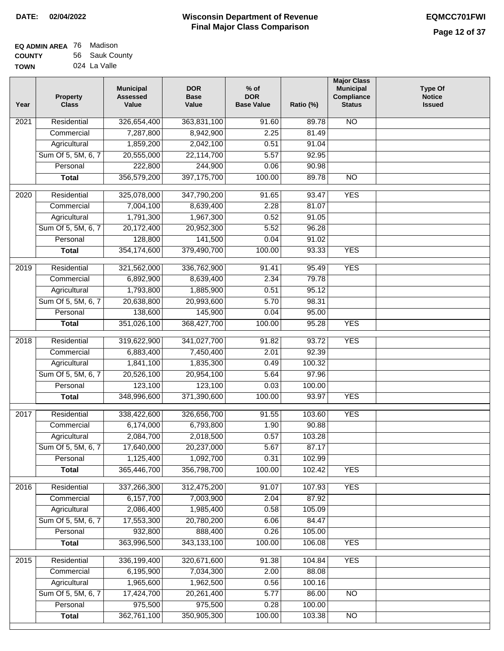| EQ ADMIN AREA 76 | Madison        |
|------------------|----------------|
| <b>COUNTY</b>    | 56 Sauk County |
| <b>TOWN</b>      | 024 La Valle   |

| <b>NO</b><br>$\overline{202}1$<br>Residential<br>326,654,400<br>363,831,100<br>91.60<br>89.78<br>7,287,800<br>2.25<br>81.49<br>Commercial<br>8,942,900<br>Agricultural<br>1,859,200<br>2,042,100<br>0.51<br>91.04<br>Sum Of 5, 5M, 6, 7<br>20,555,000<br>22,114,700<br>5.57<br>92.95<br>244,900<br>Personal<br>222,800<br>0.06<br>90.98<br>356,579,200<br>397, 175, 700<br>100.00<br>89.78<br>$\overline{NO}$<br><b>Total</b><br>325,078,000<br><b>YES</b><br>2020<br>Residential<br>347,790,200<br>91.65<br>93.47<br>7,004,100<br>Commercial<br>8,639,400<br>2.28<br>81.07<br>Agricultural<br>1,791,300<br>1,967,300<br>0.52<br>91.05<br>Sum Of 5, 5M, 6, 7<br>20,172,400<br>20,952,300<br>5.52<br>96.28<br>141,500<br>0.04<br>91.02<br>Personal<br>128,800<br><b>YES</b><br>354,174,600<br>379,490,700<br>100.00<br>93.33<br><b>Total</b><br><b>YES</b><br>2019<br>Residential<br>321,562,000<br>336,762,900<br>91.41<br>95.49<br>6,892,900<br>2.34<br>79.78<br>Commercial<br>8,639,400<br>95.12<br>1,793,800<br>1,885,900<br>0.51<br>Agricultural<br>Sum Of 5, 5M, 6, 7<br>20,638,800<br>20,993,600<br>5.70<br>98.31<br>138,600<br>145,900<br>Personal<br>0.04<br>95.00<br>351,026,100<br>100.00<br>95.28<br><b>YES</b><br>368,427,700<br><b>Total</b><br><b>YES</b><br>Residential<br>341,027,700<br>93.72<br>2018<br>319,622,900<br>91.82<br>Commercial<br>6,883,400<br>7,450,400<br>2.01<br>92.39<br>1,835,300<br>100.32<br>Agricultural<br>1,841,100<br>0.49<br>Sum Of 5, 5M, 6, 7<br>20,526,100<br>20,954,100<br>5.64<br>97.96<br>Personal<br>123,100<br>123,100<br>0.03<br>100.00<br>100.00<br>93.97<br><b>YES</b><br><b>Total</b><br>348,996,600<br>371,390,600<br>$\overline{2017}$<br>Residential<br>326,656,700<br><b>YES</b><br>338,422,600<br>91.55<br>103.60<br>Commercial<br>6,174,000<br>6,793,800<br>1.90<br>90.88<br>2,018,500<br>2,084,700<br>0.57<br>103.28<br>Agricultural<br>Sum Of 5, 5M, 6, 7<br>17,640,000<br>20,237,000<br>5.67<br>87.17<br>Personal<br>1,125,400<br>1,092,700<br>0.31<br>102.99<br>365,446,700<br>356,798,700<br>100.00<br>102.42<br><b>YES</b><br><b>Total</b><br><b>YES</b><br>Residential<br>337,266,300<br>312,475,200<br>2016<br>91.07<br>107.93<br>6,157,700<br>7,003,900<br>2.04<br>87.92<br>Commercial<br>2,086,400<br>Agricultural<br>1,985,400<br>0.58<br>105.09<br>Sum Of 5, 5M, 6, 7<br>17,553,300<br>20,780,200<br>6.06<br>84.47<br>Personal<br>932,800<br>888,400<br>0.26<br>105.00<br><b>YES</b><br>363,996,500<br>343,133,100<br>100.00<br>106.08<br><b>Total</b><br><b>YES</b><br>2015<br>Residential<br>336,199,400<br>320,671,600<br>91.38<br>104.84<br>6,195,900<br>2.00<br>88.08<br>Commercial<br>7,034,300<br>1,965,600<br>1,962,500<br>0.56<br>100.16<br>Agricultural<br>Sum Of 5, 5M, 6, 7<br>17,424,700<br>20,261,400<br>5.77<br>86.00<br><b>NO</b><br>975,500<br>975,500<br>Personal<br>0.28<br>100.00<br>362,761,100<br>350,905,300<br>100.00<br>103.38<br><b>Total</b><br>NO | Year | <b>Property</b><br><b>Class</b> | <b>Municipal</b><br><b>Assessed</b><br>Value | <b>DOR</b><br><b>Base</b><br>Value | $%$ of<br><b>DOR</b><br><b>Base Value</b> | Ratio (%) | <b>Major Class</b><br><b>Municipal</b><br>Compliance<br><b>Status</b> | <b>Type Of</b><br><b>Notice</b><br><b>Issued</b> |
|-------------------------------------------------------------------------------------------------------------------------------------------------------------------------------------------------------------------------------------------------------------------------------------------------------------------------------------------------------------------------------------------------------------------------------------------------------------------------------------------------------------------------------------------------------------------------------------------------------------------------------------------------------------------------------------------------------------------------------------------------------------------------------------------------------------------------------------------------------------------------------------------------------------------------------------------------------------------------------------------------------------------------------------------------------------------------------------------------------------------------------------------------------------------------------------------------------------------------------------------------------------------------------------------------------------------------------------------------------------------------------------------------------------------------------------------------------------------------------------------------------------------------------------------------------------------------------------------------------------------------------------------------------------------------------------------------------------------------------------------------------------------------------------------------------------------------------------------------------------------------------------------------------------------------------------------------------------------------------------------------------------------------------------------------------------------------------------------------------------------------------------------------------------------------------------------------------------------------------------------------------------------------------------------------------------------------------------------------------------------------------------------------------------------------------------------------------------------------------------------------------------------------------------------------------------------------------------------------------------------------------------------------------------------------------------------------------------------------------------------------------------------------------------------------------------------------------------------------------------------------------------------------------------------------------------------------------|------|---------------------------------|----------------------------------------------|------------------------------------|-------------------------------------------|-----------|-----------------------------------------------------------------------|--------------------------------------------------|
|                                                                                                                                                                                                                                                                                                                                                                                                                                                                                                                                                                                                                                                                                                                                                                                                                                                                                                                                                                                                                                                                                                                                                                                                                                                                                                                                                                                                                                                                                                                                                                                                                                                                                                                                                                                                                                                                                                                                                                                                                                                                                                                                                                                                                                                                                                                                                                                                                                                                                                                                                                                                                                                                                                                                                                                                                                                                                                                                                       |      |                                 |                                              |                                    |                                           |           |                                                                       |                                                  |
|                                                                                                                                                                                                                                                                                                                                                                                                                                                                                                                                                                                                                                                                                                                                                                                                                                                                                                                                                                                                                                                                                                                                                                                                                                                                                                                                                                                                                                                                                                                                                                                                                                                                                                                                                                                                                                                                                                                                                                                                                                                                                                                                                                                                                                                                                                                                                                                                                                                                                                                                                                                                                                                                                                                                                                                                                                                                                                                                                       |      |                                 |                                              |                                    |                                           |           |                                                                       |                                                  |
|                                                                                                                                                                                                                                                                                                                                                                                                                                                                                                                                                                                                                                                                                                                                                                                                                                                                                                                                                                                                                                                                                                                                                                                                                                                                                                                                                                                                                                                                                                                                                                                                                                                                                                                                                                                                                                                                                                                                                                                                                                                                                                                                                                                                                                                                                                                                                                                                                                                                                                                                                                                                                                                                                                                                                                                                                                                                                                                                                       |      |                                 |                                              |                                    |                                           |           |                                                                       |                                                  |
|                                                                                                                                                                                                                                                                                                                                                                                                                                                                                                                                                                                                                                                                                                                                                                                                                                                                                                                                                                                                                                                                                                                                                                                                                                                                                                                                                                                                                                                                                                                                                                                                                                                                                                                                                                                                                                                                                                                                                                                                                                                                                                                                                                                                                                                                                                                                                                                                                                                                                                                                                                                                                                                                                                                                                                                                                                                                                                                                                       |      |                                 |                                              |                                    |                                           |           |                                                                       |                                                  |
|                                                                                                                                                                                                                                                                                                                                                                                                                                                                                                                                                                                                                                                                                                                                                                                                                                                                                                                                                                                                                                                                                                                                                                                                                                                                                                                                                                                                                                                                                                                                                                                                                                                                                                                                                                                                                                                                                                                                                                                                                                                                                                                                                                                                                                                                                                                                                                                                                                                                                                                                                                                                                                                                                                                                                                                                                                                                                                                                                       |      |                                 |                                              |                                    |                                           |           |                                                                       |                                                  |
|                                                                                                                                                                                                                                                                                                                                                                                                                                                                                                                                                                                                                                                                                                                                                                                                                                                                                                                                                                                                                                                                                                                                                                                                                                                                                                                                                                                                                                                                                                                                                                                                                                                                                                                                                                                                                                                                                                                                                                                                                                                                                                                                                                                                                                                                                                                                                                                                                                                                                                                                                                                                                                                                                                                                                                                                                                                                                                                                                       |      |                                 |                                              |                                    |                                           |           |                                                                       |                                                  |
|                                                                                                                                                                                                                                                                                                                                                                                                                                                                                                                                                                                                                                                                                                                                                                                                                                                                                                                                                                                                                                                                                                                                                                                                                                                                                                                                                                                                                                                                                                                                                                                                                                                                                                                                                                                                                                                                                                                                                                                                                                                                                                                                                                                                                                                                                                                                                                                                                                                                                                                                                                                                                                                                                                                                                                                                                                                                                                                                                       |      |                                 |                                              |                                    |                                           |           |                                                                       |                                                  |
|                                                                                                                                                                                                                                                                                                                                                                                                                                                                                                                                                                                                                                                                                                                                                                                                                                                                                                                                                                                                                                                                                                                                                                                                                                                                                                                                                                                                                                                                                                                                                                                                                                                                                                                                                                                                                                                                                                                                                                                                                                                                                                                                                                                                                                                                                                                                                                                                                                                                                                                                                                                                                                                                                                                                                                                                                                                                                                                                                       |      |                                 |                                              |                                    |                                           |           |                                                                       |                                                  |
|                                                                                                                                                                                                                                                                                                                                                                                                                                                                                                                                                                                                                                                                                                                                                                                                                                                                                                                                                                                                                                                                                                                                                                                                                                                                                                                                                                                                                                                                                                                                                                                                                                                                                                                                                                                                                                                                                                                                                                                                                                                                                                                                                                                                                                                                                                                                                                                                                                                                                                                                                                                                                                                                                                                                                                                                                                                                                                                                                       |      |                                 |                                              |                                    |                                           |           |                                                                       |                                                  |
|                                                                                                                                                                                                                                                                                                                                                                                                                                                                                                                                                                                                                                                                                                                                                                                                                                                                                                                                                                                                                                                                                                                                                                                                                                                                                                                                                                                                                                                                                                                                                                                                                                                                                                                                                                                                                                                                                                                                                                                                                                                                                                                                                                                                                                                                                                                                                                                                                                                                                                                                                                                                                                                                                                                                                                                                                                                                                                                                                       |      |                                 |                                              |                                    |                                           |           |                                                                       |                                                  |
|                                                                                                                                                                                                                                                                                                                                                                                                                                                                                                                                                                                                                                                                                                                                                                                                                                                                                                                                                                                                                                                                                                                                                                                                                                                                                                                                                                                                                                                                                                                                                                                                                                                                                                                                                                                                                                                                                                                                                                                                                                                                                                                                                                                                                                                                                                                                                                                                                                                                                                                                                                                                                                                                                                                                                                                                                                                                                                                                                       |      |                                 |                                              |                                    |                                           |           |                                                                       |                                                  |
|                                                                                                                                                                                                                                                                                                                                                                                                                                                                                                                                                                                                                                                                                                                                                                                                                                                                                                                                                                                                                                                                                                                                                                                                                                                                                                                                                                                                                                                                                                                                                                                                                                                                                                                                                                                                                                                                                                                                                                                                                                                                                                                                                                                                                                                                                                                                                                                                                                                                                                                                                                                                                                                                                                                                                                                                                                                                                                                                                       |      |                                 |                                              |                                    |                                           |           |                                                                       |                                                  |
|                                                                                                                                                                                                                                                                                                                                                                                                                                                                                                                                                                                                                                                                                                                                                                                                                                                                                                                                                                                                                                                                                                                                                                                                                                                                                                                                                                                                                                                                                                                                                                                                                                                                                                                                                                                                                                                                                                                                                                                                                                                                                                                                                                                                                                                                                                                                                                                                                                                                                                                                                                                                                                                                                                                                                                                                                                                                                                                                                       |      |                                 |                                              |                                    |                                           |           |                                                                       |                                                  |
|                                                                                                                                                                                                                                                                                                                                                                                                                                                                                                                                                                                                                                                                                                                                                                                                                                                                                                                                                                                                                                                                                                                                                                                                                                                                                                                                                                                                                                                                                                                                                                                                                                                                                                                                                                                                                                                                                                                                                                                                                                                                                                                                                                                                                                                                                                                                                                                                                                                                                                                                                                                                                                                                                                                                                                                                                                                                                                                                                       |      |                                 |                                              |                                    |                                           |           |                                                                       |                                                  |
|                                                                                                                                                                                                                                                                                                                                                                                                                                                                                                                                                                                                                                                                                                                                                                                                                                                                                                                                                                                                                                                                                                                                                                                                                                                                                                                                                                                                                                                                                                                                                                                                                                                                                                                                                                                                                                                                                                                                                                                                                                                                                                                                                                                                                                                                                                                                                                                                                                                                                                                                                                                                                                                                                                                                                                                                                                                                                                                                                       |      |                                 |                                              |                                    |                                           |           |                                                                       |                                                  |
|                                                                                                                                                                                                                                                                                                                                                                                                                                                                                                                                                                                                                                                                                                                                                                                                                                                                                                                                                                                                                                                                                                                                                                                                                                                                                                                                                                                                                                                                                                                                                                                                                                                                                                                                                                                                                                                                                                                                                                                                                                                                                                                                                                                                                                                                                                                                                                                                                                                                                                                                                                                                                                                                                                                                                                                                                                                                                                                                                       |      |                                 |                                              |                                    |                                           |           |                                                                       |                                                  |
|                                                                                                                                                                                                                                                                                                                                                                                                                                                                                                                                                                                                                                                                                                                                                                                                                                                                                                                                                                                                                                                                                                                                                                                                                                                                                                                                                                                                                                                                                                                                                                                                                                                                                                                                                                                                                                                                                                                                                                                                                                                                                                                                                                                                                                                                                                                                                                                                                                                                                                                                                                                                                                                                                                                                                                                                                                                                                                                                                       |      |                                 |                                              |                                    |                                           |           |                                                                       |                                                  |
|                                                                                                                                                                                                                                                                                                                                                                                                                                                                                                                                                                                                                                                                                                                                                                                                                                                                                                                                                                                                                                                                                                                                                                                                                                                                                                                                                                                                                                                                                                                                                                                                                                                                                                                                                                                                                                                                                                                                                                                                                                                                                                                                                                                                                                                                                                                                                                                                                                                                                                                                                                                                                                                                                                                                                                                                                                                                                                                                                       |      |                                 |                                              |                                    |                                           |           |                                                                       |                                                  |
|                                                                                                                                                                                                                                                                                                                                                                                                                                                                                                                                                                                                                                                                                                                                                                                                                                                                                                                                                                                                                                                                                                                                                                                                                                                                                                                                                                                                                                                                                                                                                                                                                                                                                                                                                                                                                                                                                                                                                                                                                                                                                                                                                                                                                                                                                                                                                                                                                                                                                                                                                                                                                                                                                                                                                                                                                                                                                                                                                       |      |                                 |                                              |                                    |                                           |           |                                                                       |                                                  |
|                                                                                                                                                                                                                                                                                                                                                                                                                                                                                                                                                                                                                                                                                                                                                                                                                                                                                                                                                                                                                                                                                                                                                                                                                                                                                                                                                                                                                                                                                                                                                                                                                                                                                                                                                                                                                                                                                                                                                                                                                                                                                                                                                                                                                                                                                                                                                                                                                                                                                                                                                                                                                                                                                                                                                                                                                                                                                                                                                       |      |                                 |                                              |                                    |                                           |           |                                                                       |                                                  |
|                                                                                                                                                                                                                                                                                                                                                                                                                                                                                                                                                                                                                                                                                                                                                                                                                                                                                                                                                                                                                                                                                                                                                                                                                                                                                                                                                                                                                                                                                                                                                                                                                                                                                                                                                                                                                                                                                                                                                                                                                                                                                                                                                                                                                                                                                                                                                                                                                                                                                                                                                                                                                                                                                                                                                                                                                                                                                                                                                       |      |                                 |                                              |                                    |                                           |           |                                                                       |                                                  |
|                                                                                                                                                                                                                                                                                                                                                                                                                                                                                                                                                                                                                                                                                                                                                                                                                                                                                                                                                                                                                                                                                                                                                                                                                                                                                                                                                                                                                                                                                                                                                                                                                                                                                                                                                                                                                                                                                                                                                                                                                                                                                                                                                                                                                                                                                                                                                                                                                                                                                                                                                                                                                                                                                                                                                                                                                                                                                                                                                       |      |                                 |                                              |                                    |                                           |           |                                                                       |                                                  |
|                                                                                                                                                                                                                                                                                                                                                                                                                                                                                                                                                                                                                                                                                                                                                                                                                                                                                                                                                                                                                                                                                                                                                                                                                                                                                                                                                                                                                                                                                                                                                                                                                                                                                                                                                                                                                                                                                                                                                                                                                                                                                                                                                                                                                                                                                                                                                                                                                                                                                                                                                                                                                                                                                                                                                                                                                                                                                                                                                       |      |                                 |                                              |                                    |                                           |           |                                                                       |                                                  |
|                                                                                                                                                                                                                                                                                                                                                                                                                                                                                                                                                                                                                                                                                                                                                                                                                                                                                                                                                                                                                                                                                                                                                                                                                                                                                                                                                                                                                                                                                                                                                                                                                                                                                                                                                                                                                                                                                                                                                                                                                                                                                                                                                                                                                                                                                                                                                                                                                                                                                                                                                                                                                                                                                                                                                                                                                                                                                                                                                       |      |                                 |                                              |                                    |                                           |           |                                                                       |                                                  |
|                                                                                                                                                                                                                                                                                                                                                                                                                                                                                                                                                                                                                                                                                                                                                                                                                                                                                                                                                                                                                                                                                                                                                                                                                                                                                                                                                                                                                                                                                                                                                                                                                                                                                                                                                                                                                                                                                                                                                                                                                                                                                                                                                                                                                                                                                                                                                                                                                                                                                                                                                                                                                                                                                                                                                                                                                                                                                                                                                       |      |                                 |                                              |                                    |                                           |           |                                                                       |                                                  |
|                                                                                                                                                                                                                                                                                                                                                                                                                                                                                                                                                                                                                                                                                                                                                                                                                                                                                                                                                                                                                                                                                                                                                                                                                                                                                                                                                                                                                                                                                                                                                                                                                                                                                                                                                                                                                                                                                                                                                                                                                                                                                                                                                                                                                                                                                                                                                                                                                                                                                                                                                                                                                                                                                                                                                                                                                                                                                                                                                       |      |                                 |                                              |                                    |                                           |           |                                                                       |                                                  |
|                                                                                                                                                                                                                                                                                                                                                                                                                                                                                                                                                                                                                                                                                                                                                                                                                                                                                                                                                                                                                                                                                                                                                                                                                                                                                                                                                                                                                                                                                                                                                                                                                                                                                                                                                                                                                                                                                                                                                                                                                                                                                                                                                                                                                                                                                                                                                                                                                                                                                                                                                                                                                                                                                                                                                                                                                                                                                                                                                       |      |                                 |                                              |                                    |                                           |           |                                                                       |                                                  |
|                                                                                                                                                                                                                                                                                                                                                                                                                                                                                                                                                                                                                                                                                                                                                                                                                                                                                                                                                                                                                                                                                                                                                                                                                                                                                                                                                                                                                                                                                                                                                                                                                                                                                                                                                                                                                                                                                                                                                                                                                                                                                                                                                                                                                                                                                                                                                                                                                                                                                                                                                                                                                                                                                                                                                                                                                                                                                                                                                       |      |                                 |                                              |                                    |                                           |           |                                                                       |                                                  |
|                                                                                                                                                                                                                                                                                                                                                                                                                                                                                                                                                                                                                                                                                                                                                                                                                                                                                                                                                                                                                                                                                                                                                                                                                                                                                                                                                                                                                                                                                                                                                                                                                                                                                                                                                                                                                                                                                                                                                                                                                                                                                                                                                                                                                                                                                                                                                                                                                                                                                                                                                                                                                                                                                                                                                                                                                                                                                                                                                       |      |                                 |                                              |                                    |                                           |           |                                                                       |                                                  |
|                                                                                                                                                                                                                                                                                                                                                                                                                                                                                                                                                                                                                                                                                                                                                                                                                                                                                                                                                                                                                                                                                                                                                                                                                                                                                                                                                                                                                                                                                                                                                                                                                                                                                                                                                                                                                                                                                                                                                                                                                                                                                                                                                                                                                                                                                                                                                                                                                                                                                                                                                                                                                                                                                                                                                                                                                                                                                                                                                       |      |                                 |                                              |                                    |                                           |           |                                                                       |                                                  |
|                                                                                                                                                                                                                                                                                                                                                                                                                                                                                                                                                                                                                                                                                                                                                                                                                                                                                                                                                                                                                                                                                                                                                                                                                                                                                                                                                                                                                                                                                                                                                                                                                                                                                                                                                                                                                                                                                                                                                                                                                                                                                                                                                                                                                                                                                                                                                                                                                                                                                                                                                                                                                                                                                                                                                                                                                                                                                                                                                       |      |                                 |                                              |                                    |                                           |           |                                                                       |                                                  |
|                                                                                                                                                                                                                                                                                                                                                                                                                                                                                                                                                                                                                                                                                                                                                                                                                                                                                                                                                                                                                                                                                                                                                                                                                                                                                                                                                                                                                                                                                                                                                                                                                                                                                                                                                                                                                                                                                                                                                                                                                                                                                                                                                                                                                                                                                                                                                                                                                                                                                                                                                                                                                                                                                                                                                                                                                                                                                                                                                       |      |                                 |                                              |                                    |                                           |           |                                                                       |                                                  |
|                                                                                                                                                                                                                                                                                                                                                                                                                                                                                                                                                                                                                                                                                                                                                                                                                                                                                                                                                                                                                                                                                                                                                                                                                                                                                                                                                                                                                                                                                                                                                                                                                                                                                                                                                                                                                                                                                                                                                                                                                                                                                                                                                                                                                                                                                                                                                                                                                                                                                                                                                                                                                                                                                                                                                                                                                                                                                                                                                       |      |                                 |                                              |                                    |                                           |           |                                                                       |                                                  |
|                                                                                                                                                                                                                                                                                                                                                                                                                                                                                                                                                                                                                                                                                                                                                                                                                                                                                                                                                                                                                                                                                                                                                                                                                                                                                                                                                                                                                                                                                                                                                                                                                                                                                                                                                                                                                                                                                                                                                                                                                                                                                                                                                                                                                                                                                                                                                                                                                                                                                                                                                                                                                                                                                                                                                                                                                                                                                                                                                       |      |                                 |                                              |                                    |                                           |           |                                                                       |                                                  |
|                                                                                                                                                                                                                                                                                                                                                                                                                                                                                                                                                                                                                                                                                                                                                                                                                                                                                                                                                                                                                                                                                                                                                                                                                                                                                                                                                                                                                                                                                                                                                                                                                                                                                                                                                                                                                                                                                                                                                                                                                                                                                                                                                                                                                                                                                                                                                                                                                                                                                                                                                                                                                                                                                                                                                                                                                                                                                                                                                       |      |                                 |                                              |                                    |                                           |           |                                                                       |                                                  |
|                                                                                                                                                                                                                                                                                                                                                                                                                                                                                                                                                                                                                                                                                                                                                                                                                                                                                                                                                                                                                                                                                                                                                                                                                                                                                                                                                                                                                                                                                                                                                                                                                                                                                                                                                                                                                                                                                                                                                                                                                                                                                                                                                                                                                                                                                                                                                                                                                                                                                                                                                                                                                                                                                                                                                                                                                                                                                                                                                       |      |                                 |                                              |                                    |                                           |           |                                                                       |                                                  |
|                                                                                                                                                                                                                                                                                                                                                                                                                                                                                                                                                                                                                                                                                                                                                                                                                                                                                                                                                                                                                                                                                                                                                                                                                                                                                                                                                                                                                                                                                                                                                                                                                                                                                                                                                                                                                                                                                                                                                                                                                                                                                                                                                                                                                                                                                                                                                                                                                                                                                                                                                                                                                                                                                                                                                                                                                                                                                                                                                       |      |                                 |                                              |                                    |                                           |           |                                                                       |                                                  |
|                                                                                                                                                                                                                                                                                                                                                                                                                                                                                                                                                                                                                                                                                                                                                                                                                                                                                                                                                                                                                                                                                                                                                                                                                                                                                                                                                                                                                                                                                                                                                                                                                                                                                                                                                                                                                                                                                                                                                                                                                                                                                                                                                                                                                                                                                                                                                                                                                                                                                                                                                                                                                                                                                                                                                                                                                                                                                                                                                       |      |                                 |                                              |                                    |                                           |           |                                                                       |                                                  |
|                                                                                                                                                                                                                                                                                                                                                                                                                                                                                                                                                                                                                                                                                                                                                                                                                                                                                                                                                                                                                                                                                                                                                                                                                                                                                                                                                                                                                                                                                                                                                                                                                                                                                                                                                                                                                                                                                                                                                                                                                                                                                                                                                                                                                                                                                                                                                                                                                                                                                                                                                                                                                                                                                                                                                                                                                                                                                                                                                       |      |                                 |                                              |                                    |                                           |           |                                                                       |                                                  |
|                                                                                                                                                                                                                                                                                                                                                                                                                                                                                                                                                                                                                                                                                                                                                                                                                                                                                                                                                                                                                                                                                                                                                                                                                                                                                                                                                                                                                                                                                                                                                                                                                                                                                                                                                                                                                                                                                                                                                                                                                                                                                                                                                                                                                                                                                                                                                                                                                                                                                                                                                                                                                                                                                                                                                                                                                                                                                                                                                       |      |                                 |                                              |                                    |                                           |           |                                                                       |                                                  |
|                                                                                                                                                                                                                                                                                                                                                                                                                                                                                                                                                                                                                                                                                                                                                                                                                                                                                                                                                                                                                                                                                                                                                                                                                                                                                                                                                                                                                                                                                                                                                                                                                                                                                                                                                                                                                                                                                                                                                                                                                                                                                                                                                                                                                                                                                                                                                                                                                                                                                                                                                                                                                                                                                                                                                                                                                                                                                                                                                       |      |                                 |                                              |                                    |                                           |           |                                                                       |                                                  |
|                                                                                                                                                                                                                                                                                                                                                                                                                                                                                                                                                                                                                                                                                                                                                                                                                                                                                                                                                                                                                                                                                                                                                                                                                                                                                                                                                                                                                                                                                                                                                                                                                                                                                                                                                                                                                                                                                                                                                                                                                                                                                                                                                                                                                                                                                                                                                                                                                                                                                                                                                                                                                                                                                                                                                                                                                                                                                                                                                       |      |                                 |                                              |                                    |                                           |           |                                                                       |                                                  |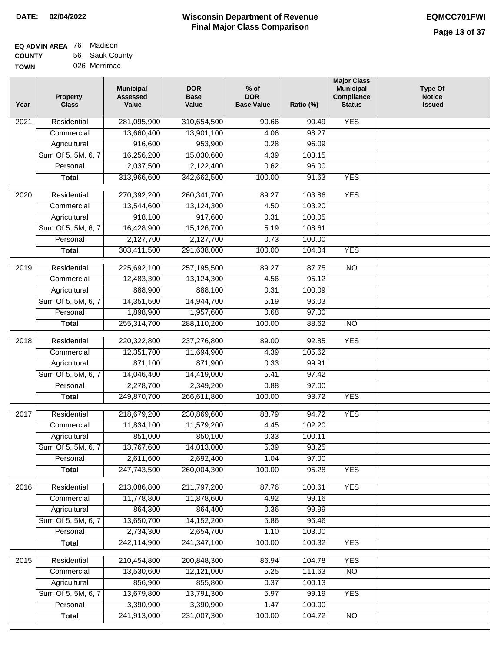| EQ ADMIN AREA 76 | Madison        |
|------------------|----------------|
| <b>COUNTY</b>    | 56 Sauk County |
| <b>TOWN</b>      | 026 Merrimac   |

| Year              | <b>Property</b><br><b>Class</b> | <b>Municipal</b><br><b>Assessed</b><br>Value | <b>DOR</b><br><b>Base</b><br>Value | $%$ of<br><b>DOR</b><br><b>Base Value</b> | Ratio (%) | <b>Major Class</b><br><b>Municipal</b><br>Compliance<br><b>Status</b> | Type Of<br><b>Notice</b><br><b>Issued</b> |
|-------------------|---------------------------------|----------------------------------------------|------------------------------------|-------------------------------------------|-----------|-----------------------------------------------------------------------|-------------------------------------------|
| 2021              | Residential                     | 281,095,900                                  | 310,654,500                        | 90.66                                     | 90.49     | <b>YES</b>                                                            |                                           |
|                   | Commercial                      | 13,660,400                                   | 13,901,100                         | 4.06                                      | 98.27     |                                                                       |                                           |
|                   | Agricultural                    | 916,600                                      | 953,900                            | 0.28                                      | 96.09     |                                                                       |                                           |
|                   | Sum Of 5, 5M, 6, 7              | 16,256,200                                   | 15,030,600                         | 4.39                                      | 108.15    |                                                                       |                                           |
|                   | Personal                        | 2,037,500                                    | 2,122,400                          | 0.62                                      | 96.00     |                                                                       |                                           |
|                   | <b>Total</b>                    | 313,966,600                                  | 342,662,500                        | 100.00                                    | 91.63     | <b>YES</b>                                                            |                                           |
| 2020              | Residential                     | 270,392,200                                  | 260, 341, 700                      | 89.27                                     | 103.86    | <b>YES</b>                                                            |                                           |
|                   | Commercial                      | 13,544,600                                   | 13,124,300                         | 4.50                                      | 103.20    |                                                                       |                                           |
|                   | Agricultural                    | 918,100                                      | 917,600                            | 0.31                                      | 100.05    |                                                                       |                                           |
|                   | Sum Of 5, 5M, 6, 7              | 16,428,900                                   | 15,126,700                         | 5.19                                      | 108.61    |                                                                       |                                           |
|                   | Personal                        | 2,127,700                                    | 2,127,700                          | 0.73                                      | 100.00    |                                                                       |                                           |
|                   | <b>Total</b>                    | 303,411,500                                  | 291,638,000                        | 100.00                                    | 104.04    | <b>YES</b>                                                            |                                           |
| 2019              | Residential                     | 225,692,100                                  | 257,195,500                        | 89.27                                     | 87.75     | $\overline{NO}$                                                       |                                           |
|                   | Commercial                      | 12,483,300                                   | 13,124,300                         | 4.56                                      | 95.12     |                                                                       |                                           |
|                   | Agricultural                    | 888,900                                      | 888,100                            | 0.31                                      | 100.09    |                                                                       |                                           |
|                   | Sum Of 5, 5M, 6, 7              | 14,351,500                                   | 14,944,700                         | 5.19                                      | 96.03     |                                                                       |                                           |
|                   | Personal                        | 1,898,900                                    | 1,957,600                          | 0.68                                      | 97.00     |                                                                       |                                           |
|                   | <b>Total</b>                    | 255,314,700                                  | 288,110,200                        | 100.00                                    | 88.62     | $\overline{NO}$                                                       |                                           |
| 2018              | Residential                     | 220,322,800                                  | 237,276,800                        | 89.00                                     | 92.85     | <b>YES</b>                                                            |                                           |
|                   | Commercial                      | 12,351,700                                   | 11,694,900                         | 4.39                                      | 105.62    |                                                                       |                                           |
|                   | Agricultural                    | 871,100                                      | 871,900                            | 0.33                                      | 99.91     |                                                                       |                                           |
|                   | Sum Of 5, 5M, 6, 7              | 14,046,400                                   | 14,419,000                         | 5.41                                      | 97.42     |                                                                       |                                           |
|                   | Personal                        | 2,278,700                                    | 2,349,200                          | 0.88                                      | 97.00     |                                                                       |                                           |
|                   | <b>Total</b>                    | 249,870,700                                  | 266,611,800                        | 100.00                                    | 93.72     | <b>YES</b>                                                            |                                           |
| $\overline{2017}$ | Residential                     | 218,679,200                                  | 230,869,600                        | 88.79                                     | 94.72     | <b>YES</b>                                                            |                                           |
|                   | Commercial                      | 11,834,100                                   | 11,579,200                         | 4.45                                      | 102.20    |                                                                       |                                           |
|                   | Agricultural                    | 851,000                                      | 850,100                            | 0.33                                      | 100.11    |                                                                       |                                           |
|                   | Sum Of 5, 5M, 6, 7              | 13,767,600                                   | 14,013,000                         | 5.39                                      | 98.25     |                                                                       |                                           |
|                   | Personal                        | 2,611,600                                    | 2,692,400                          | 1.04                                      | 97.00     |                                                                       |                                           |
|                   | <b>Total</b>                    | 247,743,500                                  | 260,004,300                        | 100.00                                    | 95.28     | <b>YES</b>                                                            |                                           |
| 2016              | Residential                     | 213,086,800                                  | 211,797,200                        | 87.76                                     | 100.61    | <b>YES</b>                                                            |                                           |
|                   | Commercial                      | 11,778,800                                   | 11,878,600                         | 4.92                                      | 99.16     |                                                                       |                                           |
|                   | Agricultural                    | 864,300                                      | 864,400                            | 0.36                                      | 99.99     |                                                                       |                                           |
|                   | Sum Of 5, 5M, 6, 7              | 13,650,700                                   | 14, 152, 200                       | 5.86                                      | 96.46     |                                                                       |                                           |
|                   | Personal                        | 2,734,300                                    | 2,654,700                          | 1.10                                      | 103.00    |                                                                       |                                           |
|                   | <b>Total</b>                    | 242,114,900                                  | 241, 347, 100                      | 100.00                                    | 100.32    | <b>YES</b>                                                            |                                           |
| 2015              | Residential                     | 210,454,800                                  | 200,848,300                        | 86.94                                     | 104.78    | <b>YES</b>                                                            |                                           |
|                   | Commercial                      | 13,530,600                                   | 12,121,000                         | 5.25                                      | 111.63    | $\overline{NO}$                                                       |                                           |
|                   | Agricultural                    | 856,900                                      | 855,800                            | 0.37                                      | 100.13    |                                                                       |                                           |
|                   | Sum Of 5, 5M, 6, 7              | 13,679,800                                   | 13,791,300                         | 5.97                                      | 99.19     | <b>YES</b>                                                            |                                           |
|                   | Personal                        | 3,390,900                                    | 3,390,900                          | 1.47                                      | 100.00    |                                                                       |                                           |
|                   | <b>Total</b>                    | 241,913,000                                  | 231,007,300                        | 100.00                                    | 104.72    | NO                                                                    |                                           |
|                   |                                 |                                              |                                    |                                           |           |                                                                       |                                           |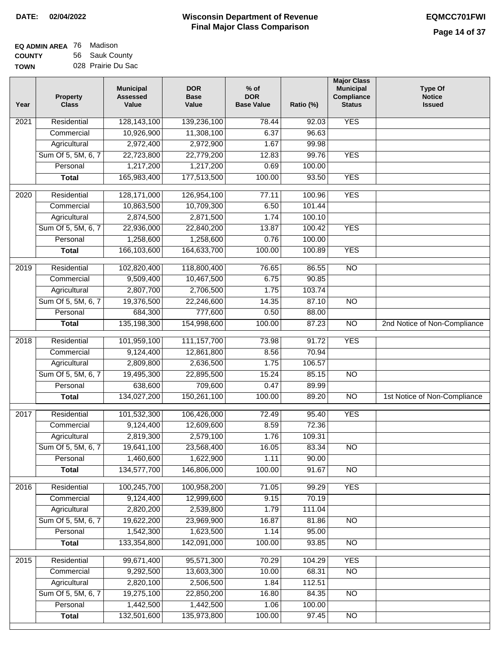| <b>EQ ADMIN AREA</b> 76 Madison |                    |
|---------------------------------|--------------------|
| <b>COUNTY</b>                   | 56 Sauk County     |
| <b>TOWN</b>                     | 028 Prairie Du Sac |

| Year              | <b>Property</b><br><b>Class</b> | <b>Municipal</b><br><b>Assessed</b><br>Value | <b>DOR</b><br><b>Base</b><br>Value | $%$ of<br><b>DOR</b><br><b>Base Value</b> | Ratio (%) | <b>Major Class</b><br><b>Municipal</b><br>Compliance<br><b>Status</b> | <b>Type Of</b><br><b>Notice</b><br><b>Issued</b> |
|-------------------|---------------------------------|----------------------------------------------|------------------------------------|-------------------------------------------|-----------|-----------------------------------------------------------------------|--------------------------------------------------|
| $\overline{202}1$ | Residential                     | 128,143,100                                  | 139,236,100                        | $\overline{78.44}$                        | 92.03     | <b>YES</b>                                                            |                                                  |
|                   | Commercial                      | 10,926,900                                   | 11,308,100                         | 6.37                                      | 96.63     |                                                                       |                                                  |
|                   | Agricultural                    | 2,972,400                                    | 2,972,900                          | 1.67                                      | 99.98     |                                                                       |                                                  |
|                   | Sum Of 5, 5M, 6, 7              | 22,723,800                                   | 22,779,200                         | 12.83                                     | 99.76     | <b>YES</b>                                                            |                                                  |
|                   | Personal                        | 1,217,200                                    | 1,217,200                          | 0.69                                      | 100.00    |                                                                       |                                                  |
|                   | <b>Total</b>                    | 165,983,400                                  | 177,513,500                        | 100.00                                    | 93.50     | <b>YES</b>                                                            |                                                  |
| $\overline{2020}$ | Residential                     | 128,171,000                                  | 126,954,100                        | 77.11                                     | 100.96    | <b>YES</b>                                                            |                                                  |
|                   | Commercial                      | 10,863,500                                   | 10,709,300                         | 6.50                                      | 101.44    |                                                                       |                                                  |
|                   | Agricultural                    | 2,874,500                                    | 2,871,500                          | 1.74                                      | 100.10    |                                                                       |                                                  |
|                   | Sum Of 5, 5M, 6, 7              | 22,936,000                                   | 22,840,200                         | 13.87                                     | 100.42    | <b>YES</b>                                                            |                                                  |
|                   | Personal                        | 1,258,600                                    | 1,258,600                          | 0.76                                      | 100.00    |                                                                       |                                                  |
|                   | <b>Total</b>                    | 166,103,600                                  | 164,633,700                        | 100.00                                    | 100.89    | <b>YES</b>                                                            |                                                  |
| 2019              | Residential                     | 102,820,400                                  | 118,800,400                        | 76.65                                     | 86.55     | $\overline{10}$                                                       |                                                  |
|                   | Commercial                      | 9,509,400                                    | 10,467,500                         | 6.75                                      | 90.85     |                                                                       |                                                  |
|                   | Agricultural                    | 2,807,700                                    | 2,706,500                          | 1.75                                      | 103.74    |                                                                       |                                                  |
|                   | Sum Of 5, 5M, 6, 7              | 19,376,500                                   | 22,246,600                         | 14.35                                     | 87.10     | $\overline{NO}$                                                       |                                                  |
|                   | Personal                        | 684,300                                      | 777,600                            | 0.50                                      | 88.00     |                                                                       |                                                  |
|                   | <b>Total</b>                    | 135,198,300                                  | 154,998,600                        | 100.00                                    | 87.23     | $\overline{NO}$                                                       | 2nd Notice of Non-Compliance                     |
| 2018              | Residential                     | 101,959,100                                  | 111, 157, 700                      | 73.98                                     | 91.72     | <b>YES</b>                                                            |                                                  |
|                   | Commercial                      | 9,124,400                                    | 12,861,800                         | 8.56                                      | 70.94     |                                                                       |                                                  |
|                   | Agricultural                    | 2,809,800                                    | 2,636,500                          | 1.75                                      | 106.57    |                                                                       |                                                  |
|                   | Sum Of 5, 5M, 6, 7              | 19,495,300                                   | 22,895,500                         | 15.24                                     | 85.15     | $\overline{3}$                                                        |                                                  |
|                   | Personal                        | 638,600                                      | 709,600                            | 0.47                                      | 89.99     |                                                                       |                                                  |
|                   | <b>Total</b>                    | 134,027,200                                  | 150,261,100                        | 100.00                                    | 89.20     | $\overline{10}$                                                       | 1st Notice of Non-Compliance                     |
| 2017              | Residential                     | 101,532,300                                  | 106,426,000                        | 72.49                                     | 95.40     | <b>YES</b>                                                            |                                                  |
|                   | Commercial                      | 9,124,400                                    | 12,609,600                         | 8.59                                      | 72.36     |                                                                       |                                                  |
|                   | Agricultural                    | 2,819,300                                    | 2,579,100                          | 1.76                                      | 109.31    |                                                                       |                                                  |
|                   | Sum Of 5, 5M, 6, 7              | 19,641,100                                   | 23,568,400                         | 16.05                                     | 83.34     | <b>NO</b>                                                             |                                                  |
|                   | Personal                        | 1,460,600                                    | 1,622,900                          | 1.11                                      | 90.00     |                                                                       |                                                  |
|                   | <b>Total</b>                    | 134,577,700                                  | 146,806,000                        | 100.00                                    | 91.67     | <b>NO</b>                                                             |                                                  |
| 2016              | Residential                     | 100,245,700                                  | 100,958,200                        | 71.05                                     | 99.29     | <b>YES</b>                                                            |                                                  |
|                   | Commercial                      | 9,124,400                                    | 12,999,600                         | 9.15                                      | 70.19     |                                                                       |                                                  |
|                   | Agricultural                    | 2,820,200                                    | 2,539,800                          | 1.79                                      | 111.04    |                                                                       |                                                  |
|                   | Sum Of 5, 5M, 6, 7              | 19,622,200                                   | 23,969,900                         | 16.87                                     | 81.86     | $\overline{NO}$                                                       |                                                  |
|                   | Personal                        | 1,542,300                                    | 1,623,500                          | 1.14                                      | 95.00     |                                                                       |                                                  |
|                   | <b>Total</b>                    | 133,354,800                                  | 142,091,000                        | 100.00                                    | 93.85     | $\overline{NO}$                                                       |                                                  |
| 2015              | Residential                     | 99,671,400                                   | 95,571,300                         | 70.29                                     | 104.29    | <b>YES</b>                                                            |                                                  |
|                   | Commercial                      | 9,292,500                                    | 13,603,300                         | 10.00                                     | 68.31     | N <sub>O</sub>                                                        |                                                  |
|                   | Agricultural                    | 2,820,100                                    | 2,506,500                          | 1.84                                      | 112.51    |                                                                       |                                                  |
|                   | Sum Of 5, 5M, 6, 7              | 19,275,100                                   | 22,850,200                         | 16.80                                     | 84.35     | <b>NO</b>                                                             |                                                  |
|                   | Personal                        | 1,442,500                                    | 1,442,500                          | 1.06                                      | 100.00    |                                                                       |                                                  |
|                   | <b>Total</b>                    | 132,501,600                                  | 135,973,800                        | 100.00                                    | 97.45     | NO                                                                    |                                                  |
|                   |                                 |                                              |                                    |                                           |           |                                                                       |                                                  |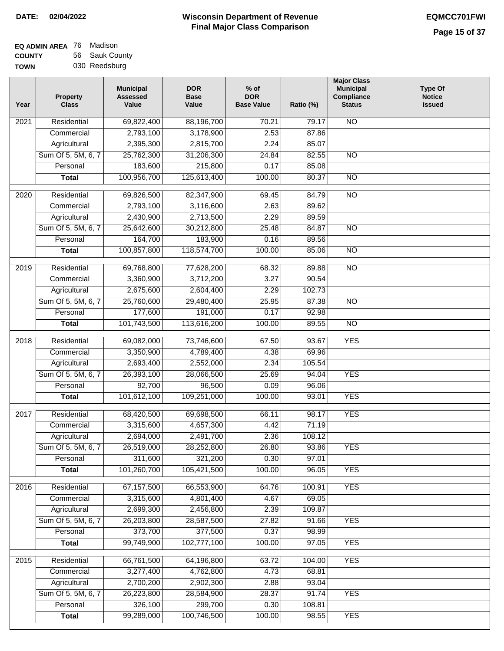| EQ ADMIN AREA 76 | Madison        |
|------------------|----------------|
| <b>COUNTY</b>    | 56 Sauk County |
| <b>TOWN</b>      | 030 Reedsburg  |

| Year              | <b>Property</b><br><b>Class</b> | <b>Municipal</b><br><b>Assessed</b><br>Value | <b>DOR</b><br><b>Base</b><br>Value | $%$ of<br><b>DOR</b><br><b>Base Value</b> | Ratio (%) | <b>Major Class</b><br><b>Municipal</b><br>Compliance<br><b>Status</b> | <b>Type Of</b><br><b>Notice</b><br><b>Issued</b> |
|-------------------|---------------------------------|----------------------------------------------|------------------------------------|-------------------------------------------|-----------|-----------------------------------------------------------------------|--------------------------------------------------|
| 2021              | Residential                     | 69,822,400                                   | 88,196,700                         | 70.21                                     | 79.17     | <b>NO</b>                                                             |                                                  |
|                   | Commercial                      | 2,793,100                                    | 3,178,900                          | 2.53                                      | 87.86     |                                                                       |                                                  |
|                   | Agricultural                    | 2,395,300                                    | 2,815,700                          | 2.24                                      | 85.07     |                                                                       |                                                  |
|                   | Sum Of 5, 5M, 6, 7              | 25,762,300                                   | 31,206,300                         | 24.84                                     | 82.55     | $\overline{NO}$                                                       |                                                  |
|                   | Personal                        | 183,600                                      | 215,800                            | 0.17                                      | 85.08     |                                                                       |                                                  |
|                   | <b>Total</b>                    | 100,956,700                                  | 125,613,400                        | 100.00                                    | 80.37     | $\overline{NO}$                                                       |                                                  |
| 2020              | Residential                     | 69,826,500                                   | 82,347,900                         | 69.45                                     | 84.79     | $\overline{NO}$                                                       |                                                  |
|                   | Commercial                      | 2,793,100                                    | 3,116,600                          | 2.63                                      | 89.62     |                                                                       |                                                  |
|                   | Agricultural                    | 2,430,900                                    | 2,713,500                          | 2.29                                      | 89.59     |                                                                       |                                                  |
|                   | Sum Of 5, 5M, 6, 7              | 25,642,600                                   | 30,212,800                         | 25.48                                     | 84.87     | $\overline{NO}$                                                       |                                                  |
|                   | Personal                        | 164,700                                      | 183,900                            | 0.16                                      | 89.56     |                                                                       |                                                  |
|                   | <b>Total</b>                    | 100,857,800                                  | 118,574,700                        | 100.00                                    | 85.06     | $\overline{NO}$                                                       |                                                  |
| $\frac{1}{2019}$  | Residential                     | 69,768,800                                   | 77,628,200                         | 68.32                                     | 89.88     | $\overline{NO}$                                                       |                                                  |
|                   | Commercial                      | 3,360,900                                    | 3,712,200                          | 3.27                                      | 90.54     |                                                                       |                                                  |
|                   | Agricultural                    | 2,675,600                                    | 2,604,400                          | 2.29                                      | 102.73    |                                                                       |                                                  |
|                   | Sum Of 5, 5M, 6, 7              | 25,760,600                                   | 29,480,400                         | 25.95                                     | 87.38     | $\overline{NO}$                                                       |                                                  |
|                   | Personal                        | 177,600                                      | 191,000                            | 0.17                                      | 92.98     |                                                                       |                                                  |
|                   | <b>Total</b>                    | 101,743,500                                  | 113,616,200                        | 100.00                                    | 89.55     | $\overline{NO}$                                                       |                                                  |
| 2018              | Residential                     | 69,082,000                                   | 73,746,600                         | 67.50                                     | 93.67     | <b>YES</b>                                                            |                                                  |
|                   | Commercial                      | 3,350,900                                    | 4,789,400                          | 4.38                                      | 69.96     |                                                                       |                                                  |
|                   | Agricultural                    | 2,693,400                                    | 2,552,000                          | 2.34                                      | 105.54    |                                                                       |                                                  |
|                   | Sum Of 5, 5M, 6, 7              | 26,393,100                                   | 28,066,500                         | 25.69                                     | 94.04     | <b>YES</b>                                                            |                                                  |
|                   | Personal                        | 92,700                                       | 96,500                             | 0.09                                      | 96.06     |                                                                       |                                                  |
|                   | <b>Total</b>                    | 101,612,100                                  | 109,251,000                        | 100.00                                    | 93.01     | <b>YES</b>                                                            |                                                  |
| $\overline{2017}$ | Residential                     | 68,420,500                                   | 69,698,500                         | 66.11                                     | 98.17     | <b>YES</b>                                                            |                                                  |
|                   | Commercial                      | 3,315,600                                    | 4,657,300                          | 4.42                                      | 71.19     |                                                                       |                                                  |
|                   | Agricultural                    | 2,694,000                                    | 2,491,700                          | 2.36                                      | 108.12    |                                                                       |                                                  |
|                   | Sum Of 5, 5M, 6, 7              | 26,519,000                                   | 28,252,800                         | 26.80                                     | 93.86     | <b>YES</b>                                                            |                                                  |
|                   | Personal                        | 311,600                                      | 321,200                            | 0.30                                      | 97.01     |                                                                       |                                                  |
|                   | <b>Total</b>                    | 101,260,700                                  | 105,421,500                        | 100.00                                    | 96.05     | <b>YES</b>                                                            |                                                  |
| 2016              | Residential                     | 67, 157, 500                                 | 66,553,900                         | 64.76                                     | 100.91    | <b>YES</b>                                                            |                                                  |
|                   | Commercial                      | 3,315,600                                    | 4,801,400                          | 4.67                                      | 69.05     |                                                                       |                                                  |
|                   | Agricultural                    | 2,699,300                                    | 2,456,800                          | 2.39                                      | 109.87    |                                                                       |                                                  |
|                   | Sum Of 5, 5M, 6, 7              | 26,203,800                                   | 28,587,500                         | 27.82                                     | 91.66     | <b>YES</b>                                                            |                                                  |
|                   | Personal                        | 373,700                                      | 377,500                            | 0.37                                      | 98.99     |                                                                       |                                                  |
|                   | <b>Total</b>                    | 99,749,900                                   | 102,777,100                        | 100.00                                    | 97.05     | <b>YES</b>                                                            |                                                  |
| 2015              | Residential                     | 66,761,500                                   | 64,196,800                         | 63.72                                     | 104.00    | <b>YES</b>                                                            |                                                  |
|                   | Commercial                      | 3,277,400                                    | 4,762,800                          | 4.73                                      | 68.81     |                                                                       |                                                  |
|                   | Agricultural                    | 2,700,200                                    | 2,902,300                          | 2.88                                      | 93.04     |                                                                       |                                                  |
|                   | Sum Of 5, 5M, 6, 7              | 26,223,800                                   | 28,584,900                         | 28.37                                     | 91.74     | <b>YES</b>                                                            |                                                  |
|                   | Personal                        | 326,100                                      | 299,700                            | 0.30                                      | 108.81    |                                                                       |                                                  |
|                   | <b>Total</b>                    | 99,289,000                                   | 100,746,500                        | 100.00                                    | 98.55     | <b>YES</b>                                                            |                                                  |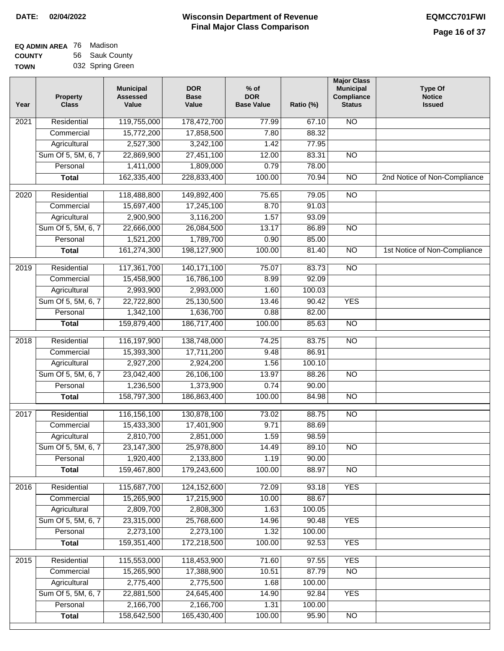| EQ ADMIN AREA 76 | Madison          |
|------------------|------------------|
| <b>COUNTY</b>    | 56 Sauk County   |
| <b>TOWN</b>      | 032 Spring Green |

| Year | <b>Property</b><br><b>Class</b> | <b>Municipal</b><br><b>Assessed</b><br>Value | <b>DOR</b><br><b>Base</b><br>Value | $%$ of<br><b>DOR</b><br><b>Base Value</b> | Ratio (%) | <b>Major Class</b><br><b>Municipal</b><br><b>Compliance</b><br><b>Status</b> | <b>Type Of</b><br><b>Notice</b><br><b>Issued</b> |
|------|---------------------------------|----------------------------------------------|------------------------------------|-------------------------------------------|-----------|------------------------------------------------------------------------------|--------------------------------------------------|
| 2021 | Residential                     | 119,755,000                                  | 178,472,700                        | 77.99                                     | 67.10     | N <sub>O</sub>                                                               |                                                  |
|      | Commercial                      | 15,772,200                                   | 17,858,500                         | 7.80                                      | 88.32     |                                                                              |                                                  |
|      | Agricultural                    | 2,527,300                                    | 3,242,100                          | 1.42                                      | 77.95     |                                                                              |                                                  |
|      | Sum Of 5, 5M, 6, 7              | 22,869,900                                   | 27,451,100                         | 12.00                                     | 83.31     | $\overline{NO}$                                                              |                                                  |
|      | Personal                        | 1,411,000                                    | 1,809,000                          | 0.79                                      | 78.00     |                                                                              |                                                  |
|      | <b>Total</b>                    | 162,335,400                                  | 228,833,400                        | 100.00                                    | 70.94     | $\overline{NO}$                                                              | 2nd Notice of Non-Compliance                     |
| 2020 | Residential                     | 118,488,800                                  | 149,892,400                        | 75.65                                     | 79.05     | $\overline{NO}$                                                              |                                                  |
|      | Commercial                      | 15,697,400                                   | 17,245,100                         | 8.70                                      | 91.03     |                                                                              |                                                  |
|      | Agricultural                    | 2,900,900                                    | 3,116,200                          | 1.57                                      | 93.09     |                                                                              |                                                  |
|      | Sum Of 5, 5M, 6, 7              | 22,666,000                                   | 26,084,500                         | 13.17                                     | 86.89     | <b>NO</b>                                                                    |                                                  |
|      | Personal                        | 1,521,200                                    | 1,789,700                          | 0.90                                      | 85.00     |                                                                              |                                                  |
|      | <b>Total</b>                    | 161,274,300                                  | 198,127,900                        | 100.00                                    | 81.40     | $\overline{NO}$                                                              | 1st Notice of Non-Compliance                     |
| 2019 | Residential                     | 117,361,700                                  | 140, 171, 100                      | 75.07                                     | 83.73     | <b>NO</b>                                                                    |                                                  |
|      | Commercial                      | 15,458,900                                   | 16,786,100                         | 8.99                                      | 92.09     |                                                                              |                                                  |
|      | Agricultural                    | 2,993,900                                    | 2,993,000                          | 1.60                                      | 100.03    |                                                                              |                                                  |
|      | Sum Of 5, 5M, 6, 7              | 22,722,800                                   | 25,130,500                         | 13.46                                     | 90.42     | <b>YES</b>                                                                   |                                                  |
|      | Personal                        | 1,342,100                                    | 1,636,700                          | 0.88                                      | 82.00     |                                                                              |                                                  |
|      | <b>Total</b>                    | 159,879,400                                  | 186,717,400                        | 100.00                                    | 85.63     | $\overline{NO}$                                                              |                                                  |
| 2018 | Residential                     | 116,197,900                                  | 138,748,000                        | 74.25                                     | 83.75     | $\overline{NO}$                                                              |                                                  |
|      | Commercial                      | 15,393,300                                   | 17,711,200                         | 9.48                                      | 86.91     |                                                                              |                                                  |
|      | Agricultural                    | 2,927,200                                    | 2,924,200                          | 1.56                                      | 100.10    |                                                                              |                                                  |
|      | Sum Of 5, 5M, 6, 7              | 23,042,400                                   | 26,106,100                         | 13.97                                     | 88.26     | $\overline{NO}$                                                              |                                                  |
|      | Personal                        | 1,236,500                                    | 1,373,900                          | 0.74                                      | 90.00     |                                                                              |                                                  |
|      | <b>Total</b>                    | 158,797,300                                  | 186,863,400                        | 100.00                                    | 84.98     | <b>NO</b>                                                                    |                                                  |
| 2017 | Residential                     | 116, 156, 100                                | 130,878,100                        | 73.02                                     | 88.75     | $\overline{NO}$                                                              |                                                  |
|      | Commercial                      | 15,433,300                                   | 17,401,900                         | 9.71                                      | 88.69     |                                                                              |                                                  |
|      | Agricultural                    | 2,810,700                                    | 2,851,000                          | 1.59                                      | 98.59     |                                                                              |                                                  |
|      | Sum Of 5, 5M, 6, 7              | 23,147,300                                   | 25,978,800                         | 14.49                                     | 89.10     | <b>NO</b>                                                                    |                                                  |
|      | Personal                        | 1,920,400                                    | 2,133,800                          | 1.19                                      | 90.00     |                                                                              |                                                  |
|      | <b>Total</b>                    | 159,467,800                                  | 179,243,600                        | 100.00                                    | 88.97     | <b>NO</b>                                                                    |                                                  |
| 2016 | Residential                     | 115,687,700                                  | 124, 152, 600                      | 72.09                                     | 93.18     | <b>YES</b>                                                                   |                                                  |
|      | Commercial                      | 15,265,900                                   | 17,215,900                         | 10.00                                     | 88.67     |                                                                              |                                                  |
|      | Agricultural                    | 2,809,700                                    | 2,808,300                          | 1.63                                      | 100.05    |                                                                              |                                                  |
|      | Sum Of 5, 5M, 6, 7              | 23,315,000                                   | 25,768,600                         | 14.96                                     | 90.48     | <b>YES</b>                                                                   |                                                  |
|      | Personal                        | 2,273,100                                    | 2,273,100                          | 1.32                                      | 100.00    |                                                                              |                                                  |
|      | <b>Total</b>                    | 159,351,400                                  | 172,218,500                        | 100.00                                    | 92.53     | <b>YES</b>                                                                   |                                                  |
| 2015 | Residential                     | 115,553,000                                  | 118,453,900                        | 71.60                                     | 97.55     | <b>YES</b>                                                                   |                                                  |
|      | Commercial                      | 15,265,900                                   | 17,388,900                         | 10.51                                     | 87.79     | $\overline{NO}$                                                              |                                                  |
|      | Agricultural                    | 2,775,400                                    | 2,775,500                          | 1.68                                      | 100.00    |                                                                              |                                                  |
|      | Sum Of 5, 5M, 6, 7              | 22,881,500                                   | 24,645,400                         | 14.90                                     | 92.84     | <b>YES</b>                                                                   |                                                  |
|      | Personal                        | 2,166,700                                    | 2,166,700                          | 1.31                                      | 100.00    |                                                                              |                                                  |
|      | <b>Total</b>                    | 158,642,500                                  | 165,430,400                        | 100.00                                    | 95.90     | NO                                                                           |                                                  |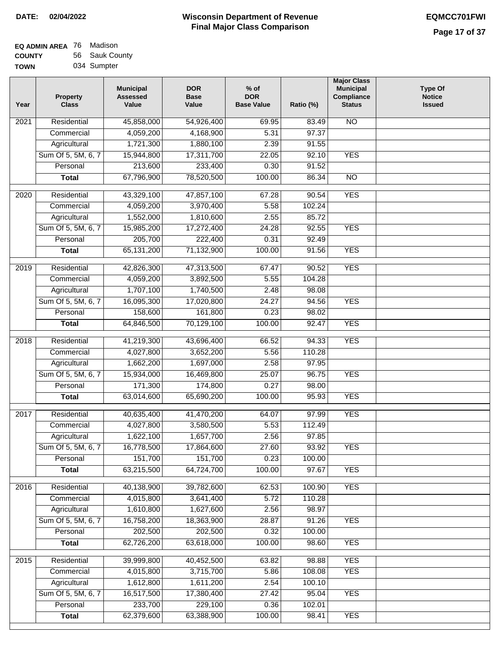| EQ ADMIN AREA 76 | Madison        |
|------------------|----------------|
| <b>COUNTY</b>    | 56 Sauk County |
| <b>TOWN</b>      | 034 Sumpter    |

| Year              | <b>Property</b><br><b>Class</b> | <b>Municipal</b><br><b>Assessed</b><br>Value | <b>DOR</b><br><b>Base</b><br>Value | $%$ of<br><b>DOR</b><br><b>Base Value</b> | Ratio (%) | <b>Major Class</b><br><b>Municipal</b><br>Compliance<br><b>Status</b> | <b>Type Of</b><br><b>Notice</b><br><b>Issued</b> |
|-------------------|---------------------------------|----------------------------------------------|------------------------------------|-------------------------------------------|-----------|-----------------------------------------------------------------------|--------------------------------------------------|
| 2021              | Residential                     | 45,858,000                                   | 54,926,400                         | 69.95                                     | 83.49     | $\overline{NO}$                                                       |                                                  |
|                   | Commercial                      | 4,059,200                                    | 4,168,900                          | 5.31                                      | 97.37     |                                                                       |                                                  |
|                   | Agricultural                    | 1,721,300                                    | 1,880,100                          | 2.39                                      | 91.55     |                                                                       |                                                  |
|                   | Sum Of 5, 5M, 6, 7              | 15,944,800                                   | 17,311,700                         | 22.05                                     | 92.10     | <b>YES</b>                                                            |                                                  |
|                   | Personal                        | 213,600                                      | 233,400                            | 0.30                                      | 91.52     |                                                                       |                                                  |
|                   | <b>Total</b>                    | 67,796,900                                   | 78,520,500                         | 100.00                                    | 86.34     | N <sub>O</sub>                                                        |                                                  |
| 2020              | Residential                     | 43,329,100                                   | 47,857,100                         | 67.28                                     | 90.54     | <b>YES</b>                                                            |                                                  |
|                   | Commercial                      | 4,059,200                                    | 3,970,400                          | 5.58                                      | 102.24    |                                                                       |                                                  |
|                   | Agricultural                    | 1,552,000                                    | 1,810,600                          | 2.55                                      | 85.72     |                                                                       |                                                  |
|                   | Sum Of 5, 5M, 6, 7              | 15,985,200                                   | 17,272,400                         | 24.28                                     | 92.55     | <b>YES</b>                                                            |                                                  |
|                   | Personal                        | 205,700                                      | 222,400                            | 0.31                                      | 92.49     |                                                                       |                                                  |
|                   | <b>Total</b>                    | 65, 131, 200                                 | 71,132,900                         | 100.00                                    | 91.56     | <b>YES</b>                                                            |                                                  |
|                   |                                 |                                              |                                    |                                           |           |                                                                       |                                                  |
| 2019              | Residential<br>Commercial       | 42,826,300                                   | 47,313,500                         | 67.47                                     | 90.52     | <b>YES</b>                                                            |                                                  |
|                   |                                 | 4,059,200                                    | 3,892,500                          | 5.55                                      | 104.28    |                                                                       |                                                  |
|                   | Agricultural                    | 1,707,100                                    | 1,740,500                          | 2.48                                      | 98.08     |                                                                       |                                                  |
|                   | Sum Of 5, 5M, 6, 7              | 16,095,300                                   | 17,020,800                         | 24.27                                     | 94.56     | <b>YES</b>                                                            |                                                  |
|                   | Personal                        | 158,600                                      | 161,800                            | 0.23                                      | 98.02     |                                                                       |                                                  |
|                   | <b>Total</b>                    | 64,846,500                                   | 70,129,100                         | 100.00                                    | 92.47     | <b>YES</b>                                                            |                                                  |
| $\overline{2018}$ | Residential                     | 41,219,300                                   | 43,696,400                         | 66.52                                     | 94.33     | <b>YES</b>                                                            |                                                  |
|                   | Commercial                      | 4,027,800                                    | 3,652,200                          | 5.56                                      | 110.28    |                                                                       |                                                  |
|                   | Agricultural                    | 1,662,200                                    | 1,697,000                          | 2.58                                      | 97.95     |                                                                       |                                                  |
|                   | Sum Of 5, 5M, 6, 7              | 15,934,000                                   | 16,469,800                         | 25.07                                     | 96.75     | <b>YES</b>                                                            |                                                  |
|                   | Personal                        | 171,300                                      | 174,800                            | 0.27                                      | 98.00     |                                                                       |                                                  |
|                   | <b>Total</b>                    | 63,014,600                                   | 65,690,200                         | 100.00                                    | 95.93     | <b>YES</b>                                                            |                                                  |
| 2017              | Residential                     | 40,635,400                                   | 41,470,200                         | 64.07                                     | 97.99     | <b>YES</b>                                                            |                                                  |
|                   | Commercial                      | 4,027,800                                    | 3,580,500                          | 5.53                                      | 112.49    |                                                                       |                                                  |
|                   | Agricultural                    | 1,622,100                                    | 1,657,700                          | 2.56                                      | 97.85     |                                                                       |                                                  |
|                   | Sum Of 5, 5M, 6, 7              | 16,778,500                                   | 17,864,600                         | 27.60                                     | 93.92     | YES                                                                   |                                                  |
|                   | Personal                        | 151,700                                      | 151,700                            | 0.23                                      | 100.00    |                                                                       |                                                  |
|                   | <b>Total</b>                    | 63,215,500                                   | 64,724,700                         | 100.00                                    | 97.67     | <b>YES</b>                                                            |                                                  |
|                   |                                 |                                              |                                    |                                           |           |                                                                       |                                                  |
| 2016              | Residential                     | 40,138,900                                   | 39,782,600                         | 62.53                                     | 100.90    | <b>YES</b>                                                            |                                                  |
|                   | Commercial                      | 4,015,800                                    | 3,641,400                          | 5.72                                      | 110.28    |                                                                       |                                                  |
|                   | Agricultural                    | 1,610,800                                    | 1,627,600                          | 2.56                                      | 98.97     |                                                                       |                                                  |
|                   | Sum Of 5, 5M, 6, 7              | 16,758,200                                   | 18,363,900                         | 28.87                                     | 91.26     | <b>YES</b>                                                            |                                                  |
|                   | Personal                        | 202,500                                      | 202,500                            | 0.32                                      | 100.00    |                                                                       |                                                  |
|                   | <b>Total</b>                    | 62,726,200                                   | 63,618,000                         | 100.00                                    | 98.60     | <b>YES</b>                                                            |                                                  |
| 2015              | Residential                     | 39,999,800                                   | 40,452,500                         | 63.82                                     | 98.88     | <b>YES</b>                                                            |                                                  |
|                   | Commercial                      | 4,015,800                                    | 3,715,700                          | 5.86                                      | 108.08    | <b>YES</b>                                                            |                                                  |
|                   | Agricultural                    | 1,612,800                                    | 1,611,200                          | 2.54                                      | 100.10    |                                                                       |                                                  |
|                   | Sum Of 5, 5M, 6, 7              | 16,517,500                                   | 17,380,400                         | 27.42                                     | 95.04     | <b>YES</b>                                                            |                                                  |
|                   | Personal                        | 233,700                                      | 229,100                            | 0.36                                      | 102.01    |                                                                       |                                                  |
|                   | <b>Total</b>                    | 62,379,600                                   | 63,388,900                         | 100.00                                    | 98.41     | <b>YES</b>                                                            |                                                  |
|                   |                                 |                                              |                                    |                                           |           |                                                                       |                                                  |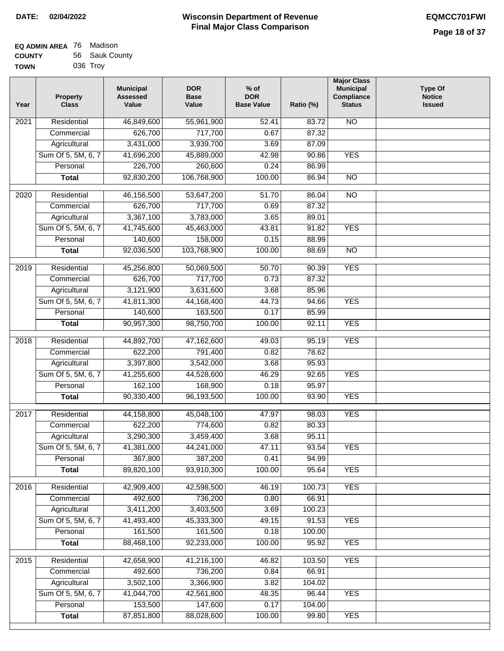| EQ ADMIN AREA 76 | Madison        |
|------------------|----------------|
| <b>COUNTY</b>    | 56 Sauk County |
| <b>TOWN</b>      | 036 Trov       |

| Year              | <b>Property</b><br><b>Class</b> | <b>Municipal</b><br><b>Assessed</b><br>Value | <b>DOR</b><br><b>Base</b><br>Value | $%$ of<br><b>DOR</b><br><b>Base Value</b> | Ratio (%)       | <b>Major Class</b><br><b>Municipal</b><br>Compliance<br><b>Status</b> | <b>Type Of</b><br><b>Notice</b><br><b>Issued</b> |
|-------------------|---------------------------------|----------------------------------------------|------------------------------------|-------------------------------------------|-----------------|-----------------------------------------------------------------------|--------------------------------------------------|
| 2021              | Residential                     | 46,849,600                                   | 55,961,900                         | 52.41                                     | 83.72           | <b>NO</b>                                                             |                                                  |
|                   | Commercial                      | 626,700                                      | 717,700                            | 0.67                                      | 87.32           |                                                                       |                                                  |
|                   | Agricultural                    | 3,431,000                                    | 3,939,700                          | 3.69                                      | 87.09           |                                                                       |                                                  |
|                   | Sum Of 5, 5M, 6, 7              | 41,696,200                                   | 45,889,000                         | 42.98                                     | 90.86           | <b>YES</b>                                                            |                                                  |
|                   | Personal                        | 226,700                                      | 260,600                            | 0.24                                      | 86.99           |                                                                       |                                                  |
|                   | <b>Total</b>                    | 92,830,200                                   | 106,768,900                        | 100.00                                    | 86.94           | $\overline{NO}$                                                       |                                                  |
| $\overline{2020}$ | Residential                     | 46,156,500                                   | 53,647,200                         | 51.70                                     | 86.04           | $\overline{NO}$                                                       |                                                  |
|                   | Commercial                      | 626,700                                      | 717,700                            | 0.69                                      | 87.32           |                                                                       |                                                  |
|                   | Agricultural                    | 3,367,100                                    | 3,783,000                          | 3.65                                      | 89.01           |                                                                       |                                                  |
|                   | Sum Of 5, 5M, 6, 7              | 41,745,600                                   | 45,463,000                         | 43.81                                     | 91.82           | <b>YES</b>                                                            |                                                  |
|                   | Personal                        | 140,600                                      | 158,000                            | 0.15                                      | 88.99           |                                                                       |                                                  |
|                   | <b>Total</b>                    | 92,036,500                                   | 103,768,900                        | 100.00                                    | 88.69           | $\overline{NO}$                                                       |                                                  |
| 2019              | Residential                     | 45,256,800                                   | 50,069,500                         | 50.70                                     | 90.39           | <b>YES</b>                                                            |                                                  |
|                   | Commercial                      | 626,700                                      | 717,700                            | 0.73                                      | 87.32           |                                                                       |                                                  |
|                   | Agricultural                    | 3,121,900                                    | 3,631,600                          | 3.68                                      | 85.96           |                                                                       |                                                  |
|                   | Sum Of 5, 5M, 6, 7              | 41,811,300                                   | 44,168,400                         | 44.73                                     | 94.66           | <b>YES</b>                                                            |                                                  |
|                   | Personal                        | 140,600                                      | 163,500                            | 0.17                                      | 85.99           |                                                                       |                                                  |
|                   | <b>Total</b>                    | 90,957,300                                   | 98,750,700                         | 100.00                                    | 92.11           | <b>YES</b>                                                            |                                                  |
| 2018              | Residential                     | 44,892,700                                   | 47,162,600                         | 49.03                                     | 95.19           | <b>YES</b>                                                            |                                                  |
|                   | Commercial                      | 622,200                                      | 791,400                            | 0.82                                      | 78.62           |                                                                       |                                                  |
|                   | Agricultural                    | 3,397,800                                    | 3,542,000                          | 3.68                                      | 95.93           |                                                                       |                                                  |
|                   | Sum Of 5, 5M, 6, 7              | 41,255,600                                   | 44,528,600                         | 46.29                                     | 92.65           | <b>YES</b>                                                            |                                                  |
|                   | Personal                        | 162,100                                      | 168,900                            | 0.18                                      | 95.97           |                                                                       |                                                  |
|                   | <b>Total</b>                    | 90,330,400                                   | 96,193,500                         | 100.00                                    | 93.90           | <b>YES</b>                                                            |                                                  |
| 2017              | Residential                     | 44,158,800                                   | 45,048,100                         | 47.97                                     | 98.03           | <b>YES</b>                                                            |                                                  |
|                   | Commercial                      | 622,200                                      | 774,600                            | 0.82                                      | 80.33           |                                                                       |                                                  |
|                   | Agricultural                    | 3,290,300                                    | 3,459,400                          | 3.68                                      | 95.11           |                                                                       |                                                  |
|                   | Sum Of 5, 5M, 6, 7              | 41,381,000                                   | 44,241,000                         | 47.11                                     | 93.54           | <b>YES</b>                                                            |                                                  |
|                   | Personal                        | 367,800                                      | 387,200                            | 0.41                                      | 94.99           |                                                                       |                                                  |
|                   | <b>Total</b>                    | 89,820,100                                   | 93,910,300                         | 100.00                                    | 95.64           | <b>YES</b>                                                            |                                                  |
| 2016              | Residential                     | 42,909,400                                   | 42,598,500                         | 46.19                                     | 100.73          | <b>YES</b>                                                            |                                                  |
|                   | Commercial                      | 492,600                                      | 736,200                            | 0.80                                      | 66.91           |                                                                       |                                                  |
|                   | Agricultural                    | 3,411,200                                    | 3,403,500                          | 3.69                                      | 100.23          |                                                                       |                                                  |
|                   | Sum Of 5, 5M, 6, 7              | 41,493,400                                   | 45,333,300                         | 49.15                                     | 91.53           | <b>YES</b>                                                            |                                                  |
|                   | Personal                        | 161,500                                      | 161,500                            | 0.18                                      | 100.00          |                                                                       |                                                  |
|                   | <b>Total</b>                    | 88,468,100                                   | 92,233,000                         | 100.00                                    | 95.92           | <b>YES</b>                                                            |                                                  |
|                   |                                 |                                              |                                    |                                           |                 |                                                                       |                                                  |
| 2015              | Residential                     | 42,658,900<br>492,600                        | 41,216,100<br>736,200              | 46.82<br>0.84                             | 103.50<br>66.91 | <b>YES</b>                                                            |                                                  |
|                   | Commercial<br>Agricultural      | 3,502,100                                    | 3,366,900                          | 3.82                                      | 104.02          |                                                                       |                                                  |
|                   | Sum Of 5, 5M, 6, 7              | 41,044,700                                   | 42,561,800                         | 48.35                                     | 96.44           | <b>YES</b>                                                            |                                                  |
|                   | Personal                        | 153,500                                      | 147,600                            | 0.17                                      | 104.00          |                                                                       |                                                  |
|                   | <b>Total</b>                    | 87,851,800                                   | 88,028,600                         | 100.00                                    | 99.80           | <b>YES</b>                                                            |                                                  |
|                   |                                 |                                              |                                    |                                           |                 |                                                                       |                                                  |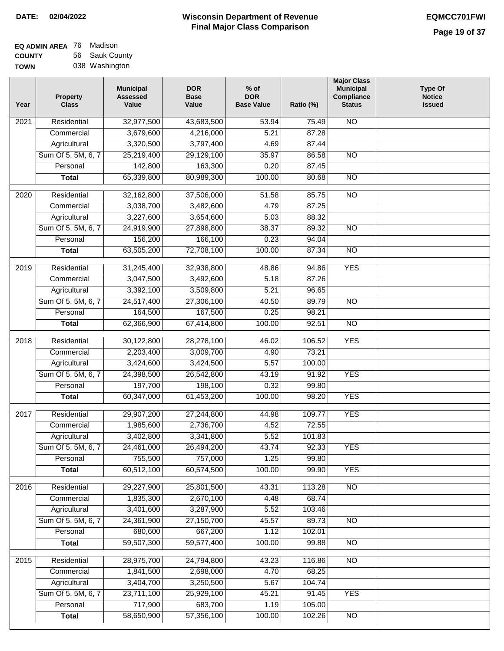| <b>EQ ADMIN AREA 76 Madison</b> |                |
|---------------------------------|----------------|
| <b>COUNTY</b>                   | 56 Sauk County |
| <b>TOWN</b>                     | 038 Washington |

| Year              | Property<br><b>Class</b> | <b>Municipal</b><br><b>Assessed</b><br>Value | <b>DOR</b><br><b>Base</b><br>Value | $%$ of<br><b>DOR</b><br><b>Base Value</b> | Ratio (%) | <b>Major Class</b><br><b>Municipal</b><br>Compliance<br><b>Status</b> | <b>Type Of</b><br><b>Notice</b><br><b>Issued</b> |
|-------------------|--------------------------|----------------------------------------------|------------------------------------|-------------------------------------------|-----------|-----------------------------------------------------------------------|--------------------------------------------------|
| 2021              | Residential              | 32,977,500                                   | 43,683,500                         | 53.94                                     | 75.49     | <b>NO</b>                                                             |                                                  |
|                   | Commercial               | 3,679,600                                    | 4,216,000                          | 5.21                                      | 87.28     |                                                                       |                                                  |
|                   | Agricultural             | 3,320,500                                    | 3,797,400                          | 4.69                                      | 87.44     |                                                                       |                                                  |
|                   | Sum Of 5, 5M, 6, 7       | 25,219,400                                   | 29,129,100                         | 35.97                                     | 86.58     | $\overline{NO}$                                                       |                                                  |
|                   | Personal                 | 142,800                                      | 163,300                            | 0.20                                      | 87.45     |                                                                       |                                                  |
|                   | <b>Total</b>             | 65,339,800                                   | 80,989,300                         | 100.00                                    | 80.68     | $\overline{NO}$                                                       |                                                  |
| $\overline{2020}$ | Residential              | 32,162,800                                   | 37,506,000                         | 51.58                                     | 85.75     | $\overline{NO}$                                                       |                                                  |
|                   | Commercial               | 3,038,700                                    | 3,482,600                          | 4.79                                      | 87.25     |                                                                       |                                                  |
|                   | Agricultural             | 3,227,600                                    | 3,654,600                          | 5.03                                      | 88.32     |                                                                       |                                                  |
|                   | Sum Of 5, 5M, 6, 7       | 24,919,900                                   | 27,898,800                         | 38.37                                     | 89.32     | $\overline{NO}$                                                       |                                                  |
|                   | Personal                 | 156,200                                      | 166,100                            | 0.23                                      | 94.04     |                                                                       |                                                  |
|                   | <b>Total</b>             | 63,505,200                                   | 72,708,100                         | 100.00                                    | 87.34     | $\overline{NO}$                                                       |                                                  |
|                   |                          |                                              |                                    |                                           |           |                                                                       |                                                  |
| 2019              | Residential              | 31,245,400                                   | 32,938,800                         | 48.86                                     | 94.86     | <b>YES</b>                                                            |                                                  |
|                   | Commercial               | 3,047,500                                    | 3,492,600                          | 5.18                                      | 87.26     |                                                                       |                                                  |
|                   | Agricultural             | 3,392,100                                    | 3,509,800                          | 5.21                                      | 96.65     |                                                                       |                                                  |
|                   | Sum Of 5, 5M, 6, 7       | 24,517,400                                   | 27,306,100                         | 40.50                                     | 89.79     | $\overline{NO}$                                                       |                                                  |
|                   | Personal                 | 164,500                                      | 167,500                            | 0.25                                      | 98.21     |                                                                       |                                                  |
|                   | <b>Total</b>             | 62,366,900                                   | 67,414,800                         | 100.00                                    | 92.51     | $\overline{NO}$                                                       |                                                  |
| 2018              | Residential              | 30,122,800                                   | 28,278,100                         | 46.02                                     | 106.52    | <b>YES</b>                                                            |                                                  |
|                   | Commercial               | 2,203,400                                    | 3,009,700                          | 4.90                                      | 73.21     |                                                                       |                                                  |
|                   | Agricultural             | 3,424,600                                    | 3,424,500                          | 5.57                                      | 100.00    |                                                                       |                                                  |
|                   | Sum Of 5, 5M, 6, 7       | 24,398,500                                   | 26,542,800                         | 43.19                                     | 91.92     | <b>YES</b>                                                            |                                                  |
|                   | Personal                 | 197,700                                      | 198,100                            | 0.32                                      | 99.80     |                                                                       |                                                  |
|                   | <b>Total</b>             | 60,347,000                                   | 61,453,200                         | 100.00                                    | 98.20     | <b>YES</b>                                                            |                                                  |
| 2017              | Residential              | 29,907,200                                   | 27,244,800                         | 44.98                                     | 109.77    | <b>YES</b>                                                            |                                                  |
|                   | Commercial               | 1,985,600                                    | 2,736,700                          | 4.52                                      | 72.55     |                                                                       |                                                  |
|                   | Agricultural             | 3,402,800                                    | 3,341,800                          | 5.52                                      | 101.83    |                                                                       |                                                  |
|                   | Sum Of 5, 5M, 6, 7       | 24,461,000                                   | 26,494,200                         | 43.74                                     | 92.33     | <b>YES</b>                                                            |                                                  |
|                   | Personal                 | 755,500                                      | 757,000                            | 1.25                                      | 99.80     |                                                                       |                                                  |
|                   | <b>Total</b>             | 60,512,100                                   | 60,574,500                         | 100.00                                    | 99.90     | <b>YES</b>                                                            |                                                  |
|                   |                          |                                              |                                    |                                           |           |                                                                       |                                                  |
| 2016              | Residential              | 29,227,900                                   | 25,801,500                         | 43.31                                     | 113.28    | $\overline{NO}$                                                       |                                                  |
|                   | Commercial               | 1,835,300                                    | 2,670,100                          | 4.48                                      | 68.74     |                                                                       |                                                  |
|                   | Agricultural             | 3,401,600                                    | 3,287,900                          | 5.52                                      | 103.46    |                                                                       |                                                  |
|                   | Sum Of 5, 5M, 6, 7       | 24,361,900                                   | 27,150,700                         | 45.57                                     | 89.73     | N <sub>O</sub>                                                        |                                                  |
|                   | Personal                 | 680,600                                      | 667,200                            | 1.12                                      | 102.01    |                                                                       |                                                  |
|                   | <b>Total</b>             | 59,507,300                                   | 59,577,400                         | 100.00                                    | 99.88     | N <sub>O</sub>                                                        |                                                  |
| 2015              | Residential              | 28,975,700                                   | 24,794,800                         | 43.23                                     | 116.86    | $\overline{NO}$                                                       |                                                  |
|                   | Commercial               | 1,841,500                                    | 2,698,000                          | 4.70                                      | 68.25     |                                                                       |                                                  |
|                   | Agricultural             | 3,404,700                                    | 3,250,500                          | 5.67                                      | 104.74    |                                                                       |                                                  |
|                   | Sum Of 5, 5M, 6, 7       | 23,711,100                                   | 25,929,100                         | 45.21                                     | 91.45     | <b>YES</b>                                                            |                                                  |
|                   | Personal                 | 717,900                                      | 683,700                            | 1.19                                      | 105.00    |                                                                       |                                                  |
|                   | <b>Total</b>             | 58,650,900                                   | 57,356,100                         | 100.00                                    | 102.26    | $\overline{NO}$                                                       |                                                  |
|                   |                          |                                              |                                    |                                           |           |                                                                       |                                                  |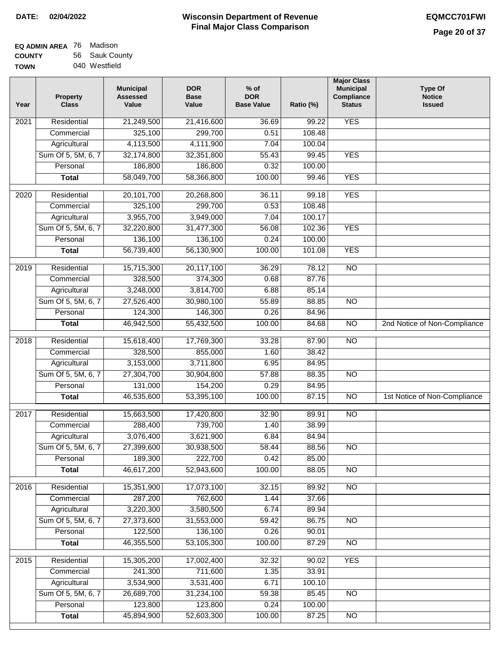| EQ ADMIN AREA 76 | Madison        |
|------------------|----------------|
| <b>COUNTY</b>    | 56 Sauk County |
| <b>TOWN</b>      | 040 Westfield  |

| Year              | <b>Property</b><br><b>Class</b> | <b>Municipal</b><br><b>Assessed</b><br>Value | <b>DOR</b><br><b>Base</b><br>Value | $%$ of<br><b>DOR</b><br><b>Base Value</b> | Ratio (%)       | <b>Major Class</b><br><b>Municipal</b><br>Compliance<br><b>Status</b> | Type Of<br><b>Notice</b><br><b>Issued</b> |
|-------------------|---------------------------------|----------------------------------------------|------------------------------------|-------------------------------------------|-----------------|-----------------------------------------------------------------------|-------------------------------------------|
| 2021              | Residential                     | 21,249,500                                   | 21,416,600                         | 36.69                                     | 99.22           | <b>YES</b>                                                            |                                           |
|                   | Commercial                      | 325,100                                      | 299,700                            | 0.51                                      | 108.48          |                                                                       |                                           |
|                   | Agricultural                    | 4,113,500                                    | 4,111,900                          | 7.04                                      | 100.04          |                                                                       |                                           |
|                   | Sum Of 5, 5M, 6, 7              | 32,174,800                                   | 32,351,800                         | 55.43                                     | 99.45           | <b>YES</b>                                                            |                                           |
|                   | Personal                        | 186,800                                      | 186,800                            | 0.32                                      | 100.00          |                                                                       |                                           |
|                   | <b>Total</b>                    | 58,049,700                                   | 58,366,800                         | 100.00                                    | 99.46           | <b>YES</b>                                                            |                                           |
| 2020              | Residential                     | 20,101,700                                   | 20,268,800                         | 36.11                                     | 99.18           | <b>YES</b>                                                            |                                           |
|                   | Commercial                      | 325,100                                      | 299,700                            | 0.53                                      | 108.48          |                                                                       |                                           |
|                   | Agricultural                    | 3,955,700                                    | 3,949,000                          | 7.04                                      | 100.17          |                                                                       |                                           |
|                   | Sum Of 5, 5M, 6, 7              | 32,220,800                                   | 31,477,300                         | 56.08                                     | 102.36          | <b>YES</b>                                                            |                                           |
|                   | Personal                        | 136,100                                      | 136,100                            | 0.24                                      | 100.00          |                                                                       |                                           |
|                   | <b>Total</b>                    | 56,739,400                                   | 56,130,900                         | 100.00                                    | 101.08          | <b>YES</b>                                                            |                                           |
| 2019              | Residential                     | 15,715,300                                   | 20,117,100                         | 36.29                                     | 78.12           | $\overline{NO}$                                                       |                                           |
|                   | Commercial                      | 328,500                                      | 374,300                            | 0.68                                      | 87.76           |                                                                       |                                           |
|                   | Agricultural                    | 3,248,000                                    | 3,814,700                          | 6.88                                      | 85.14           |                                                                       |                                           |
|                   | Sum Of 5, 5M, 6, 7              | 27,526,400                                   | 30,980,100                         | 55.89                                     | 88.85           | $\overline{NO}$                                                       |                                           |
|                   | Personal                        | 124,300                                      | 146,300                            | 0.26                                      | 84.96           |                                                                       |                                           |
|                   | <b>Total</b>                    | 46,942,500                                   | 55,432,500                         | 100.00                                    | 84.68           | $\overline{NO}$                                                       | 2nd Notice of Non-Compliance              |
|                   | Residential                     | 15,618,400                                   | 17,769,300                         | 33.28                                     | 87.90           | <b>NO</b>                                                             |                                           |
| 2018              | Commercial                      | 328,500                                      | 855,000                            | 1.60                                      | 38.42           |                                                                       |                                           |
|                   | Agricultural                    | 3,153,000                                    | 3,711,800                          | 6.95                                      | 84.95           |                                                                       |                                           |
|                   | Sum Of 5, 5M, 6, 7              | 27,304,700                                   | 30,904,800                         | 57.88                                     | 88.35           | $\overline{NO}$                                                       |                                           |
|                   | Personal                        | 131,000                                      | 154,200                            | 0.29                                      | 84.95           |                                                                       |                                           |
|                   | <b>Total</b>                    | 46,535,600                                   | 53,395,100                         | 100.00                                    | 87.15           | $\overline{NO}$                                                       | 1st Notice of Non-Compliance              |
|                   |                                 |                                              |                                    |                                           |                 |                                                                       |                                           |
| $\overline{2017}$ | Residential                     | 15,663,500                                   | 17,420,800                         | 32.90                                     | 89.91           | <b>NO</b>                                                             |                                           |
|                   | Commercial                      | 288,400                                      | 739,700                            | 1.40                                      | 38.99           |                                                                       |                                           |
|                   | Agricultural                    | 3,076,400                                    | 3,621,900                          | 6.84                                      | 84.94           |                                                                       |                                           |
|                   | Sum Of 5, 5M, 6, 7              | 27,399,600                                   | 30,938,500                         | 58.44                                     | 88.56           | <b>NO</b>                                                             |                                           |
|                   | Personal                        | 189,300<br>46,617,200                        | 222,700<br>52,943,600              | 0.42<br>100.00                            | 85.00<br>88.05  |                                                                       |                                           |
|                   | <b>Total</b>                    |                                              |                                    |                                           |                 | <b>NO</b>                                                             |                                           |
| 2016              | Residential                     | 15,351,900                                   | 17,073,100                         | 32.15                                     | 89.92           | $\overline{NO}$                                                       |                                           |
|                   | Commercial                      | 287,200                                      | 762,600                            | 1.44                                      | 37.66           |                                                                       |                                           |
|                   | Agricultural                    | 3,220,300                                    | 3,580,500                          | 6.74                                      | 89.94           |                                                                       |                                           |
|                   | Sum Of 5, 5M, 6, 7              | 27,373,600                                   | 31,553,000                         | 59.42                                     | 86.75           | N <sub>O</sub>                                                        |                                           |
|                   | Personal                        | 122,500                                      | 136,100                            | 0.26                                      | 90.01           |                                                                       |                                           |
|                   | <b>Total</b>                    | 46,355,500                                   | 53,105,300                         | 100.00                                    | 87.29           | N <sub>O</sub>                                                        |                                           |
| 2015              | Residential                     | 15,305,200                                   | 17,002,400                         | 32.32                                     | 90.02           | <b>YES</b>                                                            |                                           |
|                   | Commercial                      | 241,300                                      | 711,600                            | 1.35                                      | 33.91           |                                                                       |                                           |
|                   | Agricultural                    | 3,534,900                                    | 3,531,400                          | 6.71                                      | 100.10          |                                                                       |                                           |
|                   | Sum Of 5, 5M, 6, 7              | 26,689,700                                   | 31,234,100                         | 59.38                                     | 85.45           | <b>NO</b>                                                             |                                           |
|                   |                                 |                                              |                                    |                                           |                 |                                                                       |                                           |
|                   | Personal<br><b>Total</b>        | 123,800<br>45,894,900                        | 123,800<br>52,603,300              | 0.24<br>100.00                            | 100.00<br>87.25 | NO                                                                    |                                           |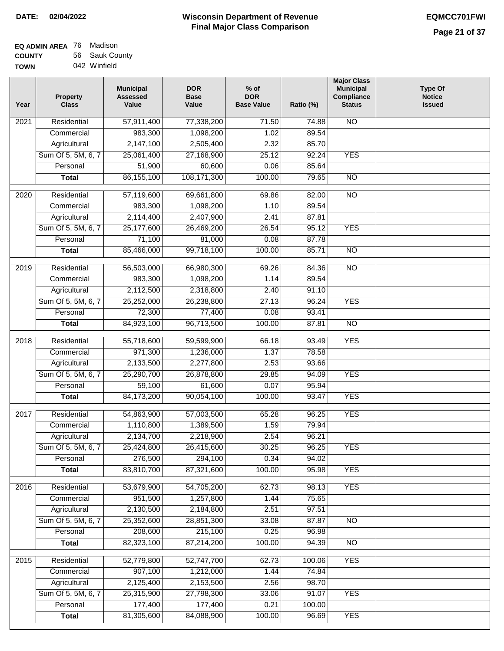| EQ ADMIN AREA 76 | Madison        |
|------------------|----------------|
| <b>COUNTY</b>    | 56 Sauk County |
| <b>TOWN</b>      | 042 Winfield   |

| Year              | <b>Property</b><br><b>Class</b> | <b>Municipal</b><br><b>Assessed</b><br>Value | <b>DOR</b><br><b>Base</b><br>Value | % of<br><b>DOR</b><br><b>Base Value</b> | Ratio (%) | <b>Major Class</b><br><b>Municipal</b><br>Compliance<br><b>Status</b> | Type Of<br><b>Notice</b><br><b>Issued</b> |
|-------------------|---------------------------------|----------------------------------------------|------------------------------------|-----------------------------------------|-----------|-----------------------------------------------------------------------|-------------------------------------------|
| $\overline{202}1$ | Residential                     | 57,911,400                                   | 77,338,200                         | 71.50                                   | 74.88     | N <sub>O</sub>                                                        |                                           |
|                   | Commercial                      | 983,300                                      | 1,098,200                          | 1.02                                    | 89.54     |                                                                       |                                           |
|                   | Agricultural                    | 2,147,100                                    | 2,505,400                          | 2.32                                    | 85.70     |                                                                       |                                           |
|                   | Sum Of 5, 5M, 6, 7              | 25,061,400                                   | 27,168,900                         | 25.12                                   | 92.24     | <b>YES</b>                                                            |                                           |
|                   | Personal                        | 51,900                                       | 60,600                             | 0.06                                    | 85.64     |                                                                       |                                           |
|                   | <b>Total</b>                    | 86, 155, 100                                 | 108,171,300                        | 100.00                                  | 79.65     | $\overline{NO}$                                                       |                                           |
| 2020              | Residential                     | 57,119,600                                   | 69,661,800                         | 69.86                                   | 82.00     | $\overline{NO}$                                                       |                                           |
|                   | Commercial                      | 983,300                                      | 1,098,200                          | 1.10                                    | 89.54     |                                                                       |                                           |
|                   | Agricultural                    | 2,114,400                                    | 2,407,900                          | 2.41                                    | 87.81     |                                                                       |                                           |
|                   | Sum Of 5, 5M, 6, 7              | 25,177,600                                   | 26,469,200                         | 26.54                                   | 95.12     | <b>YES</b>                                                            |                                           |
|                   | Personal                        | 71,100                                       | 81,000                             | 0.08                                    | 87.78     |                                                                       |                                           |
|                   | <b>Total</b>                    | 85,466,000                                   | 99,718,100                         | 100.00                                  | 85.71     | $\overline{NO}$                                                       |                                           |
|                   |                                 |                                              |                                    |                                         |           |                                                                       |                                           |
| 2019              | Residential                     | 56,503,000                                   | 66,980,300                         | 69.26                                   | 84.36     | $\overline{NO}$                                                       |                                           |
|                   | Commercial                      | 983,300                                      | 1,098,200                          | 1.14                                    | 89.54     |                                                                       |                                           |
|                   | Agricultural                    | 2,112,500                                    | 2,318,800                          | 2.40                                    | 91.10     |                                                                       |                                           |
|                   | Sum Of 5, 5M, 6, 7              | 25,252,000                                   | 26,238,800                         | 27.13                                   | 96.24     | <b>YES</b>                                                            |                                           |
|                   | Personal                        | 72,300                                       | 77,400                             | 0.08                                    | 93.41     |                                                                       |                                           |
|                   | <b>Total</b>                    | 84,923,100                                   | 96,713,500                         | 100.00                                  | 87.81     | $\overline{NO}$                                                       |                                           |
| 2018              | Residential                     | 55,718,600                                   | 59,599,900                         | 66.18                                   | 93.49     | <b>YES</b>                                                            |                                           |
|                   | Commercial                      | 971,300                                      | 1,236,000                          | 1.37                                    | 78.58     |                                                                       |                                           |
|                   | Agricultural                    | 2,133,500                                    | 2,277,800                          | 2.53                                    | 93.66     |                                                                       |                                           |
|                   | Sum Of 5, 5M, 6, 7              | 25,290,700                                   | 26,878,800                         | 29.85                                   | 94.09     | <b>YES</b>                                                            |                                           |
|                   | Personal                        | 59,100                                       | 61,600                             | 0.07                                    | 95.94     |                                                                       |                                           |
|                   | <b>Total</b>                    | 84,173,200                                   | 90,054,100                         | 100.00                                  | 93.47     | <b>YES</b>                                                            |                                           |
| $\overline{20}17$ | Residential                     | 54,863,900                                   | 57,003,500                         | 65.28                                   | 96.25     | <b>YES</b>                                                            |                                           |
|                   | Commercial                      | 1,110,800                                    | 1,389,500                          | 1.59                                    | 79.94     |                                                                       |                                           |
|                   | Agricultural                    | 2,134,700                                    | 2,218,900                          | 2.54                                    | 96.21     |                                                                       |                                           |
|                   | Sum Of 5, 5M, 6, 7              | 25,424,800                                   | 26,415,600                         | 30.25                                   | 96.25     | <b>YES</b>                                                            |                                           |
|                   | Personal                        | 276,500                                      | 294,100                            | 0.34                                    | 94.02     |                                                                       |                                           |
|                   | <b>Total</b>                    | 83,810,700                                   | 87,321,600                         | 100.00                                  | 95.98     | <b>YES</b>                                                            |                                           |
|                   |                                 |                                              |                                    |                                         |           |                                                                       |                                           |
| 2016              | Residential                     | 53,679,900                                   | 54,705,200                         | 62.73                                   | 98.13     | <b>YES</b>                                                            |                                           |
|                   | Commercial                      | 951,500                                      | 1,257,800                          | 1.44                                    | 75.65     |                                                                       |                                           |
|                   | Agricultural                    | 2,130,500                                    | 2,184,800                          | 2.51                                    | 97.51     |                                                                       |                                           |
|                   | Sum Of 5, 5M, 6, 7              | 25,352,600                                   | 28,851,300                         | 33.08                                   | 87.87     | $\overline{NO}$                                                       |                                           |
|                   | Personal                        | 208,600                                      | 215,100                            | 0.25                                    | 96.98     |                                                                       |                                           |
|                   | <b>Total</b>                    | 82,323,100                                   | 87,214,200                         | 100.00                                  | 94.39     | $\overline{NO}$                                                       |                                           |
| 2015              | Residential                     | 52,779,800                                   | 52,747,700                         | 62.73                                   | 100.06    | <b>YES</b>                                                            |                                           |
|                   | Commercial                      | 907,100                                      | 1,212,000                          | 1.44                                    | 74.84     |                                                                       |                                           |
|                   | Agricultural                    | 2,125,400                                    | 2,153,500                          | 2.56                                    | 98.70     |                                                                       |                                           |
|                   | Sum Of 5, 5M, 6, 7              | 25,315,900                                   | 27,798,300                         | 33.06                                   | 91.07     | <b>YES</b>                                                            |                                           |
|                   | Personal                        | 177,400                                      | 177,400                            | 0.21                                    | 100.00    |                                                                       |                                           |
|                   | <b>Total</b>                    | 81,305,600                                   | 84,088,900                         | 100.00                                  | 96.69     | <b>YES</b>                                                            |                                           |
|                   |                                 |                                              |                                    |                                         |           |                                                                       |                                           |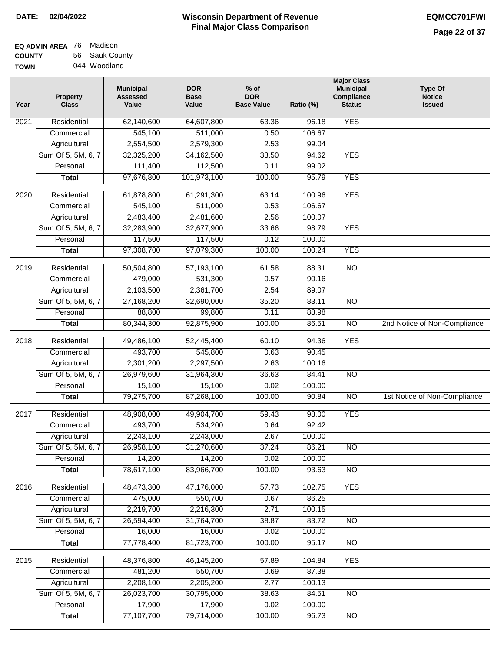| EQ ADMIN AREA 76 | Madison        |
|------------------|----------------|
| <b>COUNTY</b>    | 56 Sauk County |
| <b>TOWN</b>      | 044 Woodland   |

| Year              | <b>Property</b><br><b>Class</b> | <b>Municipal</b><br><b>Assessed</b><br>Value | <b>DOR</b><br><b>Base</b><br>Value | % of<br><b>DOR</b><br><b>Base Value</b> | Ratio (%) | <b>Major Class</b><br><b>Municipal</b><br>Compliance<br><b>Status</b> | <b>Type Of</b><br><b>Notice</b><br><b>Issued</b> |
|-------------------|---------------------------------|----------------------------------------------|------------------------------------|-----------------------------------------|-----------|-----------------------------------------------------------------------|--------------------------------------------------|
| $\overline{202}1$ | Residential                     | 62,140,600                                   | 64,607,800                         | 63.36                                   | 96.18     | <b>YES</b>                                                            |                                                  |
|                   | Commercial                      | 545,100                                      | 511,000                            | 0.50                                    | 106.67    |                                                                       |                                                  |
|                   | Agricultural                    | 2,554,500                                    | 2,579,300                          | 2.53                                    | 99.04     |                                                                       |                                                  |
|                   | Sum Of 5, 5M, 6, 7              | 32,325,200                                   | 34, 162, 500                       | 33.50                                   | 94.62     | <b>YES</b>                                                            |                                                  |
|                   | Personal                        | 111,400                                      | 112,500                            | 0.11                                    | 99.02     |                                                                       |                                                  |
|                   | <b>Total</b>                    | 97,676,800                                   | 101,973,100                        | 100.00                                  | 95.79     | <b>YES</b>                                                            |                                                  |
| $\overline{2020}$ | Residential                     | 61,878,800                                   | 61,291,300                         | 63.14                                   | 100.96    | <b>YES</b>                                                            |                                                  |
|                   | Commercial                      | 545,100                                      | 511,000                            | 0.53                                    | 106.67    |                                                                       |                                                  |
|                   | Agricultural                    | 2,483,400                                    | 2,481,600                          | 2.56                                    | 100.07    |                                                                       |                                                  |
|                   | Sum Of 5, 5M, 6, 7              | 32,283,900                                   | 32,677,900                         | 33.66                                   | 98.79     | <b>YES</b>                                                            |                                                  |
|                   | Personal                        | 117,500                                      | 117,500                            | 0.12                                    | 100.00    |                                                                       |                                                  |
|                   | <b>Total</b>                    | 97,308,700                                   | 97,079,300                         | 100.00                                  | 100.24    | <b>YES</b>                                                            |                                                  |
| 2019              | Residential                     | 50,504,800                                   | 57,193,100                         | 61.58                                   | 88.31     | $\overline{3}$                                                        |                                                  |
|                   | Commercial                      | 479,000                                      | 531,300                            | 0.57                                    | 90.16     |                                                                       |                                                  |
|                   | Agricultural                    | 2,103,500                                    | 2,361,700                          | 2.54                                    | 89.07     |                                                                       |                                                  |
|                   | Sum Of 5, 5M, 6, 7              | 27,168,200                                   | 32,690,000                         | 35.20                                   | 83.11     | $\overline{NO}$                                                       |                                                  |
|                   | Personal                        | 88,800                                       | 99,800                             | 0.11                                    | 88.98     |                                                                       |                                                  |
|                   | <b>Total</b>                    | 80,344,300                                   | 92,875,900                         | 100.00                                  | 86.51     | $\overline{NO}$                                                       | 2nd Notice of Non-Compliance                     |
| 2018              | Residential                     | 49,486,100                                   | 52,445,400                         | 60.10                                   | 94.36     | <b>YES</b>                                                            |                                                  |
|                   | Commercial                      | 493,700                                      | 545,800                            | 0.63                                    | 90.45     |                                                                       |                                                  |
|                   | Agricultural                    | 2,301,200                                    | 2,297,500                          | 2.63                                    | 100.16    |                                                                       |                                                  |
|                   | Sum Of 5, 5M, 6, 7              | 26,979,600                                   | 31,964,300                         | 36.63                                   | 84.41     | $\overline{3}$                                                        |                                                  |
|                   | Personal                        | 15,100                                       | 15,100                             | 0.02                                    | 100.00    |                                                                       |                                                  |
|                   | <b>Total</b>                    | 79,275,700                                   | 87,268,100                         | 100.00                                  | 90.84     | $\overline{10}$                                                       | 1st Notice of Non-Compliance                     |
| $\overline{2017}$ | Residential                     | 48,908,000                                   | 49,904,700                         | 59.43                                   | 98.00     | <b>YES</b>                                                            |                                                  |
|                   | Commercial                      | 493,700                                      | 534,200                            | 0.64                                    | 92.42     |                                                                       |                                                  |
|                   | Agricultural                    | 2,243,100                                    | 2,243,000                          | 2.67                                    | 100.00    |                                                                       |                                                  |
|                   | Sum Of 5, 5M, 6, 7              | 26,958,100                                   | 31,270,600                         | 37.24                                   | 86.21     | <b>NO</b>                                                             |                                                  |
|                   | Personal                        | 14,200                                       | 14,200                             | 0.02                                    | 100.00    |                                                                       |                                                  |
|                   | <b>Total</b>                    | 78,617,100                                   | 83,966,700                         | 100.00                                  | 93.63     | <b>NO</b>                                                             |                                                  |
| 2016              | Residential                     | 48,473,300                                   | 47,176,000                         | 57.73                                   | 102.75    | <b>YES</b>                                                            |                                                  |
|                   | Commercial                      | 475,000                                      | 550,700                            | 0.67                                    | 86.25     |                                                                       |                                                  |
|                   | Agricultural                    | 2,219,700                                    | 2,216,300                          | 2.71                                    | 100.15    |                                                                       |                                                  |
|                   | Sum Of 5, 5M, 6, 7              | 26,594,400                                   | 31,764,700                         | 38.87                                   | 83.72     | N <sub>O</sub>                                                        |                                                  |
|                   | Personal                        | 16,000                                       | 16,000                             | 0.02                                    | 100.00    |                                                                       |                                                  |
|                   | <b>Total</b>                    | 77,778,400                                   | 81,723,700                         | 100.00                                  | 95.17     | $\overline{NO}$                                                       |                                                  |
| 2015              | Residential                     | 48,376,800                                   | 46,145,200                         | 57.89                                   | 104.84    | <b>YES</b>                                                            |                                                  |
|                   | Commercial                      | 481,200                                      | 550,700                            | 0.69                                    | 87.38     |                                                                       |                                                  |
|                   | Agricultural                    | 2,208,100                                    | 2,205,200                          | 2.77                                    | 100.13    |                                                                       |                                                  |
|                   | Sum Of 5, 5M, 6, 7              | 26,023,700                                   | 30,795,000                         | 38.63                                   | 84.51     | <b>NO</b>                                                             |                                                  |
|                   | Personal                        | 17,900                                       | 17,900                             | 0.02                                    | 100.00    |                                                                       |                                                  |
|                   | <b>Total</b>                    | 77,107,700                                   | 79,714,000                         | 100.00                                  | 96.73     | N <sub>O</sub>                                                        |                                                  |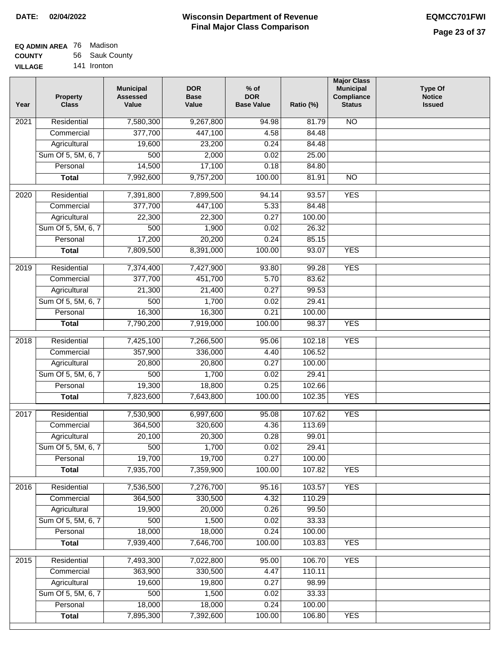| EQ ADMIN AREA 76 Madison |                |
|--------------------------|----------------|
| <b>COUNTY</b>            | 56 Sauk County |
| <b>VILLAGE</b>           | 141 Ironton    |

| Year              | <b>Property</b><br><b>Class</b> | <b>Municipal</b><br><b>Assessed</b><br>Value | <b>DOR</b><br><b>Base</b><br>Value | $%$ of<br><b>DOR</b><br><b>Base Value</b> | Ratio (%) | <b>Major Class</b><br><b>Municipal</b><br>Compliance<br><b>Status</b> | <b>Type Of</b><br><b>Notice</b><br><b>Issued</b> |
|-------------------|---------------------------------|----------------------------------------------|------------------------------------|-------------------------------------------|-----------|-----------------------------------------------------------------------|--------------------------------------------------|
| 2021              | Residential                     | 7,580,300                                    | 9,267,800                          | 94.98                                     | 81.79     | <b>NO</b>                                                             |                                                  |
|                   | Commercial                      | 377,700                                      | 447,100                            | 4.58                                      | 84.48     |                                                                       |                                                  |
|                   | Agricultural                    | 19,600                                       | 23,200                             | 0.24                                      | 84.48     |                                                                       |                                                  |
|                   | Sum Of 5, 5M, 6, 7              | 500                                          | 2,000                              | 0.02                                      | 25.00     |                                                                       |                                                  |
|                   | Personal                        | 14,500                                       | 17,100                             | 0.18                                      | 84.80     |                                                                       |                                                  |
|                   | <b>Total</b>                    | 7,992,600                                    | 9,757,200                          | 100.00                                    | 81.91     | <b>NO</b>                                                             |                                                  |
| $\overline{2020}$ | Residential                     | 7,391,800                                    | 7,899,500                          | 94.14                                     | 93.57     | <b>YES</b>                                                            |                                                  |
|                   | Commercial                      | 377,700                                      | 447,100                            | 5.33                                      | 84.48     |                                                                       |                                                  |
|                   | Agricultural                    | 22,300                                       | 22,300                             | 0.27                                      | 100.00    |                                                                       |                                                  |
|                   | Sum Of 5, 5M, 6, 7              | 500                                          | 1,900                              | 0.02                                      | 26.32     |                                                                       |                                                  |
|                   | Personal                        | 17,200                                       | 20,200                             | 0.24                                      | 85.15     |                                                                       |                                                  |
|                   | <b>Total</b>                    | 7,809,500                                    | 8,391,000                          | 100.00                                    | 93.07     | <b>YES</b>                                                            |                                                  |
| 2019              | Residential                     | 7,374,400                                    | 7,427,900                          | 93.80                                     | 99.28     | <b>YES</b>                                                            |                                                  |
|                   | Commercial                      | 377,700                                      | 451,700                            | 5.70                                      | 83.62     |                                                                       |                                                  |
|                   | Agricultural                    | 21,300                                       | 21,400                             | 0.27                                      | 99.53     |                                                                       |                                                  |
|                   | Sum Of 5, 5M, 6, 7              | 500                                          | 1,700                              | 0.02                                      | 29.41     |                                                                       |                                                  |
|                   | Personal                        | 16,300                                       | 16,300                             | 0.21                                      | 100.00    |                                                                       |                                                  |
|                   | <b>Total</b>                    | 7,790,200                                    | 7,919,000                          | 100.00                                    | 98.37     | <b>YES</b>                                                            |                                                  |
| 2018              | Residential                     | 7,425,100                                    | 7,266,500                          | 95.06                                     | 102.18    | <b>YES</b>                                                            |                                                  |
|                   | Commercial                      | 357,900                                      | 336,000                            | 4.40                                      | 106.52    |                                                                       |                                                  |
|                   | Agricultural                    | 20,800                                       | 20,800                             | 0.27                                      | 100.00    |                                                                       |                                                  |
|                   | Sum Of 5, 5M, 6, 7              | 500                                          | 1,700                              | 0.02                                      | 29.41     |                                                                       |                                                  |
|                   | Personal                        | 19,300                                       | 18,800                             | 0.25                                      | 102.66    |                                                                       |                                                  |
|                   | <b>Total</b>                    | 7,823,600                                    | 7,643,800                          | 100.00                                    | 102.35    | <b>YES</b>                                                            |                                                  |
| 2017              | Residential                     | 7,530,900                                    | 6,997,600                          | 95.08                                     | 107.62    | <b>YES</b>                                                            |                                                  |
|                   | Commercial                      | 364,500                                      | 320,600                            | 4.36                                      | 113.69    |                                                                       |                                                  |
|                   | Agricultural                    | 20,100                                       | 20,300                             | 0.28                                      | 99.01     |                                                                       |                                                  |
|                   | Sum Of 5, 5M, 6, 7              | 500                                          | 1,700                              | 0.02                                      | 29.41     |                                                                       |                                                  |
|                   | Personal                        | 19,700                                       | 19,700                             | 0.27                                      | 100.00    |                                                                       |                                                  |
|                   | <b>Total</b>                    | 7,935,700                                    | 7,359,900                          | 100.00                                    | 107.82    | <b>YES</b>                                                            |                                                  |
| 2016              | Residential                     | 7,536,500                                    | 7,276,700                          | 95.16                                     | 103.57    | <b>YES</b>                                                            |                                                  |
|                   | Commercial                      | 364,500                                      | 330,500                            | 4.32                                      | 110.29    |                                                                       |                                                  |
|                   | Agricultural                    | 19,900                                       | 20,000                             | 0.26                                      | 99.50     |                                                                       |                                                  |
|                   | Sum Of 5, 5M, 6, 7              | 500                                          | 1,500                              | 0.02                                      | 33.33     |                                                                       |                                                  |
|                   | Personal                        | 18,000                                       | 18,000                             | 0.24                                      | 100.00    |                                                                       |                                                  |
|                   | <b>Total</b>                    | 7,939,400                                    | 7,646,700                          | 100.00                                    | 103.83    | <b>YES</b>                                                            |                                                  |
| 2015              | Residential                     | 7,493,300                                    | 7,022,800                          | 95.00                                     | 106.70    | <b>YES</b>                                                            |                                                  |
|                   | Commercial                      | 363,900                                      | 330,500                            | 4.47                                      | 110.11    |                                                                       |                                                  |
|                   | Agricultural                    | 19,600                                       | 19,800                             | 0.27                                      | 98.99     |                                                                       |                                                  |
|                   | Sum Of 5, 5M, 6, 7              | 500                                          | 1,500                              | 0.02                                      | 33.33     |                                                                       |                                                  |
|                   | Personal                        | 18,000                                       | 18,000                             | 0.24                                      | 100.00    |                                                                       |                                                  |
|                   | <b>Total</b>                    | 7,895,300                                    | 7,392,600                          | 100.00                                    | 106.80    | <b>YES</b>                                                            |                                                  |
|                   |                                 |                                              |                                    |                                           |           |                                                                       |                                                  |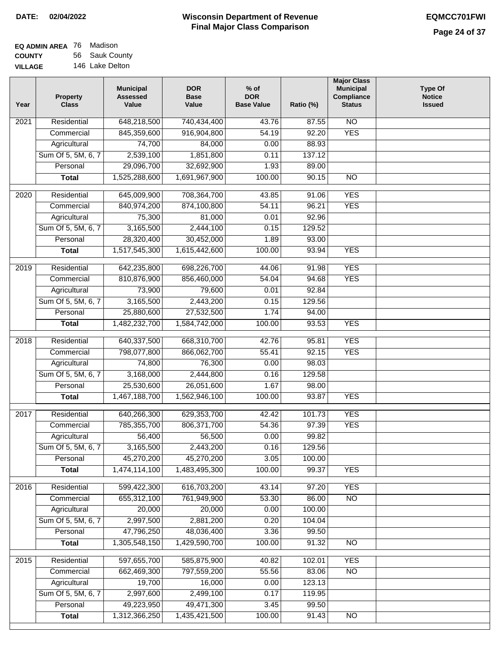| <b>EQ ADMIN AREA</b> 76 Madison |                 |
|---------------------------------|-----------------|
| <b>COUNTY</b>                   | 56 Sauk County  |
| <b>VILLAGE</b>                  | 146 Lake Delton |

| Year             | <b>Property</b><br><b>Class</b> | <b>Municipal</b><br><b>Assessed</b><br>Value | <b>DOR</b><br><b>Base</b><br>Value | $%$ of<br><b>DOR</b><br><b>Base Value</b> | Ratio (%) | <b>Major Class</b><br><b>Municipal</b><br>Compliance<br><b>Status</b> | <b>Type Of</b><br><b>Notice</b><br><b>Issued</b> |
|------------------|---------------------------------|----------------------------------------------|------------------------------------|-------------------------------------------|-----------|-----------------------------------------------------------------------|--------------------------------------------------|
| 2021             | Residential                     | 648,218,500                                  | 740,434,400                        | 43.76                                     | 87.55     | $\overline{NO}$                                                       |                                                  |
|                  | Commercial                      | 845,359,600                                  | 916,904,800                        | 54.19                                     | 92.20     | <b>YES</b>                                                            |                                                  |
|                  | Agricultural                    | 74,700                                       | 84,000                             | 0.00                                      | 88.93     |                                                                       |                                                  |
|                  | Sum Of 5, 5M, 6, 7              | 2,539,100                                    | 1,851,800                          | 0.11                                      | 137.12    |                                                                       |                                                  |
|                  | Personal                        | 29,096,700                                   | 32,692,900                         | 1.93                                      | 89.00     |                                                                       |                                                  |
|                  | <b>Total</b>                    | 1,525,288,600                                | 1,691,967,900                      | 100.00                                    | 90.15     | $\overline{NO}$                                                       |                                                  |
| 2020             | Residential                     | 645,009,900                                  | 708,364,700                        | 43.85                                     | 91.06     | <b>YES</b>                                                            |                                                  |
|                  | Commercial                      | 840,974,200                                  | 874,100,800                        | 54.11                                     | 96.21     | <b>YES</b>                                                            |                                                  |
|                  | Agricultural                    | 75,300                                       | 81,000                             | 0.01                                      | 92.96     |                                                                       |                                                  |
|                  | Sum Of 5, 5M, 6, 7              | 3,165,500                                    | 2,444,100                          | 0.15                                      | 129.52    |                                                                       |                                                  |
|                  | Personal                        | 28,320,400                                   | 30,452,000                         | 1.89                                      | 93.00     |                                                                       |                                                  |
|                  | <b>Total</b>                    | 1,517,545,300                                | 1,615,442,600                      | 100.00                                    | 93.94     | <b>YES</b>                                                            |                                                  |
| $\frac{1}{2019}$ | Residential                     | 642,235,800                                  | 698,226,700                        | 44.06                                     | 91.98     | <b>YES</b>                                                            |                                                  |
|                  | Commercial                      | 810,876,900                                  | 856,460,000                        | 54.04                                     | 94.68     | <b>YES</b>                                                            |                                                  |
|                  | Agricultural                    | 73,900                                       | 79,600                             | 0.01                                      | 92.84     |                                                                       |                                                  |
|                  | Sum Of 5, 5M, 6, 7              | 3,165,500                                    | 2,443,200                          | 0.15                                      | 129.56    |                                                                       |                                                  |
|                  | Personal                        | 25,880,600                                   | 27,532,500                         | 1.74                                      | 94.00     |                                                                       |                                                  |
|                  | <b>Total</b>                    | 1,482,232,700                                | 1,584,742,000                      | 100.00                                    | 93.53     | <b>YES</b>                                                            |                                                  |
| 2018             | Residential                     | 640,337,500                                  | 668,310,700                        | 42.76                                     | 95.81     | <b>YES</b>                                                            |                                                  |
|                  | Commercial                      | 798,077,800                                  | 866,062,700                        | 55.41                                     | 92.15     | <b>YES</b>                                                            |                                                  |
|                  | Agricultural                    | 74,800                                       | 76,300                             | 0.00                                      | 98.03     |                                                                       |                                                  |
|                  | Sum Of 5, 5M, 6, 7              | 3,168,000                                    | 2,444,800                          | 0.16                                      | 129.58    |                                                                       |                                                  |
|                  | Personal                        | 25,530,600                                   | 26,051,600                         | 1.67                                      | 98.00     |                                                                       |                                                  |
|                  | <b>Total</b>                    | 1,467,188,700                                | 1,562,946,100                      | 100.00                                    | 93.87     | <b>YES</b>                                                            |                                                  |
| 2017             | Residential                     | 640,266,300                                  | 629,353,700                        | 42.42                                     | 101.73    | <b>YES</b>                                                            |                                                  |
|                  | Commercial                      | 785,355,700                                  | 806, 371, 700                      | 54.36                                     | 97.39     | <b>YES</b>                                                            |                                                  |
|                  | Agricultural                    | 56,400                                       | 56,500                             | 0.00                                      | 99.82     |                                                                       |                                                  |
|                  | Sum Of 5, 5M, 6, 7              | 3,165,500                                    | 2,443,200                          | 0.16                                      | 129.56    |                                                                       |                                                  |
|                  | Personal                        | 45,270,200                                   | 45,270,200                         | 3.05                                      | 100.00    |                                                                       |                                                  |
|                  | <b>Total</b>                    | 1,474,114,100                                | 1,483,495,300                      | 100.00                                    | 99.37     | <b>YES</b>                                                            |                                                  |
| 2016             | Residential                     | 599,422,300                                  | 616,703,200                        | 43.14                                     | 97.20     | <b>YES</b>                                                            |                                                  |
|                  | Commercial                      | 655,312,100                                  | 761,949,900                        | 53.30                                     | 86.00     | N <sub>O</sub>                                                        |                                                  |
|                  | Agricultural                    | 20,000                                       | 20,000                             | 0.00                                      | 100.00    |                                                                       |                                                  |
|                  | Sum Of 5, 5M, 6, 7              | 2,997,500                                    | 2,881,200                          | 0.20                                      | 104.04    |                                                                       |                                                  |
|                  | Personal                        | 47,796,250                                   | 48,036,400                         | 3.36                                      | 99.50     |                                                                       |                                                  |
|                  | <b>Total</b>                    | 1,305,548,150                                | 1,429,590,700                      | 100.00                                    | 91.32     | $\overline{NO}$                                                       |                                                  |
| 2015             | Residential                     | 597,655,700                                  | 585,875,900                        | 40.82                                     | 102.01    | <b>YES</b>                                                            |                                                  |
|                  | Commercial                      | 662,469,300                                  | 797,559,200                        | 55.56                                     | 83.06     | $\overline{NO}$                                                       |                                                  |
|                  | Agricultural                    | 19,700                                       | 16,000                             | 0.00                                      | 123.13    |                                                                       |                                                  |
|                  | Sum Of 5, 5M, 6, 7              | 2,997,600                                    | 2,499,100                          | 0.17                                      | 119.95    |                                                                       |                                                  |
|                  | Personal                        | 49,223,950                                   | 49,471,300                         | 3.45                                      | 99.50     |                                                                       |                                                  |
|                  | <b>Total</b>                    | 1,312,366,250                                | 1,435,421,500                      | 100.00                                    | 91.43     | N <sub>O</sub>                                                        |                                                  |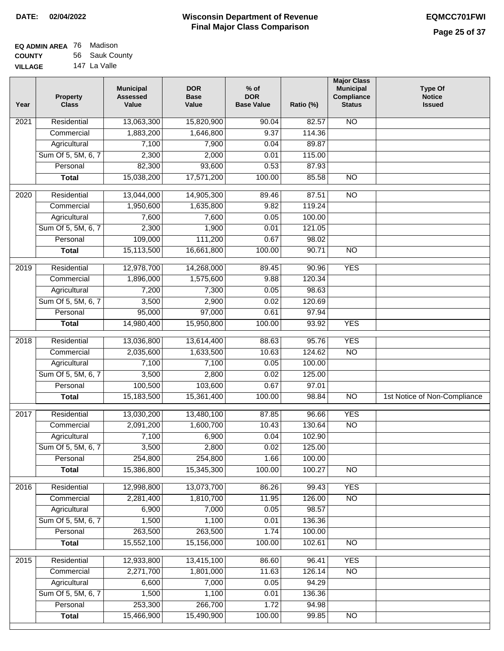| EQ ADMIN AREA 76 Madison |                |
|--------------------------|----------------|
| <b>COUNTY</b>            | 56 Sauk County |
| <b>VILLAGE</b>           | 147 La Valle   |

| Year             | <b>Property</b><br><b>Class</b> | <b>Municipal</b><br><b>Assessed</b><br>Value | <b>DOR</b><br><b>Base</b><br>Value | $%$ of<br><b>DOR</b><br><b>Base Value</b> | Ratio (%) | <b>Major Class</b><br><b>Municipal</b><br>Compliance<br><b>Status</b> | <b>Type Of</b><br><b>Notice</b><br><b>Issued</b> |
|------------------|---------------------------------|----------------------------------------------|------------------------------------|-------------------------------------------|-----------|-----------------------------------------------------------------------|--------------------------------------------------|
| 2021             | Residential                     | 13,063,300                                   | 15,820,900                         | 90.04                                     | 82.57     | N <sub>O</sub>                                                        |                                                  |
|                  | Commercial                      | 1,883,200                                    | 1,646,800                          | 9.37                                      | 114.36    |                                                                       |                                                  |
|                  | Agricultural                    | 7,100                                        | 7,900                              | 0.04                                      | 89.87     |                                                                       |                                                  |
|                  | Sum Of 5, 5M, 6, 7              | 2,300                                        | 2,000                              | 0.01                                      | 115.00    |                                                                       |                                                  |
|                  | Personal                        | 82,300                                       | 93,600                             | 0.53                                      | 87.93     |                                                                       |                                                  |
|                  | <b>Total</b>                    | 15,038,200                                   | 17,571,200                         | 100.00                                    | 85.58     | $\overline{NO}$                                                       |                                                  |
| 2020             | Residential                     | 13,044,000                                   | 14,905,300                         | 89.46                                     | 87.51     | $\overline{NO}$                                                       |                                                  |
|                  | Commercial                      | 1,950,600                                    | 1,635,800                          | 9.82                                      | 119.24    |                                                                       |                                                  |
|                  | Agricultural                    | 7,600                                        | 7,600                              | 0.05                                      | 100.00    |                                                                       |                                                  |
|                  | Sum Of 5, 5M, 6, 7              | 2,300                                        | 1,900                              | 0.01                                      | 121.05    |                                                                       |                                                  |
|                  | Personal                        | 109,000                                      | 111,200                            | 0.67                                      | 98.02     |                                                                       |                                                  |
|                  | <b>Total</b>                    | 15,113,500                                   | 16,661,800                         | 100.00                                    | 90.71     | $\overline{NO}$                                                       |                                                  |
| $\frac{1}{2019}$ | Residential                     | 12,978,700                                   | 14,268,000                         | 89.45                                     | 90.96     | <b>YES</b>                                                            |                                                  |
|                  | Commercial                      | 1,896,000                                    | 1,575,600                          | 9.88                                      | 120.34    |                                                                       |                                                  |
|                  | Agricultural                    | 7,200                                        | 7,300                              | 0.05                                      | 98.63     |                                                                       |                                                  |
|                  | Sum Of 5, 5M, 6, 7              | 3,500                                        | 2,900                              | 0.02                                      | 120.69    |                                                                       |                                                  |
|                  | Personal                        | 95,000                                       | 97,000                             | 0.61                                      | 97.94     |                                                                       |                                                  |
|                  | <b>Total</b>                    | 14,980,400                                   | 15,950,800                         | 100.00                                    | 93.92     | <b>YES</b>                                                            |                                                  |
|                  |                                 |                                              |                                    |                                           |           |                                                                       |                                                  |
| 2018             | Residential                     | 13,036,800                                   | 13,614,400                         | 88.63                                     | 95.76     | <b>YES</b>                                                            |                                                  |
|                  | Commercial                      | 2,035,600                                    | 1,633,500                          | 10.63                                     | 124.62    | N <sub>O</sub>                                                        |                                                  |
|                  | Agricultural                    | 7,100                                        | 7,100                              | 0.05                                      | 100.00    |                                                                       |                                                  |
|                  | Sum Of 5, 5M, 6, 7              | 3,500                                        | 2,800                              | 0.02                                      | 125.00    |                                                                       |                                                  |
|                  | Personal                        | 100,500                                      | 103,600                            | 0.67                                      | 97.01     |                                                                       |                                                  |
|                  | <b>Total</b>                    | 15,183,500                                   | 15,361,400                         | 100.00                                    | 98.84     | $\overline{NO}$                                                       | 1st Notice of Non-Compliance                     |
| 2017             | Residential                     | 13,030,200                                   | 13,480,100                         | 87.85                                     | 96.66     | <b>YES</b>                                                            |                                                  |
|                  | Commercial                      | 2,091,200                                    | 1,600,700                          | 10.43                                     | 130.64    | <b>NO</b>                                                             |                                                  |
|                  | Agricultural                    | 7,100                                        | 6,900                              | 0.04                                      | 102.90    |                                                                       |                                                  |
|                  | Sum Of 5, 5M, 6, 7              | 3,500                                        | 2,800                              | 0.02                                      | 125.00    |                                                                       |                                                  |
|                  | Personal                        | 254,800                                      | 254,800                            | 1.66                                      | 100.00    |                                                                       |                                                  |
|                  | <b>Total</b>                    | 15,386,800                                   | 15,345,300                         | 100.00                                    | 100.27    | <b>NO</b>                                                             |                                                  |
| 2016             | Residential                     | 12,998,800                                   | 13,073,700                         | 86.26                                     | 99.43     | <b>YES</b>                                                            |                                                  |
|                  | Commercial                      | 2,281,400                                    | 1,810,700                          | 11.95                                     | 126.00    | N <sub>O</sub>                                                        |                                                  |
|                  | Agricultural                    | 6,900                                        | 7,000                              | 0.05                                      | 98.57     |                                                                       |                                                  |
|                  | Sum Of 5, 5M, 6, 7              | 1,500                                        | 1,100                              | 0.01                                      | 136.36    |                                                                       |                                                  |
|                  | Personal                        | 263,500                                      | 263,500                            | 1.74                                      | 100.00    |                                                                       |                                                  |
|                  | <b>Total</b>                    | 15,552,100                                   | 15,156,000                         | 100.00                                    | 102.61    | N <sub>O</sub>                                                        |                                                  |
| 2015             | Residential                     | 12,933,800                                   | 13,415,100                         | 86.60                                     | 96.41     | <b>YES</b>                                                            |                                                  |
|                  | Commercial                      | 2,271,700                                    | 1,801,000                          | 11.63                                     | 126.14    | $\overline{NO}$                                                       |                                                  |
|                  | Agricultural                    | 6,600                                        | 7,000                              | 0.05                                      | 94.29     |                                                                       |                                                  |
|                  | Sum Of 5, 5M, 6, 7              | 1,500                                        | 1,100                              | 0.01                                      | 136.36    |                                                                       |                                                  |
|                  | Personal                        | 253,300                                      | 266,700                            | 1.72                                      | 94.98     |                                                                       |                                                  |
|                  | <b>Total</b>                    | 15,466,900                                   | 15,490,900                         | 100.00                                    | 99.85     | NO                                                                    |                                                  |
|                  |                                 |                                              |                                    |                                           |           |                                                                       |                                                  |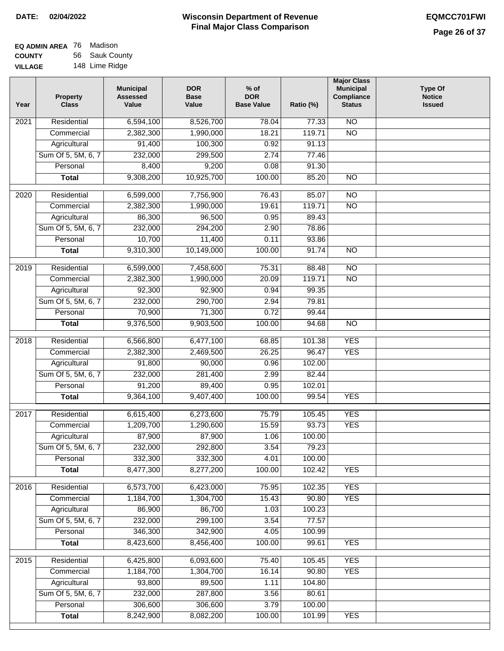#### **EQ ADMIN AREA** 76 Madison **COUNTY VILLAGE** 56 Sauk County 148 Lime Ridge

| Year              | <b>Property</b><br><b>Class</b>    | <b>Municipal</b><br><b>Assessed</b><br>Value | <b>DOR</b><br><b>Base</b><br>Value | $%$ of<br><b>DOR</b><br><b>Base Value</b> | Ratio (%)       | <b>Major Class</b><br><b>Municipal</b><br>Compliance<br><b>Status</b> | <b>Type Of</b><br><b>Notice</b><br><b>Issued</b> |
|-------------------|------------------------------------|----------------------------------------------|------------------------------------|-------------------------------------------|-----------------|-----------------------------------------------------------------------|--------------------------------------------------|
| 2021              | Residential                        | 6,594,100                                    | 8,526,700                          | 78.04                                     | 77.33           | $\overline{NO}$                                                       |                                                  |
|                   | Commercial                         | 2,382,300                                    | 1,990,000                          | 18.21                                     | 119.71          | $\overline{NO}$                                                       |                                                  |
|                   | Agricultural                       | 91,400                                       | 100,300                            | 0.92                                      | 91.13           |                                                                       |                                                  |
|                   | Sum Of 5, 5M, 6, 7                 | 232,000                                      | 299,500                            | 2.74                                      | 77.46           |                                                                       |                                                  |
|                   | Personal                           | 8,400                                        | 9,200                              | 0.08                                      | 91.30           |                                                                       |                                                  |
|                   | <b>Total</b>                       | 9,308,200                                    | 10,925,700                         | 100.00                                    | 85.20           | $\overline{NO}$                                                       |                                                  |
| $\overline{2020}$ | Residential                        | 6,599,000                                    | 7,756,900                          | 76.43                                     | 85.07           | $\overline{NO}$                                                       |                                                  |
|                   | Commercial                         | 2,382,300                                    | 1,990,000                          | 19.61                                     | 119.71          | $\overline{NO}$                                                       |                                                  |
|                   | Agricultural                       | 86,300                                       | 96,500                             | 0.95                                      | 89.43           |                                                                       |                                                  |
|                   | Sum Of 5, 5M, 6, 7                 | 232,000                                      | 294,200                            | 2.90                                      | 78.86           |                                                                       |                                                  |
|                   | Personal                           | 10,700                                       | 11,400                             | 0.11                                      | 93.86           |                                                                       |                                                  |
|                   | <b>Total</b>                       | 9,310,300                                    | 10,149,000                         | 100.00                                    | 91.74           | $\overline{NO}$                                                       |                                                  |
|                   |                                    |                                              |                                    |                                           |                 |                                                                       |                                                  |
| 2019              | Residential                        | 6,599,000                                    | 7,458,600                          | 75.31                                     | 88.48           | $\overline{10}$                                                       |                                                  |
|                   | Commercial                         | 2,382,300                                    | 1,990,000                          | 20.09                                     | 119.71          | $\overline{NO}$                                                       |                                                  |
|                   | Agricultural                       | 92,300                                       | 92,900                             | 0.94                                      | 99.35           |                                                                       |                                                  |
|                   | Sum Of 5, 5M, 6, 7                 | 232,000                                      | 290,700                            | 2.94                                      | 79.81           |                                                                       |                                                  |
|                   | Personal                           | 70,900                                       | 71,300                             | 0.72                                      | 99.44           |                                                                       |                                                  |
|                   | <b>Total</b>                       | 9,376,500                                    | 9,903,500                          | 100.00                                    | 94.68           | $\overline{NO}$                                                       |                                                  |
| 2018              | Residential                        | 6,566,800                                    | 6,477,100                          | 68.85                                     | 101.38          | <b>YES</b>                                                            |                                                  |
|                   | Commercial                         | 2,382,300                                    | 2,469,500                          | 26.25                                     | 96.47           | <b>YES</b>                                                            |                                                  |
|                   | Agricultural                       | 91,800                                       | 90,000                             | 0.96                                      | 102.00          |                                                                       |                                                  |
|                   | Sum Of 5, 5M, 6, 7                 | 232,000                                      | 281,400                            | 2.99                                      | 82.44           |                                                                       |                                                  |
|                   | Personal                           | 91,200                                       | 89,400                             | 0.95                                      | 102.01          |                                                                       |                                                  |
|                   | <b>Total</b>                       | 9,364,100                                    | 9,407,400                          | 100.00                                    | 99.54           | <b>YES</b>                                                            |                                                  |
| 2017              | Residential                        | 6,615,400                                    | 6,273,600                          | 75.79                                     | 105.45          | <b>YES</b>                                                            |                                                  |
|                   | Commercial                         | 1,209,700                                    | 1,290,600                          | 15.59                                     | 93.73           | <b>YES</b>                                                            |                                                  |
|                   | Agricultural                       | 87,900                                       | 87,900                             | 1.06                                      | 100.00          |                                                                       |                                                  |
|                   | Sum Of 5, 5M, 6, 7                 | 232,000                                      | 292,800                            | 3.54                                      | 79.23           |                                                                       |                                                  |
|                   | Personal                           | 332,300                                      | 332,300                            | 4.01                                      | 100.00          |                                                                       |                                                  |
|                   | <b>Total</b>                       | 8,477,300                                    | 8,277,200                          | 100.00                                    | 102.42          | <b>YES</b>                                                            |                                                  |
| 2016              | Residential                        | 6,573,700                                    | 6,423,000                          | 75.95                                     | 102.35          | <b>YES</b>                                                            |                                                  |
|                   | Commercial                         | 1,184,700                                    | 1,304,700                          | 15.43                                     | 90.80           | <b>YES</b>                                                            |                                                  |
|                   | Agricultural                       | 86,900                                       | 86,700                             | 1.03                                      | 100.23          |                                                                       |                                                  |
|                   | Sum Of 5, 5M, 6, 7                 | 232,000                                      | 299,100                            | 3.54                                      | 77.57           |                                                                       |                                                  |
|                   | Personal                           | 346,300                                      | 342,900                            | 4.05                                      | 100.99          |                                                                       |                                                  |
|                   | <b>Total</b>                       | 8,423,600                                    | 8,456,400                          | 100.00                                    | 99.61           | <b>YES</b>                                                            |                                                  |
|                   |                                    |                                              |                                    |                                           |                 |                                                                       |                                                  |
| 2015              | Residential                        | 6,425,800                                    | 6,093,600                          | 75.40                                     | 105.45          | <b>YES</b>                                                            |                                                  |
|                   | Commercial                         | 1,184,700                                    | 1,304,700                          | 16.14                                     | 90.80           | <b>YES</b>                                                            |                                                  |
|                   | Agricultural<br>Sum Of 5, 5M, 6, 7 | 93,800                                       | 89,500                             | 1.11                                      | 104.80          |                                                                       |                                                  |
|                   | Personal                           | 232,000<br>306,600                           | 287,800<br>306,600                 | 3.56<br>3.79                              | 80.61<br>100.00 |                                                                       |                                                  |
|                   | <b>Total</b>                       | 8,242,900                                    | 8,082,200                          | 100.00                                    | 101.99          | <b>YES</b>                                                            |                                                  |
|                   |                                    |                                              |                                    |                                           |                 |                                                                       |                                                  |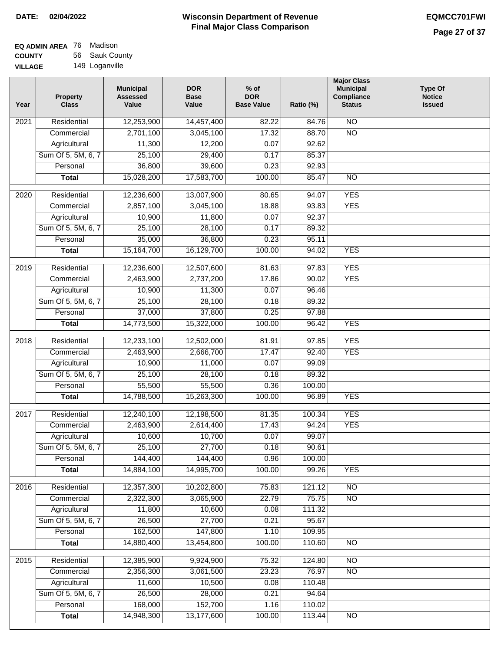# **Wisconsin Department of Revenue DATE: 02/04/2022 EQMCC701FWI Final Major Class Comparison**

| EQ ADMIN AREA 76 | Madison        |
|------------------|----------------|
| <b>COUNTY</b>    | 56 Sauk County |
| <b>VILLAGE</b>   | 149 Loganville |

| Year | <b>Property</b><br><b>Class</b> | <b>Municipal</b><br><b>Assessed</b><br>Value | <b>DOR</b><br><b>Base</b><br>Value | $%$ of<br><b>DOR</b><br><b>Base Value</b> | Ratio (%)       | <b>Major Class</b><br><b>Municipal</b><br>Compliance<br><b>Status</b> | Type Of<br><b>Notice</b><br><b>Issued</b> |
|------|---------------------------------|----------------------------------------------|------------------------------------|-------------------------------------------|-----------------|-----------------------------------------------------------------------|-------------------------------------------|
| 2021 | Residential                     | 12,253,900                                   | 14,457,400                         | 82.22                                     | 84.76           | $\overline{NO}$                                                       |                                           |
|      | Commercial                      | 2,701,100                                    | 3,045,100                          | 17.32                                     | 88.70           | $\overline{NO}$                                                       |                                           |
|      | Agricultural                    | 11,300                                       | 12,200                             | 0.07                                      | 92.62           |                                                                       |                                           |
|      | Sum Of 5, 5M, 6, 7              | 25,100                                       | 29,400                             | 0.17                                      | 85.37           |                                                                       |                                           |
|      | Personal                        | 36,800                                       | 39,600                             | 0.23                                      | 92.93           |                                                                       |                                           |
|      | <b>Total</b>                    | 15,028,200                                   | 17,583,700                         | 100.00                                    | 85.47           | $\overline{NO}$                                                       |                                           |
| 2020 | Residential                     | 12,236,600                                   | 13,007,900                         | 80.65                                     | 94.07           | <b>YES</b>                                                            |                                           |
|      | Commercial                      | 2,857,100                                    | 3,045,100                          | 18.88                                     | 93.83           | <b>YES</b>                                                            |                                           |
|      | Agricultural                    | 10,900                                       | 11,800                             | 0.07                                      | 92.37           |                                                                       |                                           |
|      | Sum Of 5, 5M, 6, 7              | 25,100                                       | 28,100                             | 0.17                                      | 89.32           |                                                                       |                                           |
|      | Personal                        | 35,000                                       | 36,800                             | 0.23                                      | 95.11           |                                                                       |                                           |
|      | <b>Total</b>                    | 15,164,700                                   | 16,129,700                         | 100.00                                    | 94.02           | <b>YES</b>                                                            |                                           |
|      |                                 |                                              |                                    |                                           |                 |                                                                       |                                           |
| 2019 | Residential                     | 12,236,600                                   | 12,507,600                         | 81.63                                     | 97.83           | <b>YES</b>                                                            |                                           |
|      | Commercial                      | 2,463,900                                    | 2,737,200                          | 17.86                                     | 90.02           | <b>YES</b>                                                            |                                           |
|      | Agricultural                    | 10,900                                       | 11,300                             | 0.07                                      | 96.46           |                                                                       |                                           |
|      | Sum Of 5, 5M, 6, 7              | 25,100                                       | 28,100                             | 0.18                                      | 89.32           |                                                                       |                                           |
|      | Personal                        | 37,000                                       | 37,800                             | 0.25                                      | 97.88           |                                                                       |                                           |
|      | <b>Total</b>                    | 14,773,500                                   | 15,322,000                         | 100.00                                    | 96.42           | <b>YES</b>                                                            |                                           |
| 2018 | Residential                     | 12,233,100                                   | 12,502,000                         | 81.91                                     | 97.85           | <b>YES</b>                                                            |                                           |
|      | Commercial                      | 2,463,900                                    | 2,666,700                          | 17.47                                     | 92.40           | <b>YES</b>                                                            |                                           |
|      | Agricultural                    | 10,900                                       | 11,000                             | 0.07                                      | 99.09           |                                                                       |                                           |
|      | Sum Of 5, 5M, 6, 7              | 25,100                                       | 28,100                             | 0.18                                      | 89.32           |                                                                       |                                           |
|      | Personal                        | 55,500                                       | 55,500                             | 0.36                                      | 100.00          |                                                                       |                                           |
|      | <b>Total</b>                    | 14,788,500                                   | 15,263,300                         | 100.00                                    | 96.89           | <b>YES</b>                                                            |                                           |
|      | Residential                     | 12,240,100                                   | 12,198,500                         | 81.35                                     |                 | <b>YES</b>                                                            |                                           |
| 2017 | Commercial                      | 2,463,900                                    | 2,614,400                          | 17.43                                     | 100.34<br>94.24 | <b>YES</b>                                                            |                                           |
|      | Agricultural                    | 10,600                                       | 10,700                             | 0.07                                      | 99.07           |                                                                       |                                           |
|      | Sum Of 5, 5M, 6, 7              | 25,100                                       | 27,700                             | 0.18                                      | 90.61           |                                                                       |                                           |
|      | Personal                        | 144,400                                      | 144,400                            | 0.96                                      | 100.00          |                                                                       |                                           |
|      | <b>Total</b>                    | 14,884,100                                   | 14,995,700                         | 100.00                                    | 99.26           | <b>YES</b>                                                            |                                           |
|      |                                 |                                              |                                    |                                           |                 |                                                                       |                                           |
| 2016 | Residential                     | 12,357,300                                   | 10,202,800                         | 75.83                                     | 121.12          | $\overline{NO}$                                                       |                                           |
|      | Commercial                      | 2,322,300                                    | 3,065,900                          | 22.79                                     | 75.75           | $\overline{NO}$                                                       |                                           |
|      | Agricultural                    | 11,800                                       | 10,600                             | 0.08                                      | 111.32          |                                                                       |                                           |
|      | Sum Of 5, 5M, 6, 7              | 26,500                                       | 27,700                             | 0.21                                      | 95.67           |                                                                       |                                           |
|      | Personal                        | 162,500                                      | 147,800                            | 1.10                                      | 109.95          |                                                                       |                                           |
|      | <b>Total</b>                    | 14,880,400                                   | 13,454,800                         | 100.00                                    | 110.60          | $\overline{NO}$                                                       |                                           |
| 2015 | Residential                     | 12,385,900                                   | 9,924,900                          | 75.32                                     | 124.80          | N <sub>O</sub>                                                        |                                           |
|      | Commercial                      | 2,356,300                                    | 3,061,500                          | 23.23                                     | 76.97           | $\overline{NO}$                                                       |                                           |
|      | Agricultural                    | 11,600                                       | 10,500                             | 0.08                                      | 110.48          |                                                                       |                                           |
|      | Sum Of 5, 5M, 6, 7              | 26,500                                       | 28,000                             | 0.21                                      | 94.64           |                                                                       |                                           |
|      | Personal                        | 168,000                                      | 152,700                            | 1.16                                      | 110.02          |                                                                       |                                           |
|      | <b>Total</b>                    | 14,948,300                                   | 13,177,600                         | 100.00                                    | 113.44          | $\overline{NO}$                                                       |                                           |
|      |                                 |                                              |                                    |                                           |                 |                                                                       |                                           |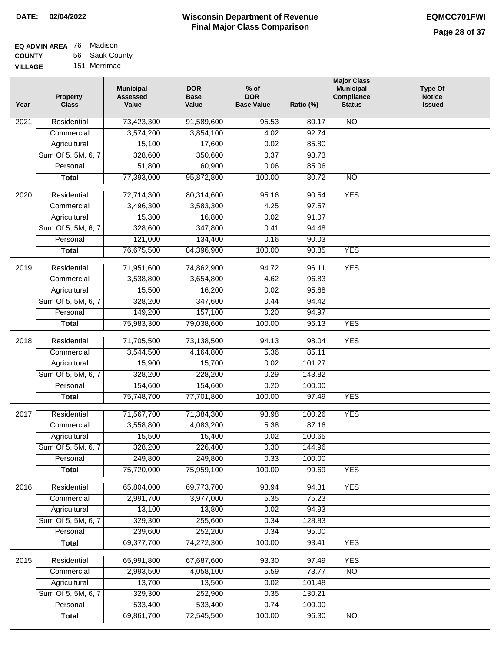| EQ ADMIN AREA 76 | Madison        |
|------------------|----------------|
| <b>COUNTY</b>    | 56 Sauk County |
| <b>VILLAGE</b>   | 151 Merrimac   |

| Year              | <b>Property</b><br><b>Class</b> | <b>Municipal</b><br><b>Assessed</b><br>Value | <b>DOR</b><br><b>Base</b><br>Value | $%$ of<br><b>DOR</b><br><b>Base Value</b> | Ratio (%) | <b>Major Class</b><br><b>Municipal</b><br>Compliance<br><b>Status</b> | <b>Type Of</b><br><b>Notice</b><br><b>Issued</b> |
|-------------------|---------------------------------|----------------------------------------------|------------------------------------|-------------------------------------------|-----------|-----------------------------------------------------------------------|--------------------------------------------------|
| $\overline{202}1$ | Residential                     | 73,423,300                                   | 91,589,600                         | 95.53                                     | 80.17     | <b>NO</b>                                                             |                                                  |
|                   | Commercial                      | 3,574,200                                    | 3,854,100                          | 4.02                                      | 92.74     |                                                                       |                                                  |
|                   | Agricultural                    | 15,100                                       | 17,600                             | 0.02                                      | 85.80     |                                                                       |                                                  |
|                   | Sum Of 5, 5M, 6, 7              | 328,600                                      | 350,600                            | 0.37                                      | 93.73     |                                                                       |                                                  |
|                   | Personal                        | 51,800                                       | 60,900                             | 0.06                                      | 85.06     |                                                                       |                                                  |
|                   | <b>Total</b>                    | 77,393,000                                   | 95,872,800                         | 100.00                                    | 80.72     | $\overline{NO}$                                                       |                                                  |
| 2020              | Residential                     | 72,714,300                                   | 80,314,600                         | 95.16                                     | 90.54     | <b>YES</b>                                                            |                                                  |
|                   | Commercial                      | 3,496,300                                    | 3,583,300                          | 4.25                                      | 97.57     |                                                                       |                                                  |
|                   | Agricultural                    | 15,300                                       | 16,800                             | 0.02                                      | 91.07     |                                                                       |                                                  |
|                   | Sum Of 5, 5M, 6, 7              | 328,600                                      | 347,800                            | 0.41                                      | 94.48     |                                                                       |                                                  |
|                   | Personal                        | 121,000                                      | 134,400                            | 0.16                                      | 90.03     |                                                                       |                                                  |
|                   | <b>Total</b>                    | 76,675,500                                   | 84,396,900                         | 100.00                                    | 90.85     | <b>YES</b>                                                            |                                                  |
| 2019              | Residential                     | 71,951,600                                   | 74,862,900                         | 94.72                                     | 96.11     | <b>YES</b>                                                            |                                                  |
|                   | Commercial                      | 3,538,800                                    | 3,654,800                          | 4.62                                      | 96.83     |                                                                       |                                                  |
|                   | Agricultural                    | 15,500                                       | 16,200                             | 0.02                                      | 95.68     |                                                                       |                                                  |
|                   | Sum Of 5, 5M, 6, 7              | 328,200                                      | 347,600                            | 0.44                                      | 94.42     |                                                                       |                                                  |
|                   | Personal                        | 149,200                                      | 157,100                            | 0.20                                      | 94.97     |                                                                       |                                                  |
|                   | <b>Total</b>                    | 75,983,300                                   | 79,038,600                         | 100.00                                    | 96.13     | <b>YES</b>                                                            |                                                  |
| 2018              | Residential                     | 71,705,500                                   | 73,138,500                         | 94.13                                     | 98.04     | <b>YES</b>                                                            |                                                  |
|                   | Commercial                      | 3,544,500                                    | 4,164,800                          | 5.36                                      | 85.11     |                                                                       |                                                  |
|                   | Agricultural                    | 15,900                                       | 15,700                             | 0.02                                      | 101.27    |                                                                       |                                                  |
|                   | Sum Of 5, 5M, 6, 7              | 328,200                                      | 228,200                            | 0.29                                      | 143.82    |                                                                       |                                                  |
|                   | Personal                        | 154,600                                      | 154,600                            | 0.20                                      | 100.00    |                                                                       |                                                  |
|                   | <b>Total</b>                    | 75,748,700                                   | 77,701,800                         | 100.00                                    | 97.49     | <b>YES</b>                                                            |                                                  |
| $\overline{2017}$ | Residential                     | 71,567,700                                   | 71,384,300                         | 93.98                                     | 100.26    | <b>YES</b>                                                            |                                                  |
|                   | Commercial                      | 3,558,800                                    | 4,083,200                          | 5.38                                      | 87.16     |                                                                       |                                                  |
|                   | Agricultural                    | 15,500                                       | 15,400                             | 0.02                                      | 100.65    |                                                                       |                                                  |
|                   | Sum Of 5, 5M, 6, 7              | 328,200                                      | 226,400                            | 0.30                                      | 144.96    |                                                                       |                                                  |
|                   | Personal                        | 249,800                                      | 249,800                            | 0.33                                      | 100.00    |                                                                       |                                                  |
|                   | <b>Total</b>                    | 75,720,000                                   | 75,959,100                         | 100.00                                    | 99.69     | <b>YES</b>                                                            |                                                  |
| 2016              | Residential                     | 65,804,000                                   | 69,773,700                         | 93.94                                     | 94.31     | <b>YES</b>                                                            |                                                  |
|                   | Commercial                      | 2,991,700                                    | 3,977,000                          | 5.35                                      | 75.23     |                                                                       |                                                  |
|                   | Agricultural                    | 13,100                                       | 13,800                             | 0.02                                      | 94.93     |                                                                       |                                                  |
|                   | Sum Of 5, 5M, 6, 7              | 329,300                                      | 255,600                            | 0.34                                      | 128.83    |                                                                       |                                                  |
|                   | Personal                        | 239,600                                      | 252,200                            | 0.34                                      | 95.00     |                                                                       |                                                  |
|                   | <b>Total</b>                    | 69,377,700                                   | 74,272,300                         | 100.00                                    | 93.41     | <b>YES</b>                                                            |                                                  |
| 2015              | Residential                     | 65,991,800                                   | 67,687,600                         | 93.30                                     | 97.49     | <b>YES</b>                                                            |                                                  |
|                   | Commercial                      | 2,993,500                                    | 4,058,100                          | 5.59                                      | 73.77     | $\overline{NO}$                                                       |                                                  |
|                   | Agricultural                    | 13,700                                       | 13,500                             | 0.02                                      | 101.48    |                                                                       |                                                  |
|                   | Sum Of 5, 5M, 6, 7              | 329,300                                      | 252,900                            | 0.35                                      | 130.21    |                                                                       |                                                  |
|                   | Personal                        | 533,400                                      | 533,400                            | 0.74                                      | 100.00    |                                                                       |                                                  |
|                   | <b>Total</b>                    | 69,861,700                                   | 72,545,500                         | 100.00                                    | 96.30     | NO                                                                    |                                                  |
|                   |                                 |                                              |                                    |                                           |           |                                                                       |                                                  |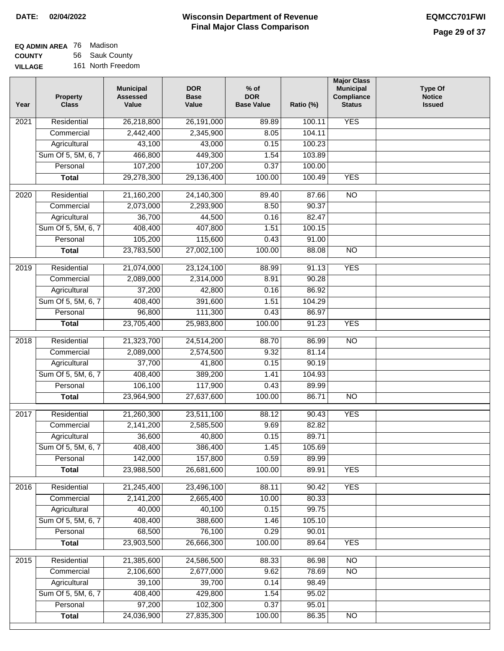| <b>EQ ADMIN AREA 76 Madison</b> |                   |
|---------------------------------|-------------------|
| <b>COUNTY</b>                   | 56 Sauk County    |
| <b>VILLAGE</b>                  | 161 North Freedom |

| Year | <b>Property</b><br><b>Class</b> | <b>Municipal</b><br><b>Assessed</b><br>Value | <b>DOR</b><br><b>Base</b><br>Value | $%$ of<br><b>DOR</b><br><b>Base Value</b> | Ratio (%) | <b>Major Class</b><br><b>Municipal</b><br>Compliance<br><b>Status</b> | <b>Type Of</b><br><b>Notice</b><br><b>Issued</b> |
|------|---------------------------------|----------------------------------------------|------------------------------------|-------------------------------------------|-----------|-----------------------------------------------------------------------|--------------------------------------------------|
| 2021 | Residential                     | 26,218,800                                   | 26,191,000                         | 89.89                                     | 100.11    | <b>YES</b>                                                            |                                                  |
|      | Commercial                      | 2,442,400                                    | 2,345,900                          | 8.05                                      | 104.11    |                                                                       |                                                  |
|      | Agricultural                    | 43,100                                       | 43,000                             | 0.15                                      | 100.23    |                                                                       |                                                  |
|      | Sum Of 5, 5M, 6, 7              | 466,800                                      | 449,300                            | 1.54                                      | 103.89    |                                                                       |                                                  |
|      | Personal                        | 107,200                                      | 107,200                            | 0.37                                      | 100.00    |                                                                       |                                                  |
|      | <b>Total</b>                    | 29,278,300                                   | 29,136,400                         | 100.00                                    | 100.49    | <b>YES</b>                                                            |                                                  |
| 2020 | Residential                     | 21,160,200                                   | 24,140,300                         | 89.40                                     | 87.66     | $\overline{NO}$                                                       |                                                  |
|      | Commercial                      | 2,073,000                                    | 2,293,900                          | 8.50                                      | 90.37     |                                                                       |                                                  |
|      | Agricultural                    | 36,700                                       | 44,500                             | 0.16                                      | 82.47     |                                                                       |                                                  |
|      | Sum Of 5, 5M, 6, 7              | 408,400                                      | 407,800                            | 1.51                                      | 100.15    |                                                                       |                                                  |
|      | Personal                        | 105,200                                      | 115,600                            | 0.43                                      | 91.00     |                                                                       |                                                  |
|      | <b>Total</b>                    | 23,783,500                                   | 27,002,100                         | 100.00                                    | 88.08     | $\overline{NO}$                                                       |                                                  |
| 2019 | Residential                     | 21,074,000                                   | 23,124,100                         | 88.99                                     | 91.13     | <b>YES</b>                                                            |                                                  |
|      | Commercial                      | 2,089,000                                    | 2,314,000                          | 8.91                                      | 90.28     |                                                                       |                                                  |
|      | Agricultural                    | 37,200                                       | 42,800                             | 0.16                                      | 86.92     |                                                                       |                                                  |
|      | Sum Of 5, 5M, 6, 7              | 408,400                                      | 391,600                            | 1.51                                      | 104.29    |                                                                       |                                                  |
|      | Personal                        | 96,800                                       | 111,300                            | 0.43                                      | 86.97     |                                                                       |                                                  |
|      | <b>Total</b>                    | 23,705,400                                   | 25,983,800                         | 100.00                                    | 91.23     | <b>YES</b>                                                            |                                                  |
| 2018 | Residential                     | 21,323,700                                   | 24,514,200                         | 88.70                                     | 86.99     | $\overline{NO}$                                                       |                                                  |
|      | Commercial                      | 2,089,000                                    | 2,574,500                          | 9.32                                      | 81.14     |                                                                       |                                                  |
|      | Agricultural                    | 37,700                                       | 41,800                             | 0.15                                      | 90.19     |                                                                       |                                                  |
|      | Sum Of 5, 5M, 6, 7              | 408,400                                      | 389,200                            | 1.41                                      | 104.93    |                                                                       |                                                  |
|      | Personal                        | 106,100                                      | 117,900                            | 0.43                                      | 89.99     |                                                                       |                                                  |
|      | <b>Total</b>                    | 23,964,900                                   | 27,637,600                         | 100.00                                    | 86.71     | $\overline{NO}$                                                       |                                                  |
| 2017 | Residential                     | 21,260,300                                   | 23,511,100                         | 88.12                                     | 90.43     | <b>YES</b>                                                            |                                                  |
|      | Commercial                      | 2,141,200                                    | 2,585,500                          | 9.69                                      | 82.82     |                                                                       |                                                  |
|      | Agricultural                    | 36,600                                       | 40,800                             | 0.15                                      | 89.71     |                                                                       |                                                  |
|      | Sum Of 5, 5M, 6, 7              | 408,400                                      | 386,400                            | 1.45                                      | 105.69    |                                                                       |                                                  |
|      | Personal                        | 142,000                                      | 157,800                            | 0.59                                      | 89.99     |                                                                       |                                                  |
|      | <b>Total</b>                    | 23,988,500                                   | 26,681,600                         | 100.00                                    | 89.91     | <b>YES</b>                                                            |                                                  |
| 2016 | Residential                     | 21,245,400                                   | 23,496,100                         | 88.11                                     | 90.42     | <b>YES</b>                                                            |                                                  |
|      | Commercial                      | 2,141,200                                    | 2,665,400                          | 10.00                                     | 80.33     |                                                                       |                                                  |
|      | Agricultural                    | 40,000                                       | 40,100                             | 0.15                                      | 99.75     |                                                                       |                                                  |
|      | Sum Of 5, 5M, 6, 7              | 408,400                                      | 388,600                            | 1.46                                      | 105.10    |                                                                       |                                                  |
|      | Personal                        | 68,500                                       | 76,100                             | 0.29                                      | 90.01     |                                                                       |                                                  |
|      | <b>Total</b>                    | 23,903,500                                   | 26,666,300                         | 100.00                                    | 89.64     | <b>YES</b>                                                            |                                                  |
| 2015 | Residential                     | 21,385,600                                   | 24,586,500                         | 88.33                                     | 86.98     | N <sub>O</sub>                                                        |                                                  |
|      | Commercial                      | 2,106,600                                    | 2,677,000                          | 9.62                                      | 78.69     | $\overline{NO}$                                                       |                                                  |
|      | Agricultural                    | 39,100                                       | 39,700                             | 0.14                                      | 98.49     |                                                                       |                                                  |
|      | Sum Of 5, 5M, 6, 7              | 408,400                                      | 429,800                            | 1.54                                      | 95.02     |                                                                       |                                                  |
|      | Personal                        | 97,200                                       | 102,300                            | 0.37                                      | 95.01     |                                                                       |                                                  |
|      | <b>Total</b>                    | 24,036,900                                   | 27,835,300                         | 100.00                                    | 86.35     | NO                                                                    |                                                  |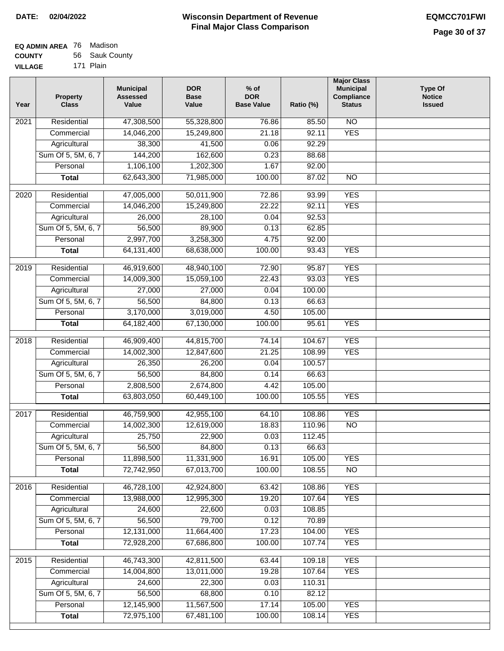| <b>EQ ADMIN AREA 76 Madison</b> |                |
|---------------------------------|----------------|
| <b>COUNTY</b>                   | 56 Sauk County |
|                                 |                |

**VILLAGE** 171 Plain

| Year              | <b>Property</b><br><b>Class</b> | <b>Municipal</b><br><b>Assessed</b><br>Value | <b>DOR</b><br><b>Base</b><br>Value | % of<br><b>DOR</b><br><b>Base Value</b> | Ratio (%) | <b>Major Class</b><br><b>Municipal</b><br>Compliance<br><b>Status</b> | <b>Type Of</b><br><b>Notice</b><br><b>Issued</b> |
|-------------------|---------------------------------|----------------------------------------------|------------------------------------|-----------------------------------------|-----------|-----------------------------------------------------------------------|--------------------------------------------------|
| $\overline{202}1$ | Residential                     | 47,308,500                                   | 55,328,800                         | 76.86                                   | 85.50     | N <sub>O</sub>                                                        |                                                  |
|                   | Commercial                      | 14,046,200                                   | 15,249,800                         | 21.18                                   | 92.11     | <b>YES</b>                                                            |                                                  |
|                   | Agricultural                    | 38,300                                       | 41,500                             | 0.06                                    | 92.29     |                                                                       |                                                  |
|                   | Sum Of 5, 5M, 6, 7              | 144,200                                      | 162,600                            | 0.23                                    | 88.68     |                                                                       |                                                  |
|                   | Personal                        | 1,106,100                                    | 1,202,300                          | 1.67                                    | 92.00     |                                                                       |                                                  |
|                   | <b>Total</b>                    | 62,643,300                                   | 71,985,000                         | 100.00                                  | 87.02     | $\overline{NO}$                                                       |                                                  |
| $\overline{2020}$ | Residential                     | 47,005,000                                   | 50,011,900                         | 72.86                                   | 93.99     | <b>YES</b>                                                            |                                                  |
|                   | Commercial                      | 14,046,200                                   | 15,249,800                         | 22.22                                   | 92.11     | <b>YES</b>                                                            |                                                  |
|                   | Agricultural                    | 26,000                                       | 28,100                             | 0.04                                    | 92.53     |                                                                       |                                                  |
|                   | Sum Of 5, 5M, 6, 7              | 56,500                                       | 89,900                             | 0.13                                    | 62.85     |                                                                       |                                                  |
|                   | Personal                        | 2,997,700                                    | 3,258,300                          | 4.75                                    | 92.00     |                                                                       |                                                  |
|                   | <b>Total</b>                    | 64, 131, 400                                 | 68,638,000                         | 100.00                                  | 93.43     | <b>YES</b>                                                            |                                                  |
|                   |                                 |                                              |                                    |                                         |           |                                                                       |                                                  |
| $\frac{1}{2019}$  | Residential                     | 46,919,600                                   | 48,940,100                         | 72.90                                   | 95.87     | <b>YES</b>                                                            |                                                  |
|                   | Commercial                      | 14,009,300                                   | 15,059,100                         | 22.43                                   | 93.03     | <b>YES</b>                                                            |                                                  |
|                   | Agricultural                    | 27,000                                       | 27,000                             | 0.04                                    | 100.00    |                                                                       |                                                  |
|                   | Sum Of 5, 5M, 6, 7              | 56,500                                       | 84,800                             | 0.13                                    | 66.63     |                                                                       |                                                  |
|                   | Personal                        | 3,170,000                                    | 3,019,000                          | 4.50                                    | 105.00    |                                                                       |                                                  |
|                   | <b>Total</b>                    | 64, 182, 400                                 | 67,130,000                         | 100.00                                  | 95.61     | <b>YES</b>                                                            |                                                  |
| 2018              | Residential                     | 46,909,400                                   | 44,815,700                         | 74.14                                   | 104.67    | <b>YES</b>                                                            |                                                  |
|                   | Commercial                      | 14,002,300                                   | 12,847,600                         | 21.25                                   | 108.99    | <b>YES</b>                                                            |                                                  |
|                   | Agricultural                    | 26,350                                       | 26,200                             | 0.04                                    | 100.57    |                                                                       |                                                  |
|                   | Sum Of 5, 5M, 6, 7              | 56,500                                       | 84,800                             | 0.14                                    | 66.63     |                                                                       |                                                  |
|                   | Personal                        | 2,808,500                                    | 2,674,800                          | 4.42                                    | 105.00    |                                                                       |                                                  |
|                   | <b>Total</b>                    | 63,803,050                                   | 60,449,100                         | 100.00                                  | 105.55    | <b>YES</b>                                                            |                                                  |
| $\overline{2017}$ | Residential                     | 46,759,900                                   | 42,955,100                         | 64.10                                   | 108.86    | <b>YES</b>                                                            |                                                  |
|                   | Commercial                      | 14,002,300                                   | 12,619,000                         | 18.83                                   | 110.96    | $\overline{NO}$                                                       |                                                  |
|                   | Agricultural                    | 25,750                                       | 22,900                             | 0.03                                    | 112.45    |                                                                       |                                                  |
|                   | Sum Of 5, 5M, 6, 7              | 56,500                                       | 84,800                             | 0.13                                    | 66.63     |                                                                       |                                                  |
|                   | Personal                        | 11,898,500                                   | 11,331,900                         | 16.91                                   | 105.00    | <b>YES</b>                                                            |                                                  |
|                   | <b>Total</b>                    | 72,742,950                                   | 67,013,700                         | 100.00                                  | 108.55    | $\overline{NO}$                                                       |                                                  |
|                   |                                 |                                              |                                    |                                         |           |                                                                       |                                                  |
| 2016              | Residential                     | 46,728,100                                   | 42,924,800                         | 63.42                                   | 108.86    | <b>YES</b>                                                            |                                                  |
|                   | Commercial                      | 13,988,000                                   | 12,995,300                         | 19.20                                   | 107.64    | <b>YES</b>                                                            |                                                  |
|                   | Agricultural                    | 24,600                                       | 22,600                             | 0.03<br>0.12                            | 108.85    |                                                                       |                                                  |
|                   | Sum Of 5, 5M, 6, 7              | 56,500                                       | 79,700                             |                                         | 70.89     |                                                                       |                                                  |
|                   | Personal                        | 12,131,000                                   | 11,664,400                         | 17.23                                   | 104.00    | <b>YES</b>                                                            |                                                  |
|                   | <b>Total</b>                    | 72,928,200                                   | 67,686,800                         | 100.00                                  | 107.74    | <b>YES</b>                                                            |                                                  |
| 2015              | Residential                     | 46,743,300                                   | 42,811,500                         | 63.44                                   | 109.18    | <b>YES</b>                                                            |                                                  |
|                   | Commercial                      | 14,004,800                                   | 13,011,000                         | 19.28                                   | 107.64    | <b>YES</b>                                                            |                                                  |
|                   | Agricultural                    | 24,600                                       | 22,300                             | 0.03                                    | 110.31    |                                                                       |                                                  |
|                   | Sum Of 5, 5M, 6, 7              | 56,500                                       | 68,800                             | 0.10                                    | 82.12     |                                                                       |                                                  |
|                   | Personal                        | 12,145,900                                   | 11,567,500                         | 17.14                                   | 105.00    | <b>YES</b>                                                            |                                                  |
|                   | <b>Total</b>                    | 72,975,100                                   | 67,481,100                         | 100.00                                  | 108.14    | <b>YES</b>                                                            |                                                  |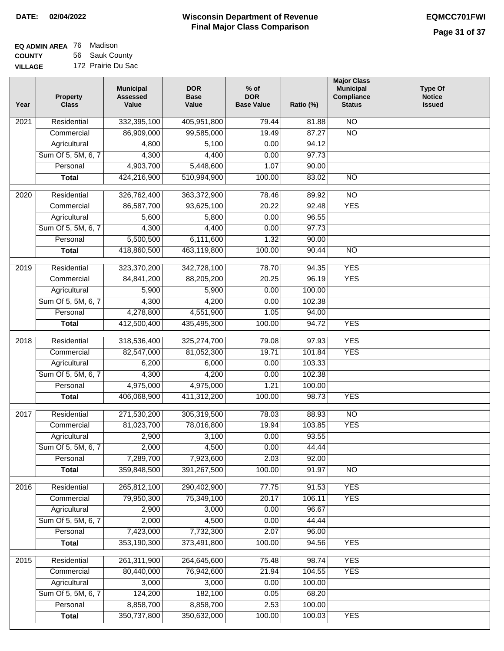### **EQ ADMIN AREA** 76 Madison **COUNTY** 56 Sauk County

**VILLAGE** 172 Prairie Du Sac

| Year              | <b>Property</b><br><b>Class</b> | <b>Municipal</b><br><b>Assessed</b><br>Value | <b>DOR</b><br><b>Base</b><br>Value | % of<br><b>DOR</b><br><b>Base Value</b> | Ratio (%) | <b>Major Class</b><br><b>Municipal</b><br>Compliance<br><b>Status</b> | <b>Type Of</b><br><b>Notice</b><br><b>Issued</b> |
|-------------------|---------------------------------|----------------------------------------------|------------------------------------|-----------------------------------------|-----------|-----------------------------------------------------------------------|--------------------------------------------------|
| $\overline{202}1$ | Residential                     | 332,395,100                                  | 405,951,800                        | 79.44                                   | 81.88     | $\overline{NO}$                                                       |                                                  |
|                   | Commercial                      | 86,909,000                                   | 99,585,000                         | 19.49                                   | 87.27     | $\overline{NO}$                                                       |                                                  |
|                   | Agricultural                    | 4,800                                        | 5,100                              | 0.00                                    | 94.12     |                                                                       |                                                  |
|                   | Sum Of 5, 5M, 6, 7              | 4,300                                        | 4,400                              | 0.00                                    | 97.73     |                                                                       |                                                  |
|                   | Personal                        | 4,903,700                                    | 5,448,600                          | 1.07                                    | 90.00     |                                                                       |                                                  |
|                   | <b>Total</b>                    | 424,216,900                                  | 510,994,900                        | 100.00                                  | 83.02     | $\overline{NO}$                                                       |                                                  |
| $\overline{2020}$ | Residential                     | 326,762,400                                  | 363,372,900                        | 78.46                                   | 89.92     | $\overline{NO}$                                                       |                                                  |
|                   | Commercial                      | 86,587,700                                   | 93,625,100                         | 20.22                                   | 92.48     | <b>YES</b>                                                            |                                                  |
|                   | Agricultural                    | 5,600                                        | 5,800                              | 0.00                                    | 96.55     |                                                                       |                                                  |
|                   | Sum Of 5, 5M, 6, 7              | 4,300                                        | 4,400                              | 0.00                                    | 97.73     |                                                                       |                                                  |
|                   | Personal                        | 5,500,500                                    | 6,111,600                          | 1.32                                    | 90.00     |                                                                       |                                                  |
|                   | <b>Total</b>                    | 418,860,500                                  | 463,119,800                        | 100.00                                  | 90.44     | $\overline{NO}$                                                       |                                                  |
|                   |                                 |                                              |                                    |                                         |           |                                                                       |                                                  |
| 2019              | Residential                     | 323,370,200                                  | 342,728,100                        | 78.70                                   | 94.35     | <b>YES</b>                                                            |                                                  |
|                   | Commercial                      | 84,841,200                                   | 88,205,200                         | 20.25                                   | 96.19     | <b>YES</b>                                                            |                                                  |
|                   | Agricultural                    | 5,900                                        | 5,900                              | 0.00                                    | 100.00    |                                                                       |                                                  |
|                   | Sum Of 5, 5M, 6, 7              | 4,300                                        | 4,200                              | 0.00                                    | 102.38    |                                                                       |                                                  |
|                   | Personal                        | 4,278,800                                    | 4,551,900                          | 1.05                                    | 94.00     |                                                                       |                                                  |
|                   | <b>Total</b>                    | 412,500,400                                  | 435,495,300                        | 100.00                                  | 94.72     | <b>YES</b>                                                            |                                                  |
| 2018              | Residential                     | 318,536,400                                  | 325,274,700                        | 79.08                                   | 97.93     | <b>YES</b>                                                            |                                                  |
|                   | Commercial                      | 82,547,000                                   | 81,052,300                         | 19.71                                   | 101.84    | <b>YES</b>                                                            |                                                  |
|                   | Agricultural                    | 6,200                                        | 6,000                              | 0.00                                    | 103.33    |                                                                       |                                                  |
|                   | Sum Of 5, 5M, 6, 7              | 4,300                                        | 4,200                              | 0.00                                    | 102.38    |                                                                       |                                                  |
|                   | Personal                        | 4,975,000                                    | 4,975,000                          | 1.21                                    | 100.00    |                                                                       |                                                  |
|                   | <b>Total</b>                    | 406,068,900                                  | 411,312,200                        | 100.00                                  | 98.73     | <b>YES</b>                                                            |                                                  |
| 2017              | Residential                     | 271,530,200                                  | 305,319,500                        | 78.03                                   | 88.93     | N <sub>O</sub>                                                        |                                                  |
|                   | Commercial                      | 81,023,700                                   | 78,016,800                         | 19.94                                   | 103.85    | <b>YES</b>                                                            |                                                  |
|                   | Agricultural                    | 2,900                                        | 3,100                              | 0.00                                    | 93.55     |                                                                       |                                                  |
|                   | Sum Of 5, 5M, 6, 7              | 2,000                                        | 4,500                              | 0.00                                    | 44.44     |                                                                       |                                                  |
|                   | Personal                        | 7,289,700                                    | 7,923,600                          | 2.03                                    | 92.00     |                                                                       |                                                  |
|                   | <b>Total</b>                    | 359,848,500                                  | 391,267,500                        | 100.00                                  | 91.97     | <b>NO</b>                                                             |                                                  |
| 2016              | Residential                     | 265,812,100                                  | 290,402,900                        | 77.75                                   | 91.53     | <b>YES</b>                                                            |                                                  |
|                   | Commercial                      | 79,950,300                                   | 75,349,100                         | 20.17                                   | 106.11    | <b>YES</b>                                                            |                                                  |
|                   | Agricultural                    | 2,900                                        | 3,000                              | 0.00                                    | 96.67     |                                                                       |                                                  |
|                   | Sum Of 5, 5M, 6, 7              | 2,000                                        | 4,500                              | 0.00                                    | 44.44     |                                                                       |                                                  |
|                   | Personal                        | 7,423,000                                    | 7,732,300                          | 2.07                                    | 96.00     |                                                                       |                                                  |
|                   | <b>Total</b>                    | 353,190,300                                  | 373,491,800                        | 100.00                                  | 94.56     | <b>YES</b>                                                            |                                                  |
| 2015              | Residential                     | 261,311,900                                  | 264,645,600                        | 75.48                                   | 98.74     | <b>YES</b>                                                            |                                                  |
|                   | Commercial                      | 80,440,000                                   | 76,942,600                         | 21.94                                   | 104.55    | <b>YES</b>                                                            |                                                  |
|                   | Agricultural                    | 3,000                                        | 3,000                              | 0.00                                    | 100.00    |                                                                       |                                                  |
|                   | Sum Of 5, 5M, 6, 7              | 124,200                                      | 182,100                            | 0.05                                    | 68.20     |                                                                       |                                                  |
|                   | Personal                        | 8,858,700                                    | 8,858,700                          | 2.53                                    | 100.00    |                                                                       |                                                  |
|                   | <b>Total</b>                    | 350,737,800                                  | 350,632,000                        | 100.00                                  | 100.03    | <b>YES</b>                                                            |                                                  |
|                   |                                 |                                              |                                    |                                         |           |                                                                       |                                                  |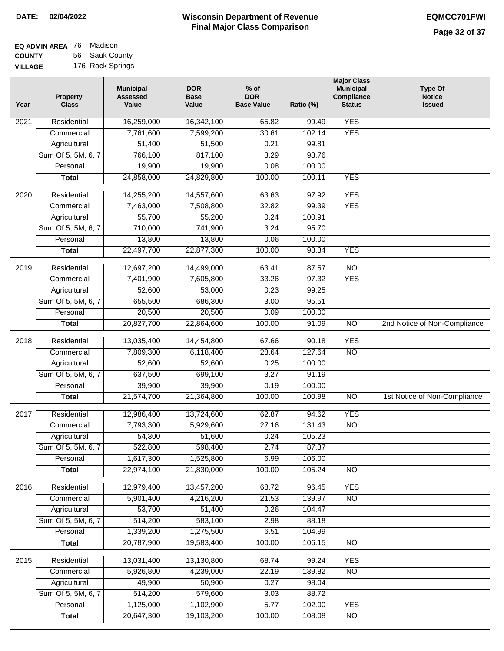| <b>EQ ADMIN AREA</b> 76 Madison |                  |
|---------------------------------|------------------|
| <b>COUNTY</b>                   | 56 Sauk County   |
| <b>VILLAGE</b>                  | 176 Rock Springs |

| Year | <b>Property</b><br><b>Class</b> | <b>Municipal</b><br><b>Assessed</b><br>Value | <b>DOR</b><br><b>Base</b><br>Value | $%$ of<br><b>DOR</b><br><b>Base Value</b> | Ratio (%) | <b>Major Class</b><br><b>Municipal</b><br>Compliance<br><b>Status</b> | <b>Type Of</b><br><b>Notice</b><br><b>Issued</b> |
|------|---------------------------------|----------------------------------------------|------------------------------------|-------------------------------------------|-----------|-----------------------------------------------------------------------|--------------------------------------------------|
| 2021 | Residential                     | 16,259,000                                   | 16,342,100                         | 65.82                                     | 99.49     | <b>YES</b>                                                            |                                                  |
|      | Commercial                      | 7,761,600                                    | 7,599,200                          | 30.61                                     | 102.14    | <b>YES</b>                                                            |                                                  |
|      | Agricultural                    | 51,400                                       | 51,500                             | 0.21                                      | 99.81     |                                                                       |                                                  |
|      | Sum Of 5, 5M, 6, 7              | 766,100                                      | 817,100                            | 3.29                                      | 93.76     |                                                                       |                                                  |
|      | Personal                        | 19,900                                       | 19,900                             | 0.08                                      | 100.00    |                                                                       |                                                  |
|      | <b>Total</b>                    | 24,858,000                                   | 24,829,800                         | 100.00                                    | 100.11    | <b>YES</b>                                                            |                                                  |
| 2020 | Residential                     | 14,255,200                                   | 14,557,600                         | 63.63                                     | 97.92     | <b>YES</b>                                                            |                                                  |
|      | Commercial                      | 7,463,000                                    | 7,508,800                          | 32.82                                     | 99.39     | <b>YES</b>                                                            |                                                  |
|      | Agricultural                    | 55,700                                       | 55,200                             | 0.24                                      | 100.91    |                                                                       |                                                  |
|      | Sum Of 5, 5M, 6, 7              | 710,000                                      | 741,900                            | 3.24                                      | 95.70     |                                                                       |                                                  |
|      | Personal                        | 13,800                                       | 13,800                             | 0.06                                      | 100.00    |                                                                       |                                                  |
|      | <b>Total</b>                    | 22,497,700                                   | 22,877,300                         | 100.00                                    | 98.34     | <b>YES</b>                                                            |                                                  |
| 2019 | Residential                     | 12,697,200                                   | 14,499,000                         | 63.41                                     | 87.57     | $\overline{NO}$                                                       |                                                  |
|      | Commercial                      | 7,401,900                                    | 7,605,800                          | 33.26                                     | 97.32     | <b>YES</b>                                                            |                                                  |
|      | Agricultural                    | 52,600                                       | 53,000                             | 0.23                                      | 99.25     |                                                                       |                                                  |
|      | Sum Of 5, 5M, 6, 7              | 655,500                                      | 686,300                            | 3.00                                      | 95.51     |                                                                       |                                                  |
|      | Personal                        | 20,500                                       | 20,500                             | 0.09                                      | 100.00    |                                                                       |                                                  |
|      | <b>Total</b>                    | 20,827,700                                   | 22,864,600                         | 100.00                                    | 91.09     | $\overline{NO}$                                                       | 2nd Notice of Non-Compliance                     |
| 2018 | Residential                     | 13,035,400                                   | 14,454,800                         | 67.66                                     | 90.18     | <b>YES</b>                                                            |                                                  |
|      | Commercial                      | 7,809,300                                    | 6,118,400                          | 28.64                                     | 127.64    | N <sub>O</sub>                                                        |                                                  |
|      | Agricultural                    | 52,600                                       | 52,600                             | 0.25                                      | 100.00    |                                                                       |                                                  |
|      | Sum Of 5, 5M, 6, 7              | 637,500                                      | 699,100                            | 3.27                                      | 91.19     |                                                                       |                                                  |
|      | Personal                        | 39,900                                       | 39,900                             | 0.19                                      | 100.00    |                                                                       |                                                  |
|      | <b>Total</b>                    | 21,574,700                                   | 21,364,800                         | 100.00                                    | 100.98    | $\overline{NO}$                                                       | 1st Notice of Non-Compliance                     |
| 2017 | Residential                     | 12,986,400                                   | 13,724,600                         | 62.87                                     | 94.62     | <b>YES</b>                                                            |                                                  |
|      | Commercial                      | 7,793,300                                    | 5,929,600                          | 27.16                                     | 131.43    | $\overline{NO}$                                                       |                                                  |
|      | Agricultural                    | 54,300                                       | 51,600                             | 0.24                                      | 105.23    |                                                                       |                                                  |
|      | Sum Of 5, 5M, 6, 7              | 522,800                                      | 598,400                            | 2.74                                      | 87.37     |                                                                       |                                                  |
|      | Personal                        | 1,617,300                                    | 1,525,800                          | 6.99                                      | 106.00    |                                                                       |                                                  |
|      | <b>Total</b>                    | 22,974,100                                   | 21,830,000                         | 100.00                                    | 105.24    | <b>NO</b>                                                             |                                                  |
| 2016 | Residential                     | 12,979,400                                   | 13,457,200                         | 68.72                                     | 96.45     | <b>YES</b>                                                            |                                                  |
|      | Commercial                      | 5,901,400                                    | 4,216,200                          | 21.53                                     | 139.97    | N <sub>O</sub>                                                        |                                                  |
|      | Agricultural                    | 53,700                                       | 51,400                             | 0.26                                      | 104.47    |                                                                       |                                                  |
|      | Sum Of 5, 5M, 6, 7              | 514,200                                      | 583,100                            | 2.98                                      | 88.18     |                                                                       |                                                  |
|      | Personal                        | 1,339,200                                    | 1,275,500                          | 6.51                                      | 104.99    |                                                                       |                                                  |
|      | <b>Total</b>                    | 20,787,900                                   | 19,583,400                         | 100.00                                    | 106.15    | N <sub>O</sub>                                                        |                                                  |
| 2015 | Residential                     | 13,031,400                                   | 13,130,800                         | 68.74                                     | 99.24     | <b>YES</b>                                                            |                                                  |
|      | Commercial                      | 5,926,800                                    | 4,239,000                          | 22.19                                     | 139.82    | $\overline{NO}$                                                       |                                                  |
|      | Agricultural                    | 49,900                                       | 50,900                             | 0.27                                      | 98.04     |                                                                       |                                                  |
|      | Sum Of 5, 5M, 6, 7              | 514,200                                      | 579,600                            | 3.03                                      | 88.72     |                                                                       |                                                  |
|      | Personal                        | 1,125,000                                    | 1,102,900                          | 5.77                                      | 102.00    | <b>YES</b>                                                            |                                                  |
|      | <b>Total</b>                    | 20,647,300                                   | 19,103,200                         | 100.00                                    | 108.08    | NO                                                                    |                                                  |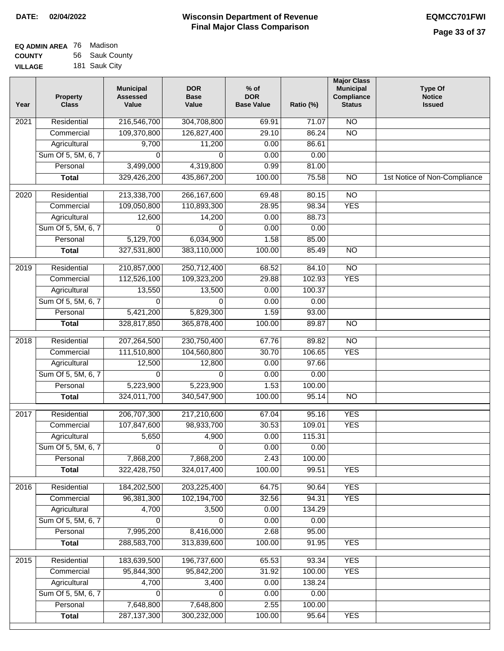| <b>EQ ADMIN AREA</b> 76 Madison |                |
|---------------------------------|----------------|
| <b>COUNTY</b>                   | 56 Sauk County |
| <b>VILLAGE</b>                  | 181 Sauk City  |

| $\overline{NO}$<br>Residential<br>216,546,700<br>304,708,800<br>69.91<br>2021<br>71.07<br>109,370,800<br>$\overline{NO}$<br>126,827,400<br>29.10<br>86.24<br>Commercial<br>Agricultural<br>9,700<br>11,200<br>0.00<br>86.61<br>Sum Of 5, 5M, 6, 7<br>0.00<br>0.00<br>$\Omega$<br>$\Omega$<br>4,319,800<br>Personal<br>3,499,000<br>0.99<br>81.00<br>329,426,200<br>100.00<br>75.58<br>$\overline{NO}$<br><b>Total</b><br>435,867,200<br>$\overline{NO}$<br>2020<br>Residential<br>213,338,700<br>266, 167, 600<br>69.48<br>80.15<br>109,050,800<br>110,893,300<br><b>YES</b><br>28.95<br>98.34<br>Commercial<br>88.73<br>12,600<br>14,200<br>0.00<br>Agricultural<br>Sum Of 5, 5M, 6, 7<br>0.00<br>0.00<br>0<br>0<br>6,034,900<br>1.58<br>85.00<br>Personal<br>5,129,700<br>327,531,800<br>383,110,000<br>100.00<br>85.49<br>$\overline{NO}$<br><b>Total</b><br>Residential<br>210,857,000<br>250,712,400<br>68.52<br>84.10<br>$\overline{NO}$<br>2019<br><b>YES</b><br>112,526,100<br>109,323,200<br>29.88<br>102.93<br>Commercial<br>13,550<br>13,500<br>0.00<br>100.37<br>Agricultural<br>Sum Of 5, 5M, 6, 7<br>0.00<br>0.00<br>0<br>0<br>Personal<br>5,421,200<br>5,829,300<br>1.59<br>93.00<br>100.00<br>$\overline{NO}$<br><b>Total</b><br>328,817,850<br>365,878,400<br>89.87<br>Residential<br>207,264,500<br>230,750,400<br>67.76<br>89.82<br>$\overline{NO}$<br>2018<br><b>YES</b><br>Commercial<br>111,510,800<br>104,560,800<br>30.70<br>106.65<br>97.66<br>Agricultural<br>12,500<br>12,800<br>0.00<br>Sum Of 5, 5M, 6, 7<br>0.00<br>0.00<br>0<br>0<br>Personal<br>5,223,900<br>1.53<br>100.00<br>5,223,900<br>324,011,700<br>340,547,900<br>100.00<br>95.14<br>$\overline{NO}$<br><b>Total</b><br><b>YES</b><br>2017<br>Residential<br>206,707,300<br>217,210,600<br>95.16<br>67.04<br><b>YES</b><br>Commercial<br>107,847,600<br>98,933,700<br>30.53<br>109.01<br>115.31<br>4,900<br>0.00<br>Agricultural<br>5,650<br>Sum Of 5, 5M, 6, 7<br>0.00<br>$\overline{0}$<br>$\overline{0}$<br>0.00<br>7,868,200<br>2.43<br>Personal<br>7,868,200<br>100.00<br>322,428,750<br>324,017,400<br>100.00<br>99.51<br><b>YES</b><br><b>Total</b><br><b>YES</b><br>Residential<br>184,202,500<br>203,225,400<br>2016<br>64.75<br>90.64<br>96,381,300<br>102,194,700<br>32.56<br>94.31<br><b>YES</b><br>Commercial<br>4,700<br>3,500<br>0.00<br>Agricultural<br>134.29<br>Sum Of 5, 5M, 6, 7<br>$\Omega$<br>0.00<br>$\Omega$<br>0.00<br>7,995,200<br>8,416,000<br>2.68<br>95.00<br>Personal<br><b>YES</b><br>288,583,700<br>313,839,600<br>100.00<br>91.95<br><b>Total</b><br><b>YES</b><br>Residential<br>183,639,500<br>196,737,600<br>65.53<br>93.34<br>2015<br>95,844,300<br>95,842,200<br>31.92<br>100.00<br><b>YES</b><br>Commercial | Year | <b>Property</b><br><b>Class</b> | <b>Municipal</b><br><b>Assessed</b><br>Value | <b>DOR</b><br><b>Base</b><br>Value | $%$ of<br><b>DOR</b><br><b>Base Value</b> | Ratio (%) | <b>Major Class</b><br><b>Municipal</b><br>Compliance<br><b>Status</b> | <b>Type Of</b><br><b>Notice</b><br><b>Issued</b> |
|--------------------------------------------------------------------------------------------------------------------------------------------------------------------------------------------------------------------------------------------------------------------------------------------------------------------------------------------------------------------------------------------------------------------------------------------------------------------------------------------------------------------------------------------------------------------------------------------------------------------------------------------------------------------------------------------------------------------------------------------------------------------------------------------------------------------------------------------------------------------------------------------------------------------------------------------------------------------------------------------------------------------------------------------------------------------------------------------------------------------------------------------------------------------------------------------------------------------------------------------------------------------------------------------------------------------------------------------------------------------------------------------------------------------------------------------------------------------------------------------------------------------------------------------------------------------------------------------------------------------------------------------------------------------------------------------------------------------------------------------------------------------------------------------------------------------------------------------------------------------------------------------------------------------------------------------------------------------------------------------------------------------------------------------------------------------------------------------------------------------------------------------------------------------------------------------------------------------------------------------------------------------------------------------------------------------------------------------------------------------------------------------------------------------------------------------------------------------------------------------------------------------------------------------------------------------------------------------------------------------------------------------------------------------------------------------------------------------------------------------|------|---------------------------------|----------------------------------------------|------------------------------------|-------------------------------------------|-----------|-----------------------------------------------------------------------|--------------------------------------------------|
|                                                                                                                                                                                                                                                                                                                                                                                                                                                                                                                                                                                                                                                                                                                                                                                                                                                                                                                                                                                                                                                                                                                                                                                                                                                                                                                                                                                                                                                                                                                                                                                                                                                                                                                                                                                                                                                                                                                                                                                                                                                                                                                                                                                                                                                                                                                                                                                                                                                                                                                                                                                                                                                                                                                                            |      |                                 |                                              |                                    |                                           |           |                                                                       |                                                  |
|                                                                                                                                                                                                                                                                                                                                                                                                                                                                                                                                                                                                                                                                                                                                                                                                                                                                                                                                                                                                                                                                                                                                                                                                                                                                                                                                                                                                                                                                                                                                                                                                                                                                                                                                                                                                                                                                                                                                                                                                                                                                                                                                                                                                                                                                                                                                                                                                                                                                                                                                                                                                                                                                                                                                            |      |                                 |                                              |                                    |                                           |           |                                                                       |                                                  |
|                                                                                                                                                                                                                                                                                                                                                                                                                                                                                                                                                                                                                                                                                                                                                                                                                                                                                                                                                                                                                                                                                                                                                                                                                                                                                                                                                                                                                                                                                                                                                                                                                                                                                                                                                                                                                                                                                                                                                                                                                                                                                                                                                                                                                                                                                                                                                                                                                                                                                                                                                                                                                                                                                                                                            |      |                                 |                                              |                                    |                                           |           |                                                                       |                                                  |
|                                                                                                                                                                                                                                                                                                                                                                                                                                                                                                                                                                                                                                                                                                                                                                                                                                                                                                                                                                                                                                                                                                                                                                                                                                                                                                                                                                                                                                                                                                                                                                                                                                                                                                                                                                                                                                                                                                                                                                                                                                                                                                                                                                                                                                                                                                                                                                                                                                                                                                                                                                                                                                                                                                                                            |      |                                 |                                              |                                    |                                           |           |                                                                       |                                                  |
|                                                                                                                                                                                                                                                                                                                                                                                                                                                                                                                                                                                                                                                                                                                                                                                                                                                                                                                                                                                                                                                                                                                                                                                                                                                                                                                                                                                                                                                                                                                                                                                                                                                                                                                                                                                                                                                                                                                                                                                                                                                                                                                                                                                                                                                                                                                                                                                                                                                                                                                                                                                                                                                                                                                                            |      |                                 |                                              |                                    |                                           |           |                                                                       |                                                  |
|                                                                                                                                                                                                                                                                                                                                                                                                                                                                                                                                                                                                                                                                                                                                                                                                                                                                                                                                                                                                                                                                                                                                                                                                                                                                                                                                                                                                                                                                                                                                                                                                                                                                                                                                                                                                                                                                                                                                                                                                                                                                                                                                                                                                                                                                                                                                                                                                                                                                                                                                                                                                                                                                                                                                            |      |                                 |                                              |                                    |                                           |           |                                                                       | 1st Notice of Non-Compliance                     |
|                                                                                                                                                                                                                                                                                                                                                                                                                                                                                                                                                                                                                                                                                                                                                                                                                                                                                                                                                                                                                                                                                                                                                                                                                                                                                                                                                                                                                                                                                                                                                                                                                                                                                                                                                                                                                                                                                                                                                                                                                                                                                                                                                                                                                                                                                                                                                                                                                                                                                                                                                                                                                                                                                                                                            |      |                                 |                                              |                                    |                                           |           |                                                                       |                                                  |
|                                                                                                                                                                                                                                                                                                                                                                                                                                                                                                                                                                                                                                                                                                                                                                                                                                                                                                                                                                                                                                                                                                                                                                                                                                                                                                                                                                                                                                                                                                                                                                                                                                                                                                                                                                                                                                                                                                                                                                                                                                                                                                                                                                                                                                                                                                                                                                                                                                                                                                                                                                                                                                                                                                                                            |      |                                 |                                              |                                    |                                           |           |                                                                       |                                                  |
|                                                                                                                                                                                                                                                                                                                                                                                                                                                                                                                                                                                                                                                                                                                                                                                                                                                                                                                                                                                                                                                                                                                                                                                                                                                                                                                                                                                                                                                                                                                                                                                                                                                                                                                                                                                                                                                                                                                                                                                                                                                                                                                                                                                                                                                                                                                                                                                                                                                                                                                                                                                                                                                                                                                                            |      |                                 |                                              |                                    |                                           |           |                                                                       |                                                  |
|                                                                                                                                                                                                                                                                                                                                                                                                                                                                                                                                                                                                                                                                                                                                                                                                                                                                                                                                                                                                                                                                                                                                                                                                                                                                                                                                                                                                                                                                                                                                                                                                                                                                                                                                                                                                                                                                                                                                                                                                                                                                                                                                                                                                                                                                                                                                                                                                                                                                                                                                                                                                                                                                                                                                            |      |                                 |                                              |                                    |                                           |           |                                                                       |                                                  |
|                                                                                                                                                                                                                                                                                                                                                                                                                                                                                                                                                                                                                                                                                                                                                                                                                                                                                                                                                                                                                                                                                                                                                                                                                                                                                                                                                                                                                                                                                                                                                                                                                                                                                                                                                                                                                                                                                                                                                                                                                                                                                                                                                                                                                                                                                                                                                                                                                                                                                                                                                                                                                                                                                                                                            |      |                                 |                                              |                                    |                                           |           |                                                                       |                                                  |
|                                                                                                                                                                                                                                                                                                                                                                                                                                                                                                                                                                                                                                                                                                                                                                                                                                                                                                                                                                                                                                                                                                                                                                                                                                                                                                                                                                                                                                                                                                                                                                                                                                                                                                                                                                                                                                                                                                                                                                                                                                                                                                                                                                                                                                                                                                                                                                                                                                                                                                                                                                                                                                                                                                                                            |      |                                 |                                              |                                    |                                           |           |                                                                       |                                                  |
|                                                                                                                                                                                                                                                                                                                                                                                                                                                                                                                                                                                                                                                                                                                                                                                                                                                                                                                                                                                                                                                                                                                                                                                                                                                                                                                                                                                                                                                                                                                                                                                                                                                                                                                                                                                                                                                                                                                                                                                                                                                                                                                                                                                                                                                                                                                                                                                                                                                                                                                                                                                                                                                                                                                                            |      |                                 |                                              |                                    |                                           |           |                                                                       |                                                  |
|                                                                                                                                                                                                                                                                                                                                                                                                                                                                                                                                                                                                                                                                                                                                                                                                                                                                                                                                                                                                                                                                                                                                                                                                                                                                                                                                                                                                                                                                                                                                                                                                                                                                                                                                                                                                                                                                                                                                                                                                                                                                                                                                                                                                                                                                                                                                                                                                                                                                                                                                                                                                                                                                                                                                            |      |                                 |                                              |                                    |                                           |           |                                                                       |                                                  |
|                                                                                                                                                                                                                                                                                                                                                                                                                                                                                                                                                                                                                                                                                                                                                                                                                                                                                                                                                                                                                                                                                                                                                                                                                                                                                                                                                                                                                                                                                                                                                                                                                                                                                                                                                                                                                                                                                                                                                                                                                                                                                                                                                                                                                                                                                                                                                                                                                                                                                                                                                                                                                                                                                                                                            |      |                                 |                                              |                                    |                                           |           |                                                                       |                                                  |
|                                                                                                                                                                                                                                                                                                                                                                                                                                                                                                                                                                                                                                                                                                                                                                                                                                                                                                                                                                                                                                                                                                                                                                                                                                                                                                                                                                                                                                                                                                                                                                                                                                                                                                                                                                                                                                                                                                                                                                                                                                                                                                                                                                                                                                                                                                                                                                                                                                                                                                                                                                                                                                                                                                                                            |      |                                 |                                              |                                    |                                           |           |                                                                       |                                                  |
|                                                                                                                                                                                                                                                                                                                                                                                                                                                                                                                                                                                                                                                                                                                                                                                                                                                                                                                                                                                                                                                                                                                                                                                                                                                                                                                                                                                                                                                                                                                                                                                                                                                                                                                                                                                                                                                                                                                                                                                                                                                                                                                                                                                                                                                                                                                                                                                                                                                                                                                                                                                                                                                                                                                                            |      |                                 |                                              |                                    |                                           |           |                                                                       |                                                  |
|                                                                                                                                                                                                                                                                                                                                                                                                                                                                                                                                                                                                                                                                                                                                                                                                                                                                                                                                                                                                                                                                                                                                                                                                                                                                                                                                                                                                                                                                                                                                                                                                                                                                                                                                                                                                                                                                                                                                                                                                                                                                                                                                                                                                                                                                                                                                                                                                                                                                                                                                                                                                                                                                                                                                            |      |                                 |                                              |                                    |                                           |           |                                                                       |                                                  |
|                                                                                                                                                                                                                                                                                                                                                                                                                                                                                                                                                                                                                                                                                                                                                                                                                                                                                                                                                                                                                                                                                                                                                                                                                                                                                                                                                                                                                                                                                                                                                                                                                                                                                                                                                                                                                                                                                                                                                                                                                                                                                                                                                                                                                                                                                                                                                                                                                                                                                                                                                                                                                                                                                                                                            |      |                                 |                                              |                                    |                                           |           |                                                                       |                                                  |
|                                                                                                                                                                                                                                                                                                                                                                                                                                                                                                                                                                                                                                                                                                                                                                                                                                                                                                                                                                                                                                                                                                                                                                                                                                                                                                                                                                                                                                                                                                                                                                                                                                                                                                                                                                                                                                                                                                                                                                                                                                                                                                                                                                                                                                                                                                                                                                                                                                                                                                                                                                                                                                                                                                                                            |      |                                 |                                              |                                    |                                           |           |                                                                       |                                                  |
|                                                                                                                                                                                                                                                                                                                                                                                                                                                                                                                                                                                                                                                                                                                                                                                                                                                                                                                                                                                                                                                                                                                                                                                                                                                                                                                                                                                                                                                                                                                                                                                                                                                                                                                                                                                                                                                                                                                                                                                                                                                                                                                                                                                                                                                                                                                                                                                                                                                                                                                                                                                                                                                                                                                                            |      |                                 |                                              |                                    |                                           |           |                                                                       |                                                  |
|                                                                                                                                                                                                                                                                                                                                                                                                                                                                                                                                                                                                                                                                                                                                                                                                                                                                                                                                                                                                                                                                                                                                                                                                                                                                                                                                                                                                                                                                                                                                                                                                                                                                                                                                                                                                                                                                                                                                                                                                                                                                                                                                                                                                                                                                                                                                                                                                                                                                                                                                                                                                                                                                                                                                            |      |                                 |                                              |                                    |                                           |           |                                                                       |                                                  |
|                                                                                                                                                                                                                                                                                                                                                                                                                                                                                                                                                                                                                                                                                                                                                                                                                                                                                                                                                                                                                                                                                                                                                                                                                                                                                                                                                                                                                                                                                                                                                                                                                                                                                                                                                                                                                                                                                                                                                                                                                                                                                                                                                                                                                                                                                                                                                                                                                                                                                                                                                                                                                                                                                                                                            |      |                                 |                                              |                                    |                                           |           |                                                                       |                                                  |
|                                                                                                                                                                                                                                                                                                                                                                                                                                                                                                                                                                                                                                                                                                                                                                                                                                                                                                                                                                                                                                                                                                                                                                                                                                                                                                                                                                                                                                                                                                                                                                                                                                                                                                                                                                                                                                                                                                                                                                                                                                                                                                                                                                                                                                                                                                                                                                                                                                                                                                                                                                                                                                                                                                                                            |      |                                 |                                              |                                    |                                           |           |                                                                       |                                                  |
|                                                                                                                                                                                                                                                                                                                                                                                                                                                                                                                                                                                                                                                                                                                                                                                                                                                                                                                                                                                                                                                                                                                                                                                                                                                                                                                                                                                                                                                                                                                                                                                                                                                                                                                                                                                                                                                                                                                                                                                                                                                                                                                                                                                                                                                                                                                                                                                                                                                                                                                                                                                                                                                                                                                                            |      |                                 |                                              |                                    |                                           |           |                                                                       |                                                  |
|                                                                                                                                                                                                                                                                                                                                                                                                                                                                                                                                                                                                                                                                                                                                                                                                                                                                                                                                                                                                                                                                                                                                                                                                                                                                                                                                                                                                                                                                                                                                                                                                                                                                                                                                                                                                                                                                                                                                                                                                                                                                                                                                                                                                                                                                                                                                                                                                                                                                                                                                                                                                                                                                                                                                            |      |                                 |                                              |                                    |                                           |           |                                                                       |                                                  |
|                                                                                                                                                                                                                                                                                                                                                                                                                                                                                                                                                                                                                                                                                                                                                                                                                                                                                                                                                                                                                                                                                                                                                                                                                                                                                                                                                                                                                                                                                                                                                                                                                                                                                                                                                                                                                                                                                                                                                                                                                                                                                                                                                                                                                                                                                                                                                                                                                                                                                                                                                                                                                                                                                                                                            |      |                                 |                                              |                                    |                                           |           |                                                                       |                                                  |
|                                                                                                                                                                                                                                                                                                                                                                                                                                                                                                                                                                                                                                                                                                                                                                                                                                                                                                                                                                                                                                                                                                                                                                                                                                                                                                                                                                                                                                                                                                                                                                                                                                                                                                                                                                                                                                                                                                                                                                                                                                                                                                                                                                                                                                                                                                                                                                                                                                                                                                                                                                                                                                                                                                                                            |      |                                 |                                              |                                    |                                           |           |                                                                       |                                                  |
|                                                                                                                                                                                                                                                                                                                                                                                                                                                                                                                                                                                                                                                                                                                                                                                                                                                                                                                                                                                                                                                                                                                                                                                                                                                                                                                                                                                                                                                                                                                                                                                                                                                                                                                                                                                                                                                                                                                                                                                                                                                                                                                                                                                                                                                                                                                                                                                                                                                                                                                                                                                                                                                                                                                                            |      |                                 |                                              |                                    |                                           |           |                                                                       |                                                  |
|                                                                                                                                                                                                                                                                                                                                                                                                                                                                                                                                                                                                                                                                                                                                                                                                                                                                                                                                                                                                                                                                                                                                                                                                                                                                                                                                                                                                                                                                                                                                                                                                                                                                                                                                                                                                                                                                                                                                                                                                                                                                                                                                                                                                                                                                                                                                                                                                                                                                                                                                                                                                                                                                                                                                            |      |                                 |                                              |                                    |                                           |           |                                                                       |                                                  |
|                                                                                                                                                                                                                                                                                                                                                                                                                                                                                                                                                                                                                                                                                                                                                                                                                                                                                                                                                                                                                                                                                                                                                                                                                                                                                                                                                                                                                                                                                                                                                                                                                                                                                                                                                                                                                                                                                                                                                                                                                                                                                                                                                                                                                                                                                                                                                                                                                                                                                                                                                                                                                                                                                                                                            |      |                                 |                                              |                                    |                                           |           |                                                                       |                                                  |
|                                                                                                                                                                                                                                                                                                                                                                                                                                                                                                                                                                                                                                                                                                                                                                                                                                                                                                                                                                                                                                                                                                                                                                                                                                                                                                                                                                                                                                                                                                                                                                                                                                                                                                                                                                                                                                                                                                                                                                                                                                                                                                                                                                                                                                                                                                                                                                                                                                                                                                                                                                                                                                                                                                                                            |      |                                 |                                              |                                    |                                           |           |                                                                       |                                                  |
|                                                                                                                                                                                                                                                                                                                                                                                                                                                                                                                                                                                                                                                                                                                                                                                                                                                                                                                                                                                                                                                                                                                                                                                                                                                                                                                                                                                                                                                                                                                                                                                                                                                                                                                                                                                                                                                                                                                                                                                                                                                                                                                                                                                                                                                                                                                                                                                                                                                                                                                                                                                                                                                                                                                                            |      |                                 |                                              |                                    |                                           |           |                                                                       |                                                  |
|                                                                                                                                                                                                                                                                                                                                                                                                                                                                                                                                                                                                                                                                                                                                                                                                                                                                                                                                                                                                                                                                                                                                                                                                                                                                                                                                                                                                                                                                                                                                                                                                                                                                                                                                                                                                                                                                                                                                                                                                                                                                                                                                                                                                                                                                                                                                                                                                                                                                                                                                                                                                                                                                                                                                            |      |                                 |                                              |                                    |                                           |           |                                                                       |                                                  |
|                                                                                                                                                                                                                                                                                                                                                                                                                                                                                                                                                                                                                                                                                                                                                                                                                                                                                                                                                                                                                                                                                                                                                                                                                                                                                                                                                                                                                                                                                                                                                                                                                                                                                                                                                                                                                                                                                                                                                                                                                                                                                                                                                                                                                                                                                                                                                                                                                                                                                                                                                                                                                                                                                                                                            |      |                                 |                                              |                                    |                                           |           |                                                                       |                                                  |
|                                                                                                                                                                                                                                                                                                                                                                                                                                                                                                                                                                                                                                                                                                                                                                                                                                                                                                                                                                                                                                                                                                                                                                                                                                                                                                                                                                                                                                                                                                                                                                                                                                                                                                                                                                                                                                                                                                                                                                                                                                                                                                                                                                                                                                                                                                                                                                                                                                                                                                                                                                                                                                                                                                                                            |      |                                 |                                              |                                    |                                           |           |                                                                       |                                                  |
|                                                                                                                                                                                                                                                                                                                                                                                                                                                                                                                                                                                                                                                                                                                                                                                                                                                                                                                                                                                                                                                                                                                                                                                                                                                                                                                                                                                                                                                                                                                                                                                                                                                                                                                                                                                                                                                                                                                                                                                                                                                                                                                                                                                                                                                                                                                                                                                                                                                                                                                                                                                                                                                                                                                                            |      |                                 |                                              |                                    |                                           |           |                                                                       |                                                  |
|                                                                                                                                                                                                                                                                                                                                                                                                                                                                                                                                                                                                                                                                                                                                                                                                                                                                                                                                                                                                                                                                                                                                                                                                                                                                                                                                                                                                                                                                                                                                                                                                                                                                                                                                                                                                                                                                                                                                                                                                                                                                                                                                                                                                                                                                                                                                                                                                                                                                                                                                                                                                                                                                                                                                            |      |                                 |                                              |                                    |                                           |           |                                                                       |                                                  |
|                                                                                                                                                                                                                                                                                                                                                                                                                                                                                                                                                                                                                                                                                                                                                                                                                                                                                                                                                                                                                                                                                                                                                                                                                                                                                                                                                                                                                                                                                                                                                                                                                                                                                                                                                                                                                                                                                                                                                                                                                                                                                                                                                                                                                                                                                                                                                                                                                                                                                                                                                                                                                                                                                                                                            |      | Agricultural                    | 4,700                                        | 3,400                              | 0.00                                      | 138.24    |                                                                       |                                                  |
| Sum Of 5, 5M, 6, 7<br>0.00<br>0.00<br>0<br>0                                                                                                                                                                                                                                                                                                                                                                                                                                                                                                                                                                                                                                                                                                                                                                                                                                                                                                                                                                                                                                                                                                                                                                                                                                                                                                                                                                                                                                                                                                                                                                                                                                                                                                                                                                                                                                                                                                                                                                                                                                                                                                                                                                                                                                                                                                                                                                                                                                                                                                                                                                                                                                                                                               |      |                                 |                                              |                                    |                                           |           |                                                                       |                                                  |
| 2.55<br>Personal<br>7,648,800<br>7,648,800<br>100.00                                                                                                                                                                                                                                                                                                                                                                                                                                                                                                                                                                                                                                                                                                                                                                                                                                                                                                                                                                                                                                                                                                                                                                                                                                                                                                                                                                                                                                                                                                                                                                                                                                                                                                                                                                                                                                                                                                                                                                                                                                                                                                                                                                                                                                                                                                                                                                                                                                                                                                                                                                                                                                                                                       |      |                                 |                                              |                                    |                                           |           |                                                                       |                                                  |
| 287, 137, 300<br>300,232,000<br>100.00<br>95.64<br><b>YES</b><br><b>Total</b>                                                                                                                                                                                                                                                                                                                                                                                                                                                                                                                                                                                                                                                                                                                                                                                                                                                                                                                                                                                                                                                                                                                                                                                                                                                                                                                                                                                                                                                                                                                                                                                                                                                                                                                                                                                                                                                                                                                                                                                                                                                                                                                                                                                                                                                                                                                                                                                                                                                                                                                                                                                                                                                              |      |                                 |                                              |                                    |                                           |           |                                                                       |                                                  |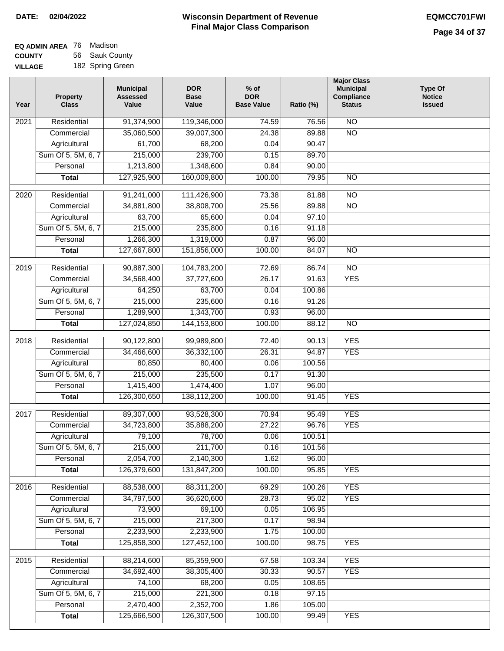| <b>EQ ADMIN AREA</b> 76 Madison |                  |
|---------------------------------|------------------|
| <b>COUNTY</b>                   | 56 Sauk County   |
| <b>VILLAGE</b>                  | 182 Spring Green |

| Year              | <b>Property</b><br><b>Class</b> | <b>Municipal</b><br><b>Assessed</b><br>Value | <b>DOR</b><br><b>Base</b><br>Value | $%$ of<br><b>DOR</b><br><b>Base Value</b> | Ratio (%) | <b>Major Class</b><br><b>Municipal</b><br>Compliance<br><b>Status</b> | Type Of<br><b>Notice</b><br><b>Issued</b> |
|-------------------|---------------------------------|----------------------------------------------|------------------------------------|-------------------------------------------|-----------|-----------------------------------------------------------------------|-------------------------------------------|
| $\overline{202}1$ | Residential                     | 91,374,900                                   | 119,346,000                        | 74.59                                     | 76.56     | $\overline{NO}$                                                       |                                           |
|                   | Commercial                      | 35,060,500                                   | 39,007,300                         | 24.38                                     | 89.88     | $\overline{NO}$                                                       |                                           |
|                   | Agricultural                    | 61,700                                       | 68,200                             | 0.04                                      | 90.47     |                                                                       |                                           |
|                   | Sum Of 5, 5M, 6, 7              | 215,000                                      | 239,700                            | 0.15                                      | 89.70     |                                                                       |                                           |
|                   | Personal                        | 1,213,800                                    | 1,348,600                          | 0.84                                      | 90.00     |                                                                       |                                           |
|                   | <b>Total</b>                    | 127,925,900                                  | 160,009,800                        | 100.00                                    | 79.95     | $\overline{NO}$                                                       |                                           |
| $\overline{2020}$ | Residential                     | 91,241,000                                   | 111,426,900                        | 73.38                                     | 81.88     | $\overline{NO}$                                                       |                                           |
|                   | Commercial                      | 34,881,800                                   | 38,808,700                         | 25.56                                     | 89.88     | $\overline{NO}$                                                       |                                           |
|                   | Agricultural                    | 63,700                                       | 65,600                             | 0.04                                      | 97.10     |                                                                       |                                           |
|                   | Sum Of 5, 5M, 6, 7              | 215,000                                      | 235,800                            | 0.16                                      | 91.18     |                                                                       |                                           |
|                   | Personal                        | 1,266,300                                    | 1,319,000                          | 0.87                                      | 96.00     |                                                                       |                                           |
|                   | <b>Total</b>                    | 127,667,800                                  | 151,856,000                        | 100.00                                    | 84.07     | $\overline{NO}$                                                       |                                           |
| 2019              | Residential                     | 90,887,300                                   | 104,783,200                        | 72.69                                     | 86.74     | $\overline{NO}$                                                       |                                           |
|                   | Commercial                      | 34,568,400                                   | 37,727,600                         | 26.17                                     | 91.63     | <b>YES</b>                                                            |                                           |
|                   | Agricultural                    | 64,250                                       | 63,700                             | 0.04                                      | 100.86    |                                                                       |                                           |
|                   | Sum Of 5, 5M, 6, 7              | 215,000                                      | 235,600                            | 0.16                                      | 91.26     |                                                                       |                                           |
|                   | Personal                        | 1,289,900                                    | 1,343,700                          | 0.93                                      | 96.00     |                                                                       |                                           |
|                   | <b>Total</b>                    | 127,024,850                                  | 144, 153, 800                      | 100.00                                    | 88.12     | $\overline{NO}$                                                       |                                           |
|                   |                                 |                                              |                                    |                                           |           |                                                                       |                                           |
| 2018              | Residential                     | 90,122,800                                   | 99,989,800                         | 72.40                                     | 90.13     | <b>YES</b>                                                            |                                           |
|                   | Commercial                      | 34,466,600                                   | 36,332,100                         | 26.31                                     | 94.87     | <b>YES</b>                                                            |                                           |
|                   | Agricultural                    | 80,850                                       | 80,400                             | 0.06                                      | 100.56    |                                                                       |                                           |
|                   | Sum Of 5, 5M, 6, 7              | 215,000                                      | 235,500                            | 0.17                                      | 91.30     |                                                                       |                                           |
|                   | Personal                        | 1,415,400                                    | 1,474,400                          | 1.07                                      | 96.00     |                                                                       |                                           |
|                   | <b>Total</b>                    | 126,300,650                                  | 138,112,200                        | 100.00                                    | 91.45     | <b>YES</b>                                                            |                                           |
| 2017              | Residential                     | 89,307,000                                   | 93,528,300                         | 70.94                                     | 95.49     | <b>YES</b>                                                            |                                           |
|                   | Commercial                      | 34,723,800                                   | 35,888,200                         | 27.22                                     | 96.76     | <b>YES</b>                                                            |                                           |
|                   | Agricultural                    | 79,100                                       | 78,700                             | 0.06                                      | 100.51    |                                                                       |                                           |
|                   | Sum Of 5, 5M, 6, 7              | 215,000                                      | 211,700                            | 0.16                                      | 101.56    |                                                                       |                                           |
|                   | Personal                        | 2,054,700                                    | 2,140,300                          | 1.62                                      | 96.00     |                                                                       |                                           |
|                   | <b>Total</b>                    | 126,379,600                                  | 131,847,200                        | 100.00                                    | 95.85     | <b>YES</b>                                                            |                                           |
| 2016              | Residential                     | 88,538,000                                   | 88,311,200                         | 69.29                                     | 100.26    | <b>YES</b>                                                            |                                           |
|                   | Commercial                      | 34,797,500                                   | 36,620,600                         | 28.73                                     | 95.02     | <b>YES</b>                                                            |                                           |
|                   | Agricultural                    | 73,900                                       | 69,100                             | 0.05                                      | 106.95    |                                                                       |                                           |
|                   | Sum Of 5, 5M, 6, 7              | 215,000                                      | 217,300                            | 0.17                                      | 98.94     |                                                                       |                                           |
|                   | Personal                        | 2,233,900                                    | 2,233,900                          | 1.75                                      | 100.00    |                                                                       |                                           |
|                   | <b>Total</b>                    | 125,858,300                                  | 127,452,100                        | 100.00                                    | 98.75     | <b>YES</b>                                                            |                                           |
| 2015              | Residential                     | 88,214,600                                   | 85,359,900                         | 67.58                                     | 103.34    | <b>YES</b>                                                            |                                           |
|                   | Commercial                      | 34,692,400                                   | 38,305,400                         | 30.33                                     | 90.57     | <b>YES</b>                                                            |                                           |
|                   | Agricultural                    | 74,100                                       | 68,200                             | 0.05                                      | 108.65    |                                                                       |                                           |
|                   | Sum Of 5, 5M, 6, 7              | 215,000                                      | 221,300                            | 0.18                                      | 97.15     |                                                                       |                                           |
|                   | Personal                        | 2,470,400                                    | 2,352,700                          | 1.86                                      | 105.00    |                                                                       |                                           |
|                   | <b>Total</b>                    | 125,666,500                                  | 126,307,500                        | 100.00                                    | 99.49     | <b>YES</b>                                                            |                                           |
|                   |                                 |                                              |                                    |                                           |           |                                                                       |                                           |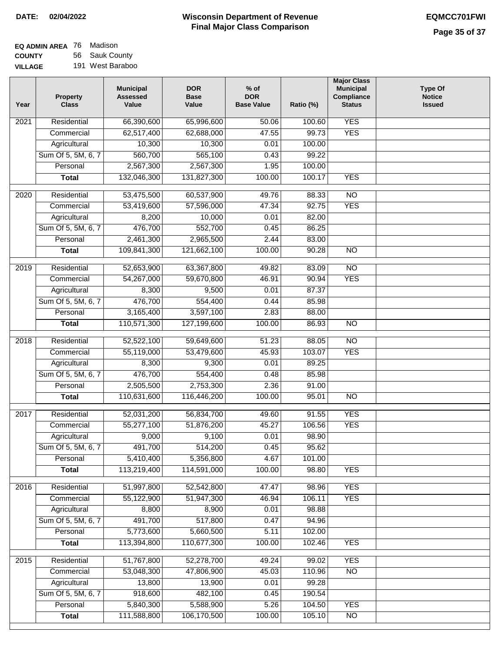| <b>EQ ADMIN AREA</b> 76 Madison |                  |
|---------------------------------|------------------|
| <b>COUNTY</b>                   | 56 Sauk County   |
| <b>VILLAGE</b>                  | 191 West Baraboo |

| Year              | <b>Property</b><br><b>Class</b> | <b>Municipal</b><br><b>Assessed</b><br>Value | <b>DOR</b><br><b>Base</b><br>Value | $%$ of<br><b>DOR</b><br><b>Base Value</b> | Ratio (%)       | <b>Major Class</b><br><b>Municipal</b><br>Compliance<br><b>Status</b> | <b>Type Of</b><br><b>Notice</b><br><b>Issued</b> |
|-------------------|---------------------------------|----------------------------------------------|------------------------------------|-------------------------------------------|-----------------|-----------------------------------------------------------------------|--------------------------------------------------|
| 2021              | Residential                     | 66,390,600                                   | 65,996,600                         | 50.06                                     | 100.60          | <b>YES</b>                                                            |                                                  |
|                   | Commercial                      | 62,517,400                                   | 62,688,000                         | 47.55                                     | 99.73           | <b>YES</b>                                                            |                                                  |
|                   | Agricultural                    | 10,300                                       | 10,300                             | 0.01                                      | 100.00          |                                                                       |                                                  |
|                   | Sum Of 5, 5M, 6, 7              | 560,700                                      | 565,100                            | 0.43                                      | 99.22           |                                                                       |                                                  |
|                   | Personal                        | 2,567,300                                    | 2,567,300                          | 1.95                                      | 100.00          |                                                                       |                                                  |
|                   | <b>Total</b>                    | 132,046,300                                  | 131,827,300                        | 100.00                                    | 100.17          | <b>YES</b>                                                            |                                                  |
| $\overline{2020}$ | Residential                     | 53,475,500                                   | 60,537,900                         | 49.76                                     | 88.33           | $\overline{NO}$                                                       |                                                  |
|                   | Commercial                      | 53,419,600                                   | 57,596,000                         | 47.34                                     | 92.75           | <b>YES</b>                                                            |                                                  |
|                   | Agricultural                    | 8,200                                        | 10,000                             | 0.01                                      | 82.00           |                                                                       |                                                  |
|                   | Sum Of 5, 5M, 6, 7              | 476,700                                      | 552,700                            | 0.45                                      | 86.25           |                                                                       |                                                  |
|                   | Personal                        | 2,461,300                                    | 2,965,500                          | 2.44                                      | 83.00           |                                                                       |                                                  |
|                   | <b>Total</b>                    | 109,841,300                                  | 121,662,100                        | 100.00                                    | 90.28           | $\overline{NO}$                                                       |                                                  |
| 2019              | Residential                     | 52,653,900                                   | 63,367,800                         | 49.82                                     | 83.09           | $\overline{NO}$                                                       |                                                  |
|                   | Commercial                      | 54,267,000                                   | 59,670,800                         | 46.91                                     | 90.94           | <b>YES</b>                                                            |                                                  |
|                   | Agricultural                    | 8,300                                        | 9,500                              | 0.01                                      | 87.37           |                                                                       |                                                  |
|                   | Sum Of 5, 5M, 6, 7              | 476,700                                      | 554,400                            | 0.44                                      | 85.98           |                                                                       |                                                  |
|                   | Personal                        | 3,165,400                                    | 3,597,100                          | 2.83                                      | 88.00           |                                                                       |                                                  |
|                   | <b>Total</b>                    | 110,571,300                                  | 127,199,600                        | 100.00                                    | 86.93           | $\overline{NO}$                                                       |                                                  |
|                   | Residential                     |                                              |                                    | 51.23                                     |                 | $\overline{NO}$                                                       |                                                  |
| 2018              | Commercial                      | 52,522,100<br>55,119,000                     | 59,649,600<br>53,479,600           | 45.93                                     | 88.05<br>103.07 | <b>YES</b>                                                            |                                                  |
|                   | Agricultural                    | 8,300                                        | 9,300                              | 0.01                                      | 89.25           |                                                                       |                                                  |
|                   | Sum Of 5, 5M, 6, 7              | 476,700                                      | 554,400                            | 0.48                                      | 85.98           |                                                                       |                                                  |
|                   | Personal                        | 2,505,500                                    | 2,753,300                          | 2.36                                      | 91.00           |                                                                       |                                                  |
|                   | <b>Total</b>                    | 110,631,600                                  | 116,446,200                        | 100.00                                    | 95.01           | $\overline{NO}$                                                       |                                                  |
|                   |                                 |                                              |                                    |                                           |                 |                                                                       |                                                  |
| 2017              | Residential                     | 52,031,200                                   | 56,834,700                         | 49.60                                     | 91.55           | <b>YES</b>                                                            |                                                  |
|                   | Commercial                      | 55,277,100                                   | 51,876,200                         | 45.27                                     | 106.56          | <b>YES</b>                                                            |                                                  |
|                   | Agricultural                    | 9,000                                        | 9,100                              | 0.01                                      | 98.90           |                                                                       |                                                  |
|                   | Sum Of 5, 5M, 6, 7              | 491,700                                      | 514,200                            | 0.45                                      | 95.62           |                                                                       |                                                  |
|                   | Personal                        | 5,410,400                                    | 5,356,800                          | 4.67                                      | 101.00          |                                                                       |                                                  |
|                   | <b>Total</b>                    | 113,219,400                                  | 114,591,000                        | 100.00                                    | 98.80           | <b>YES</b>                                                            |                                                  |
| 2016              | Residential                     | 51,997,800                                   | 52,542,800                         | 47.47                                     | 98.96           | <b>YES</b>                                                            |                                                  |
|                   | Commercial                      | 55,122,900                                   | 51,947,300                         | 46.94                                     | 106.11          | <b>YES</b>                                                            |                                                  |
|                   | Agricultural                    | 8,800                                        | 8,900                              | 0.01                                      | 98.88           |                                                                       |                                                  |
|                   | Sum Of 5, 5M, 6, 7              | 491,700                                      | 517,800                            | 0.47                                      | 94.96           |                                                                       |                                                  |
|                   | Personal                        | 5,773,600                                    | 5,660,500                          | 5.11                                      | 102.00          |                                                                       |                                                  |
|                   | <b>Total</b>                    | 113,394,800                                  | 110,677,300                        | 100.00                                    | 102.46          | <b>YES</b>                                                            |                                                  |
| 2015              | Residential                     | 51,767,800                                   | 52,278,700                         | 49.24                                     | 99.02           | <b>YES</b>                                                            |                                                  |
|                   | Commercial                      | 53,048,300                                   | 47,806,900                         | 45.03                                     | 110.96          | $\overline{NO}$                                                       |                                                  |
|                   | Agricultural                    | 13,800                                       | 13,900                             | 0.01                                      | 99.28           |                                                                       |                                                  |
|                   | Sum Of 5, 5M, 6, 7              | 918,600                                      | 482,100                            | 0.45                                      | 190.54          |                                                                       |                                                  |
|                   | Personal                        | 5,840,300                                    | 5,588,900                          | 5.26                                      | 104.50          | <b>YES</b>                                                            |                                                  |
|                   | <b>Total</b>                    | 111,588,800                                  | 106,170,500                        | 100.00                                    | 105.10          | N <sub>O</sub>                                                        |                                                  |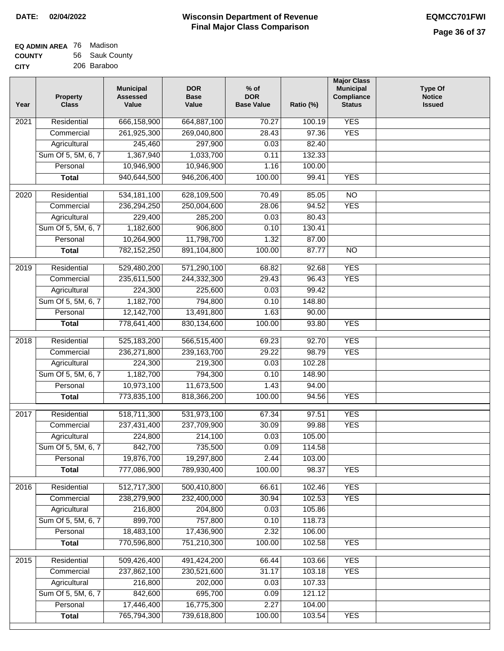**Ratio (%)** 

**Major Class Municipal Compliance Status**

**Type Of Notice Issued**

| <b>EQ ADMIN AREA</b> 76 Madison |                |
|---------------------------------|----------------|
| <b>COUNTY</b>                   | 56 Sauk County |
| <b>CITY</b>                     | 206 Baraboo    |

| CITY | 206 Baraboo                     |                                              |                                    |                                           |  |
|------|---------------------------------|----------------------------------------------|------------------------------------|-------------------------------------------|--|
| Year | <b>Property</b><br><b>Class</b> | <b>Municipal</b><br><b>Assessed</b><br>Value | <b>DOR</b><br><b>Base</b><br>Value | $%$ of<br><b>DOR</b><br><b>Base Value</b> |  |
| 2021 | Residential                     | 666,158,900                                  | 664,887,100                        | 70.27                                     |  |
|      | Commercial                      | 261,925,300                                  | 269,040,800                        | 28.43                                     |  |
|      | Agricultural                    | 245,460                                      | 297,900                            | 0.03                                      |  |
|      | Sum Of 5, 5M, 6, 7              | 1,367,940                                    | 1,033,700                          | 0.11                                      |  |
|      | Personal                        | 10,946,900                                   | 10,946,900                         | 1.16                                      |  |
|      | Total                           | 940,644,500                                  | 946,206,400                        | 100.00                                    |  |
|      |                                 |                                              |                                    |                                           |  |

| $\overline{20}21$ | Residential                        | 666,158,900                | 664,887,100               | 70.27          | 100.19           | <b>YES</b>               |  |
|-------------------|------------------------------------|----------------------------|---------------------------|----------------|------------------|--------------------------|--|
|                   | Commercial                         | 261,925,300                | 269,040,800               | 28.43          | 97.36            | <b>YES</b>               |  |
|                   | Agricultural                       | 245,460                    | 297,900                   | 0.03           | 82.40            |                          |  |
|                   | Sum Of 5, 5M, 6, 7                 | 1,367,940                  | 1,033,700                 | 0.11           | 132.33           |                          |  |
|                   | Personal                           | 10,946,900                 | 10,946,900                | 1.16           | 100.00           |                          |  |
|                   | <b>Total</b>                       | 940,644,500                | 946,206,400               | 100.00         | 99.41            | <b>YES</b>               |  |
| 2020              | Residential                        | 534, 181, 100              | 628,109,500               | 70.49          | 85.05            | $\overline{NO}$          |  |
|                   | Commercial                         | 236,294,250                | 250,004,600               | 28.06          | 94.52            | <b>YES</b>               |  |
|                   | Agricultural                       | 229,400                    | 285,200                   | 0.03           | 80.43            |                          |  |
|                   | Sum Of 5, 5M, 6, 7                 | 1,182,600                  | 906,800                   | 0.10           | 130.41           |                          |  |
|                   | Personal                           | 10,264,900                 | 11,798,700                | 1.32           | 87.00            |                          |  |
|                   | <b>Total</b>                       | 782,152,250                | 891,104,800               | 100.00         | 87.77            | $\overline{NO}$          |  |
|                   |                                    |                            |                           |                |                  |                          |  |
| $\frac{1}{2019}$  | Residential                        | 529,480,200                | 571,290,100               | 68.82          | 92.68            | <b>YES</b>               |  |
|                   | Commercial                         | 235,611,500                | 244,332,300               | 29.43          | 96.43            | <b>YES</b>               |  |
|                   | Agricultural                       | 224,300                    | 225,600                   | 0.03           | 99.42            |                          |  |
|                   | Sum Of 5, 5M, 6, 7                 | 1,182,700                  | 794,800                   | 0.10           | 148.80           |                          |  |
|                   | Personal                           | 12,142,700                 | 13,491,800                | 1.63           | 90.00            |                          |  |
|                   | <b>Total</b>                       | 778,641,400                | 830,134,600               | 100.00         | 93.80            | <b>YES</b>               |  |
|                   |                                    |                            |                           |                |                  |                          |  |
| 2018              | Residential                        | 525, 183, 200              | 566,515,400               | 69.23<br>29.22 | 92.70<br>98.79   | <b>YES</b><br><b>YES</b> |  |
|                   | Commercial                         | 236,271,800                | 239, 163, 700             |                |                  |                          |  |
|                   | Agricultural                       | 224,300                    | 219,300                   | 0.03           | 102.28           |                          |  |
|                   | Sum Of 5, 5M, 6, 7                 | 1,182,700                  | 794,300                   | 0.10           | 148.90           |                          |  |
|                   | Personal                           | 10,973,100                 | 11,673,500<br>818,366,200 | 1.43<br>100.00 | 94.00<br>94.56   | <b>YES</b>               |  |
|                   | <b>Total</b>                       | 773,835,100                |                           |                |                  |                          |  |
| 2017              | Residential                        | 518,711,300                | 531,973,100               | 67.34          | 97.51            | <b>YES</b>               |  |
|                   | Commercial                         | 237,431,400                | 237,709,900               | 30.09          | 99.88            | <b>YES</b>               |  |
|                   | Agricultural                       | 224,800                    | 214,100                   | 0.03           | 105.00           |                          |  |
|                   | Sum Of 5, 5M, 6, 7                 | 842,700                    | 735,500                   | 0.09           | 114.58           |                          |  |
|                   | Personal                           | 19,876,700                 | 19,297,800                | 2.44           | 103.00           |                          |  |
|                   | <b>Total</b>                       | 777,086,900                | 789,930,400               | 100.00         | 98.37            | <b>YES</b>               |  |
|                   |                                    |                            | 500,410,800               |                | 102.46           |                          |  |
| 2016              | Residential                        | 512,717,300<br>238,279,900 | 232,400,000               | 66.61          |                  | <b>YES</b>               |  |
|                   | Commercial                         |                            |                           | 30.94          | 102.53           | <b>YES</b>               |  |
|                   | Agricultural<br>Sum Of 5, 5M, 6, 7 | 216,800<br>899,700         | 204,800<br>757,800        | 0.03           | 105.86           |                          |  |
|                   |                                    | 18,483,100                 | 17,436,900                | 0.10<br>2.32   | 118.73<br>106.00 |                          |  |
|                   | Personal<br><b>Total</b>           | 770,596,800                | 751,210,300               | 100.00         | 102.58           | <b>YES</b>               |  |
|                   |                                    |                            |                           |                |                  |                          |  |
| 2015              | Residential                        | 509,426,400                | 491,424,200               | 66.44          | 103.66           | <b>YES</b>               |  |
|                   | Commercial                         | 237,862,100                | 230,521,600               | 31.17          | 103.18           | <b>YES</b>               |  |
|                   | Agricultural                       | 216,800                    | 202,000                   | 0.03           | 107.33           |                          |  |
|                   | Sum Of 5, 5M, 6, 7                 | 842,600                    | 695,700                   | 0.09           | 121.12           |                          |  |
|                   | Personal                           | 17,446,400                 | 16,775,300                | 2.27           | 104.00           |                          |  |
|                   | <b>Total</b>                       | 765,794,300                | 739,618,800               | 100.00         | 103.54           | <b>YES</b>               |  |
|                   |                                    |                            |                           |                |                  |                          |  |